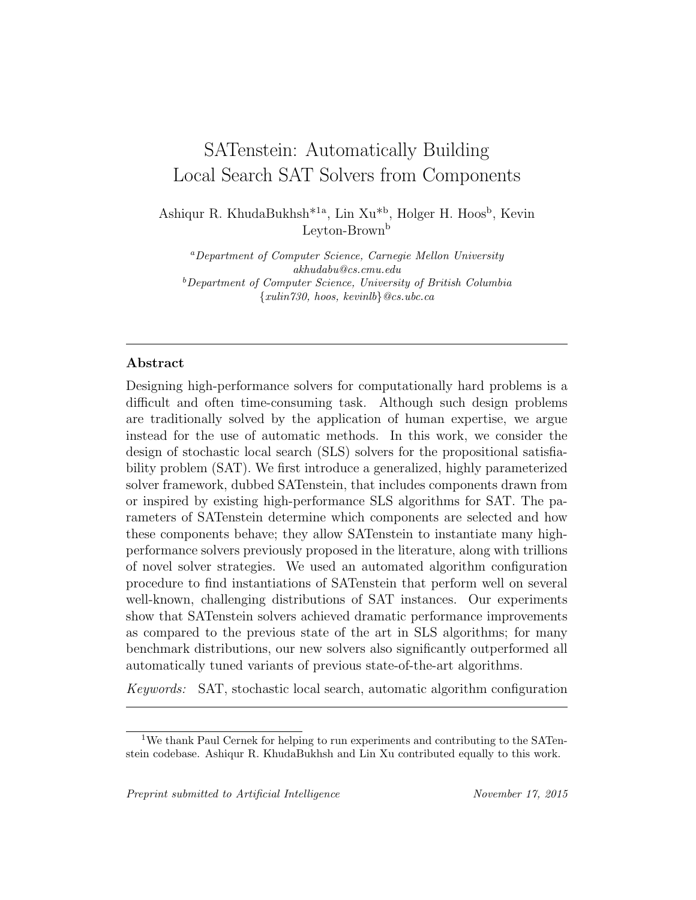# SATenstein: Automatically Building Local Search SAT Solvers from Components

Ashiqur R. KhudaBukhsh<sup>\*1a</sup>, Lin Xu<sup>\*b</sup>, Holger H. Hoos<sup>b</sup>, Kevin Leyton-Brown<sup>b</sup>

<sup>a</sup>Department of Computer Science, Carnegie Mellon University akhudabu@cs.cmu.edu  $b$ Department of Computer Science, University of British Columbia  ${xulin}$ 730, hoos, kevinlb} @cs.ubc.ca

# Abstract

Designing high-performance solvers for computationally hard problems is a difficult and often time-consuming task. Although such design problems are traditionally solved by the application of human expertise, we argue instead for the use of automatic methods. In this work, we consider the design of stochastic local search (SLS) solvers for the propositional satisfiability problem (SAT). We first introduce a generalized, highly parameterized solver framework, dubbed SATenstein, that includes components drawn from or inspired by existing high-performance SLS algorithms for SAT. The parameters of SATenstein determine which components are selected and how these components behave; they allow SATenstein to instantiate many highperformance solvers previously proposed in the literature, along with trillions of novel solver strategies. We used an automated algorithm configuration procedure to find instantiations of SATenstein that perform well on several well-known, challenging distributions of SAT instances. Our experiments show that SATenstein solvers achieved dramatic performance improvements as compared to the previous state of the art in SLS algorithms; for many benchmark distributions, our new solvers also significantly outperformed all automatically tuned variants of previous state-of-the-art algorithms.

Keywords: SAT, stochastic local search, automatic algorithm configuration

<sup>1</sup>We thank Paul Cernek for helping to run experiments and contributing to the SATenstein codebase. Ashiqur R. KhudaBukhsh and Lin Xu contributed equally to this work.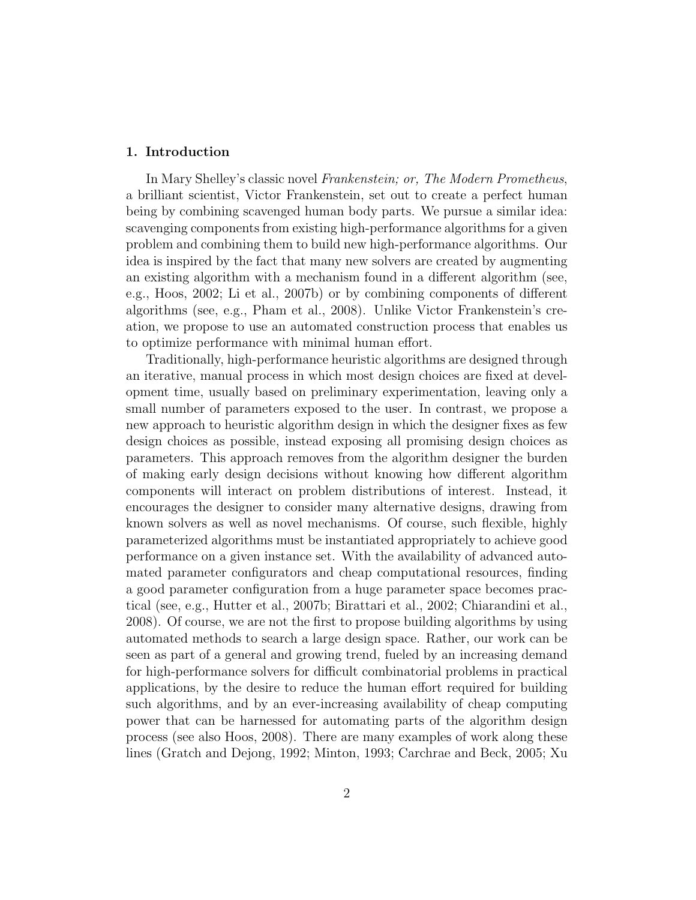# 1. Introduction

In Mary Shelley's classic novel Frankenstein; or, The Modern Prometheus, a brilliant scientist, Victor Frankenstein, set out to create a perfect human being by combining scavenged human body parts. We pursue a similar idea: scavenging components from existing high-performance algorithms for a given problem and combining them to build new high-performance algorithms. Our idea is inspired by the fact that many new solvers are created by augmenting an existing algorithm with a mechanism found in a different algorithm (see, e.g., [Hoos, 2002;](#page-32-0) [Li et al., 2007b\)](#page-33-0) or by combining components of different algorithms (see, e.g., [Pham et al., 2008\)](#page-34-0). Unlike Victor Frankenstein's creation, we propose to use an automated construction process that enables us to optimize performance with minimal human effort.

Traditionally, high-performance heuristic algorithms are designed through an iterative, manual process in which most design choices are fixed at development time, usually based on preliminary experimentation, leaving only a small number of parameters exposed to the user. In contrast, we propose a new approach to heuristic algorithm design in which the designer fixes as few design choices as possible, instead exposing all promising design choices as parameters. This approach removes from the algorithm designer the burden of making early design decisions without knowing how different algorithm components will interact on problem distributions of interest. Instead, it encourages the designer to consider many alternative designs, drawing from known solvers as well as novel mechanisms. Of course, such flexible, highly parameterized algorithms must be instantiated appropriately to achieve good performance on a given instance set. With the availability of advanced automated parameter configurators and cheap computational resources, finding a good parameter configuration from a huge parameter space becomes practical (see, e.g., [Hutter et al., 2007b;](#page-32-1) [Birattari et al., 2002;](#page-30-0) [Chiarandini et al.,](#page-30-1) [2008\)](#page-30-1). Of course, we are not the first to propose building algorithms by using automated methods to search a large design space. Rather, our work can be seen as part of a general and growing trend, fueled by an increasing demand for high-performance solvers for difficult combinatorial problems in practical applications, by the desire to reduce the human effort required for building such algorithms, and by an ever-increasing availability of cheap computing power that can be harnessed for automating parts of the algorithm design process (see also [Hoos, 2008\)](#page-32-2). There are many examples of work along these lines [\(Gratch and Dejong, 1992;](#page-31-0) [Minton, 1993;](#page-33-1) [Carchrae and Beck, 2005;](#page-30-2) [Xu](#page-35-0)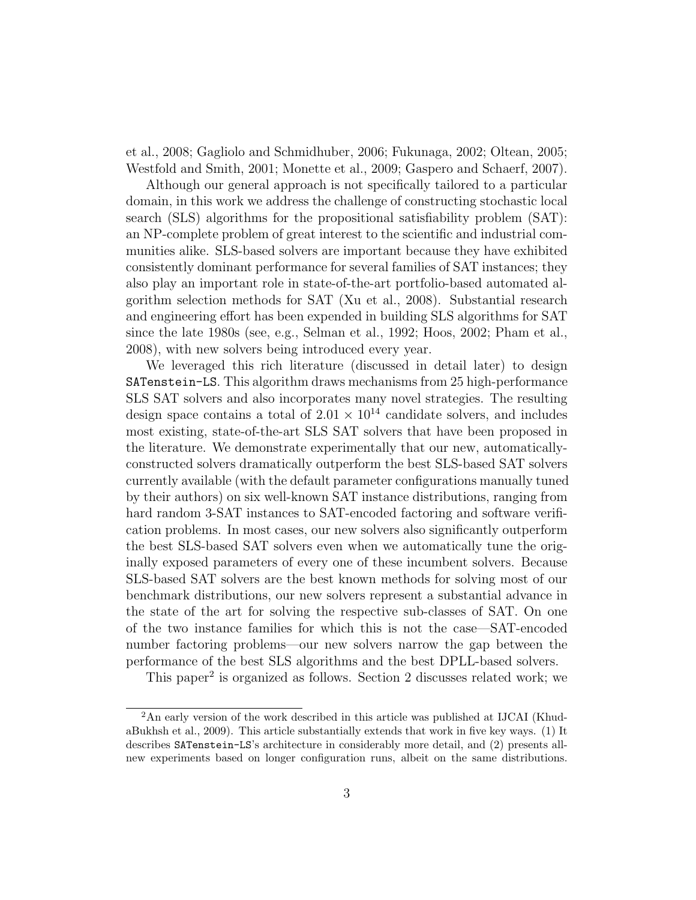[et al., 2008;](#page-35-0) [Gagliolo and Schmidhuber, 2006;](#page-31-1) [Fukunaga, 2002;](#page-31-2) [Oltean, 2005;](#page-34-1) [Westfold and Smith, 2001;](#page-35-1) [Monette et al., 2009;](#page-33-2) [Gaspero and Schaerf, 2007\)](#page-31-3).

Although our general approach is not specifically tailored to a particular domain, in this work we address the challenge of constructing stochastic local search (SLS) algorithms for the propositional satisfiability problem (SAT): an NP-complete problem of great interest to the scientific and industrial communities alike. SLS-based solvers are important because they have exhibited consistently dominant performance for several families of SAT instances; they also play an important role in state-of-the-art portfolio-based automated algorithm selection methods for SAT [\(Xu et al., 2008\)](#page-35-0). Substantial research and engineering effort has been expended in building SLS algorithms for SAT since the late 1980s (see, e.g., [Selman et al., 1992;](#page-34-2) [Hoos, 2002;](#page-32-0) [Pham et al.,](#page-34-0) [2008\)](#page-34-0), with new solvers being introduced every year.

We leveraged this rich literature (discussed in detail later) to design SATenstein-LS. This algorithm draws mechanisms from 25 high-performance SLS SAT solvers and also incorporates many novel strategies. The resulting design space contains a total of  $2.01 \times 10^{14}$  candidate solvers, and includes most existing, state-of-the-art SLS SAT solvers that have been proposed in the literature. We demonstrate experimentally that our new, automaticallyconstructed solvers dramatically outperform the best SLS-based SAT solvers currently available (with the default parameter configurations manually tuned by their authors) on six well-known SAT instance distributions, ranging from hard random 3-SAT instances to SAT-encoded factoring and software verification problems. In most cases, our new solvers also significantly outperform the best SLS-based SAT solvers even when we automatically tune the originally exposed parameters of every one of these incumbent solvers. Because SLS-based SAT solvers are the best known methods for solving most of our benchmark distributions, our new solvers represent a substantial advance in the state of the art for solving the respective sub-classes of SAT. On one of the two instance families for which this is not the case—SAT-encoded number factoring problems—our new solvers narrow the gap between the performance of the best SLS algorithms and the best DPLL-based solvers.

This paper<sup>[2](#page-2-0)</sup> is organized as follows. Section [2](#page-3-0) discusses related work; we

<span id="page-2-0"></span><sup>2</sup>An early version of the work described in this article was published at IJCAI [\(Khud](#page-33-3)[aBukhsh et al., 2009\)](#page-33-3). This article substantially extends that work in five key ways. (1) It describes SATenstein-LS's architecture in considerably more detail, and (2) presents allnew experiments based on longer configuration runs, albeit on the same distributions.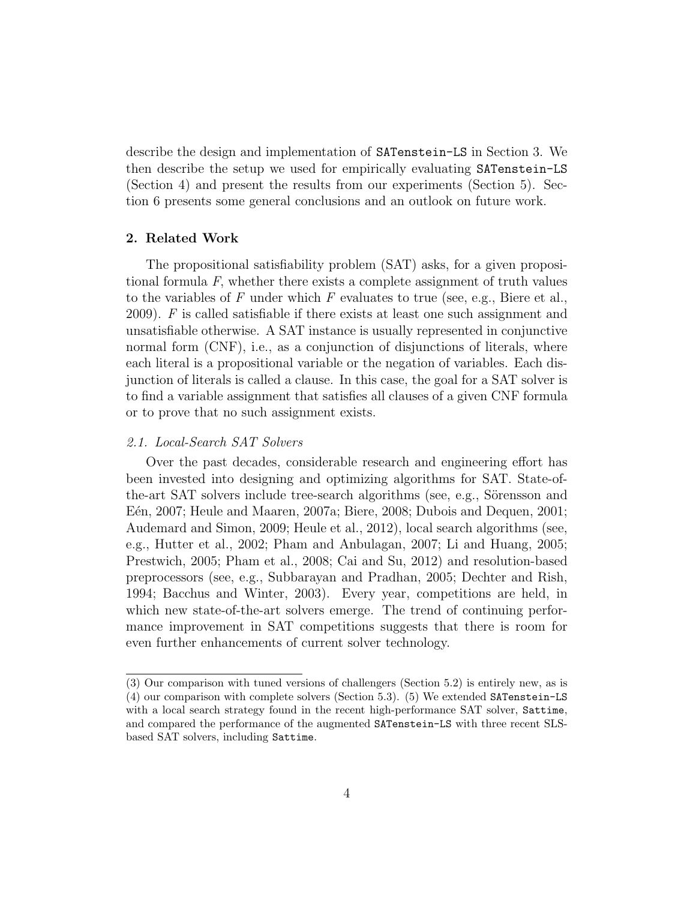describe the design and implementation of SATenstein-LS in Section [3.](#page-9-0) We then describe the setup we used for empirically evaluating SATenstein-LS (Section [4\)](#page-16-0) and present the results from our experiments (Section [5\)](#page-21-0). Section [6](#page-29-0) presents some general conclusions and an outlook on future work.

#### <span id="page-3-0"></span>2. Related Work

The propositional satisfiability problem (SAT) asks, for a given propositional formula  $F$ , whether there exists a complete assignment of truth values to the variables of F under which F evaluates to true (see, e.g., [Biere et al.,](#page-30-3) [2009\)](#page-30-3). F is called satisfiable if there exists at least one such assignment and unsatisfiable otherwise. A SAT instance is usually represented in conjunctive normal form (CNF), i.e., as a conjunction of disjunctions of literals, where each literal is a propositional variable or the negation of variables. Each disjunction of literals is called a clause. In this case, the goal for a SAT solver is to find a variable assignment that satisfies all clauses of a given CNF formula or to prove that no such assignment exists.

#### <span id="page-3-1"></span>2.1. Local-Search SAT Solvers

Over the past decades, considerable research and engineering effort has been invested into designing and optimizing algorithms for SAT. State-ofthe-art SAT solvers include tree-search algorithms (see, e.g., Sörensson and Eén, 2007; [Heule and Maaren, 2007a;](#page-31-4) [Biere, 2008;](#page-30-4) [Dubois and Dequen, 2001;](#page-31-5) [Audemard and Simon, 2009;](#page-30-5) [Heule et al., 2012\)](#page-31-6), local search algorithms (see, e.g., [Hutter et al., 2002;](#page-32-3) [Pham and Anbulagan, 2007;](#page-34-4) [Li and Huang, 2005;](#page-33-4) [Prestwich, 2005;](#page-34-5) [Pham et al., 2008;](#page-34-0) [Cai and Su, 2012\)](#page-30-6) and resolution-based preprocessors (see, e.g., [Subbarayan and Pradhan, 2005;](#page-34-6) [Dechter and Rish,](#page-30-7) [1994;](#page-30-7) [Bacchus and Winter, 2003\)](#page-30-8). Every year, competitions are held, in which new state-of-the-art solvers emerge. The trend of continuing performance improvement in SAT competitions suggests that there is room for even further enhancements of current solver technology.

<sup>(3)</sup> Our comparison with tuned versions of challengers (Section [5.2\)](#page-24-0) is entirely new, as is (4) our comparison with complete solvers (Section [5.3\)](#page-24-1). (5) We extended SATenstein-LS with a local search strategy found in the recent high-performance SAT solver, Sattime, and compared the performance of the augmented SATenstein-LS with three recent SLSbased SAT solvers, including Sattime.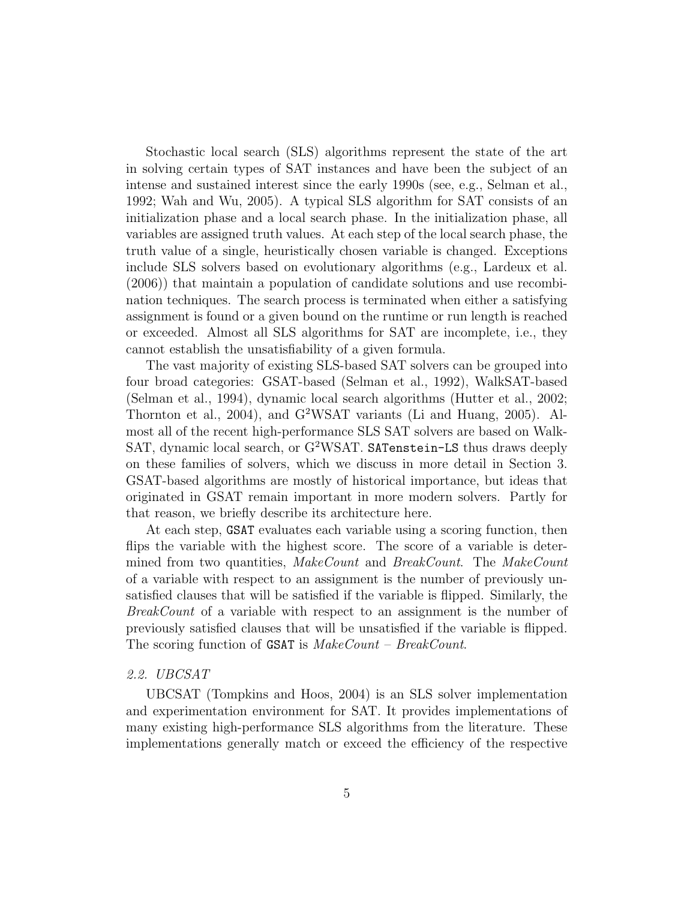Stochastic local search (SLS) algorithms represent the state of the art in solving certain types of SAT instances and have been the subject of an intense and sustained interest since the early 1990s (see, e.g., [Selman et al.,](#page-34-2) [1992;](#page-34-2) [Wah and Wu, 2005\)](#page-35-2). A typical SLS algorithm for SAT consists of an initialization phase and a local search phase. In the initialization phase, all variables are assigned truth values. At each step of the local search phase, the truth value of a single, heuristically chosen variable is changed. Exceptions include SLS solvers based on evolutionary algorithms (e.g., [Lardeux et al.](#page-33-5) [\(2006\)](#page-33-5)) that maintain a population of candidate solutions and use recombination techniques. The search process is terminated when either a satisfying assignment is found or a given bound on the runtime or run length is reached or exceeded. Almost all SLS algorithms for SAT are incomplete, i.e., they cannot establish the unsatisfiability of a given formula.

The vast majority of existing SLS-based SAT solvers can be grouped into four broad categories: GSAT-based [\(Selman et al., 1992\)](#page-34-2), WalkSAT-based [\(Selman et al., 1994\)](#page-34-7), dynamic local search algorithms [\(Hutter et al., 2002;](#page-32-3) [Thornton et al., 2004\)](#page-34-8), and G<sup>2</sup>WSAT variants [\(Li and Huang, 2005\)](#page-33-4). Almost all of the recent high-performance SLS SAT solvers are based on Walk-SAT, dynamic local search, or G<sup>2</sup>WSAT. SATenstein-LS thus draws deeply on these families of solvers, which we discuss in more detail in Section [3.](#page-9-0) GSAT-based algorithms are mostly of historical importance, but ideas that originated in GSAT remain important in more modern solvers. Partly for that reason, we briefly describe its architecture here.

At each step, GSAT evaluates each variable using a scoring function, then flips the variable with the highest score. The score of a variable is determined from two quantities, MakeCount and BreakCount. The MakeCount of a variable with respect to an assignment is the number of previously unsatisfied clauses that will be satisfied if the variable is flipped. Similarly, the BreakCount of a variable with respect to an assignment is the number of previously satisfied clauses that will be unsatisfied if the variable is flipped. The scoring function of **GSAT** is  $MakeCount - BreakCount$ .

# 2.2. UBCSAT

UBCSAT [\(Tompkins and Hoos, 2004\)](#page-35-3) is an SLS solver implementation and experimentation environment for SAT. It provides implementations of many existing high-performance SLS algorithms from the literature. These implementations generally match or exceed the efficiency of the respective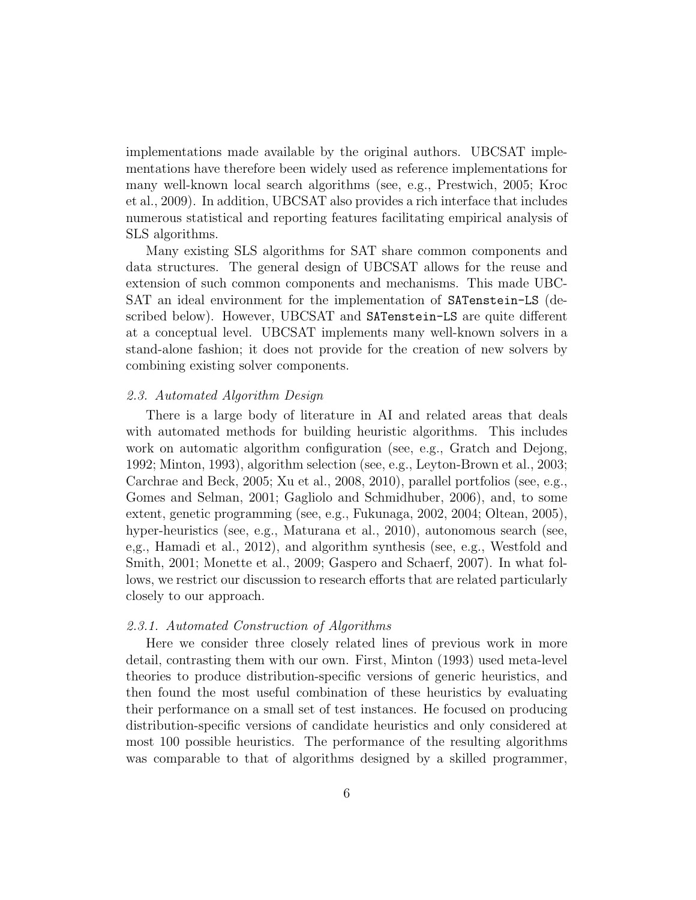implementations made available by the original authors. UBCSAT implementations have therefore been widely used as reference implementations for many well-known local search algorithms (see, e.g., [Prestwich, 2005;](#page-34-5) [Kroc](#page-33-6) [et al., 2009\)](#page-33-6). In addition, UBCSAT also provides a rich interface that includes numerous statistical and reporting features facilitating empirical analysis of SLS algorithms.

Many existing SLS algorithms for SAT share common components and data structures. The general design of UBCSAT allows for the reuse and extension of such common components and mechanisms. This made UBC-SAT an ideal environment for the implementation of SATenstein-LS (described below). However, UBCSAT and SATenstein-LS are quite different at a conceptual level. UBCSAT implements many well-known solvers in a stand-alone fashion; it does not provide for the creation of new solvers by combining existing solver components.

#### 2.3. Automated Algorithm Design

There is a large body of literature in AI and related areas that deals with automated methods for building heuristic algorithms. This includes work on automatic algorithm configuration (see, e.g., [Gratch and Dejong,](#page-31-0) [1992;](#page-31-0) [Minton, 1993\)](#page-33-1), algorithm selection (see, e.g., [Leyton-Brown et al., 2003;](#page-33-7) [Carchrae and Beck, 2005;](#page-30-2) [Xu et al., 2008,](#page-35-0) [2010\)](#page-35-4), parallel portfolios (see, e.g., [Gomes and Selman, 2001;](#page-31-7) [Gagliolo and Schmidhuber, 2006\)](#page-31-1), and, to some extent, genetic programming (see, e.g., [Fukunaga, 2002,](#page-31-2) [2004;](#page-31-8) [Oltean, 2005\)](#page-34-1), hyper-heuristics (see, e.g., [Maturana et al., 2010\)](#page-33-8), autonomous search (see, e,g., [Hamadi et al., 2012\)](#page-31-9), and algorithm synthesis (see, e.g., [Westfold and](#page-35-1) [Smith, 2001;](#page-35-1) [Monette et al., 2009;](#page-33-2) [Gaspero and Schaerf, 2007\)](#page-31-3). In what follows, we restrict our discussion to research efforts that are related particularly closely to our approach.

#### 2.3.1. Automated Construction of Algorithms

Here we consider three closely related lines of previous work in more detail, contrasting them with our own. First, Minton [\(1993\)](#page-33-1) used meta-level theories to produce distribution-specific versions of generic heuristics, and then found the most useful combination of these heuristics by evaluating their performance on a small set of test instances. He focused on producing distribution-specific versions of candidate heuristics and only considered at most 100 possible heuristics. The performance of the resulting algorithms was comparable to that of algorithms designed by a skilled programmer,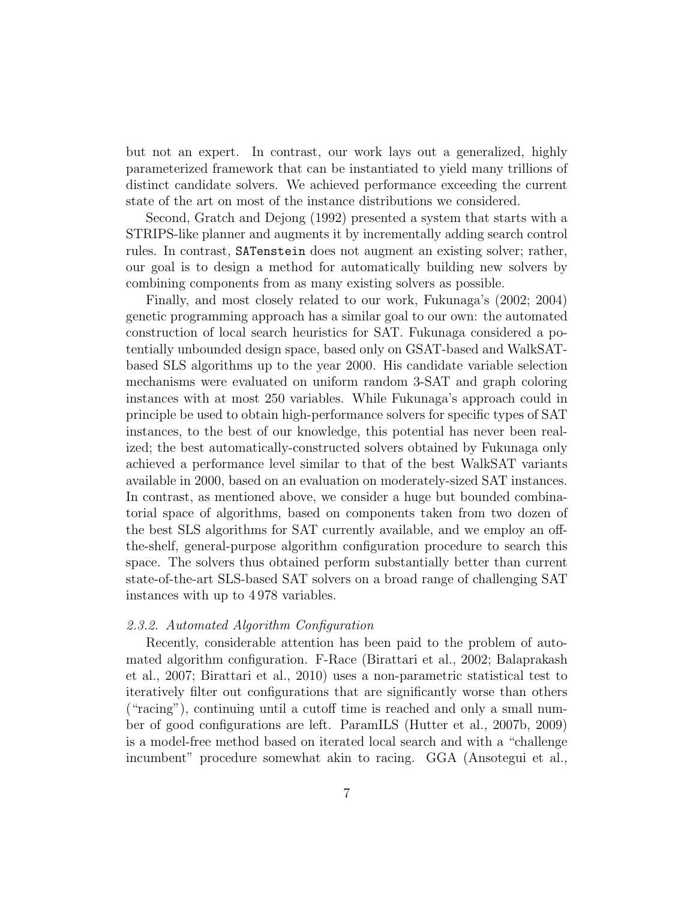but not an expert. In contrast, our work lays out a generalized, highly parameterized framework that can be instantiated to yield many trillions of distinct candidate solvers. We achieved performance exceeding the current state of the art on most of the instance distributions we considered.

Second, Gratch and Dejong [\(1992\)](#page-31-0) presented a system that starts with a STRIPS-like planner and augments it by incrementally adding search control rules. In contrast, SATenstein does not augment an existing solver; rather, our goal is to design a method for automatically building new solvers by combining components from as many existing solvers as possible.

Finally, and most closely related to our work, Fukunaga's [\(2002;](#page-31-2) [2004\)](#page-31-8) genetic programming approach has a similar goal to our own: the automated construction of local search heuristics for SAT. Fukunaga considered a potentially unbounded design space, based only on GSAT-based and WalkSATbased SLS algorithms up to the year 2000. His candidate variable selection mechanisms were evaluated on uniform random 3-SAT and graph coloring instances with at most 250 variables. While Fukunaga's approach could in principle be used to obtain high-performance solvers for specific types of SAT instances, to the best of our knowledge, this potential has never been realized; the best automatically-constructed solvers obtained by Fukunaga only achieved a performance level similar to that of the best WalkSAT variants available in 2000, based on an evaluation on moderately-sized SAT instances. In contrast, as mentioned above, we consider a huge but bounded combinatorial space of algorithms, based on components taken from two dozen of the best SLS algorithms for SAT currently available, and we employ an offthe-shelf, general-purpose algorithm configuration procedure to search this space. The solvers thus obtained perform substantially better than current state-of-the-art SLS-based SAT solvers on a broad range of challenging SAT instances with up to 4 978 variables.

#### 2.3.2. Automated Algorithm Configuration

Recently, considerable attention has been paid to the problem of automated algorithm configuration. F-Race [\(Birattari et al., 2002;](#page-30-0) [Balaprakash](#page-30-9) [et al., 2007;](#page-30-9) [Birattari et al., 2010\)](#page-30-10) uses a non-parametric statistical test to iteratively filter out configurations that are significantly worse than others ("racing"), continuing until a cutoff time is reached and only a small number of good configurations are left. ParamILS [\(Hutter et al., 2007b,](#page-32-1) [2009\)](#page-32-4) is a model-free method based on iterated local search and with a "challenge incumbent" procedure somewhat akin to racing. GGA [\(Ansotegui et al.,](#page-29-1)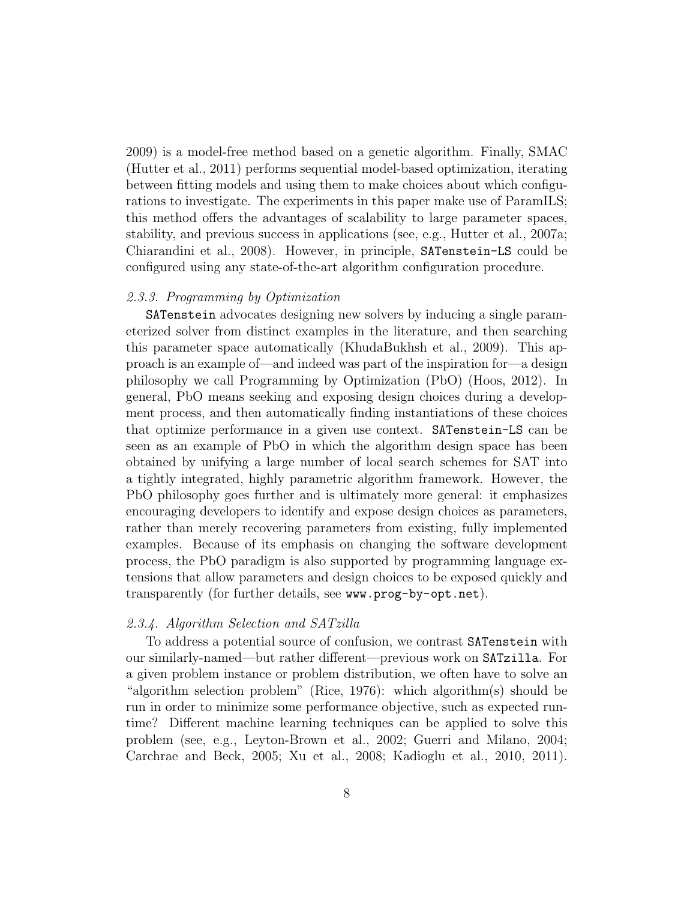[2009\)](#page-29-1) is a model-free method based on a genetic algorithm. Finally, SMAC [\(Hutter et al., 2011\)](#page-32-5) performs sequential model-based optimization, iterating between fitting models and using them to make choices about which configurations to investigate. The experiments in this paper make use of ParamILS; this method offers the advantages of scalability to large parameter spaces, stability, and previous success in applications (see, e.g., [Hutter et al., 2007a;](#page-32-6) [Chiarandini et al., 2008\)](#page-30-1). However, in principle, SATenstein-LS could be configured using any state-of-the-art algorithm configuration procedure.

#### 2.3.3. Programming by Optimization

SATenstein advocates designing new solvers by inducing a single parameterized solver from distinct examples in the literature, and then searching this parameter space automatically [\(KhudaBukhsh et al., 2009\)](#page-33-3). This approach is an example of—and indeed was part of the inspiration for—a design philosophy we call Programming by Optimization (PbO) [\(Hoos, 2012\)](#page-32-7). In general, PbO means seeking and exposing design choices during a development process, and then automatically finding instantiations of these choices that optimize performance in a given use context. SATenstein-LS can be seen as an example of PbO in which the algorithm design space has been obtained by unifying a large number of local search schemes for SAT into a tightly integrated, highly parametric algorithm framework. However, the PbO philosophy goes further and is ultimately more general: it emphasizes encouraging developers to identify and expose design choices as parameters, rather than merely recovering parameters from existing, fully implemented examples. Because of its emphasis on changing the software development process, the PbO paradigm is also supported by programming language extensions that allow parameters and design choices to be exposed quickly and transparently (for further details, see <www.prog-by-opt.net>).

# 2.3.4. Algorithm Selection and SATzilla

To address a potential source of confusion, we contrast SATenstein with our similarly-named—but rather different—previous work on SATzilla. For a given problem instance or problem distribution, we often have to solve an "algorithm selection problem" [\(Rice, 1976\)](#page-34-9): which algorithm(s) should be run in order to minimize some performance objective, such as expected runtime? Different machine learning techniques can be applied to solve this problem (see, e.g., [Leyton-Brown et al., 2002;](#page-33-9) [Guerri and Milano, 2004;](#page-31-10) [Carchrae and Beck, 2005;](#page-30-2) [Xu et al., 2008;](#page-35-0) [Kadioglu et al., 2010,](#page-33-10) [2011\)](#page-32-8).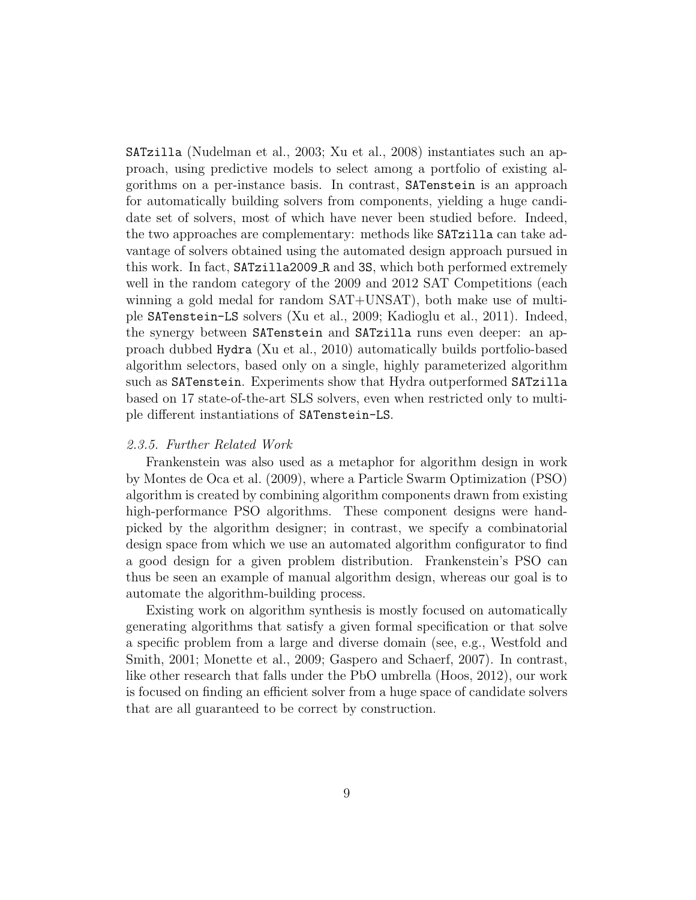SATzilla [\(Nudelman et al., 2003;](#page-34-10) [Xu et al., 2008\)](#page-35-0) instantiates such an approach, using predictive models to select among a portfolio of existing algorithms on a per-instance basis. In contrast, SATenstein is an approach for automatically building solvers from components, yielding a huge candidate set of solvers, most of which have never been studied before. Indeed, the two approaches are complementary: methods like SATzilla can take advantage of solvers obtained using the automated design approach pursued in this work. In fact, SATzilla2009 R and 3S, which both performed extremely well in the random category of the 2009 and 2012 SAT Competitions (each winning a gold medal for random SAT+UNSAT), both make use of multiple SATenstein-LS solvers [\(Xu et al., 2009;](#page-35-5) [Kadioglu et al., 2011\)](#page-32-8). Indeed, the synergy between SATenstein and SATzilla runs even deeper: an approach dubbed Hydra [\(Xu et al., 2010\)](#page-35-4) automatically builds portfolio-based algorithm selectors, based only on a single, highly parameterized algorithm such as SATenstein. Experiments show that Hydra outperformed SATzilla based on 17 state-of-the-art SLS solvers, even when restricted only to multiple different instantiations of SATenstein-LS.

# 2.3.5. Further Related Work

Frankenstein was also used as a metaphor for algorithm design in work by [Montes de Oca et al.](#page-34-11) [\(2009\)](#page-34-11), where a Particle Swarm Optimization (PSO) algorithm is created by combining algorithm components drawn from existing high-performance PSO algorithms. These component designs were handpicked by the algorithm designer; in contrast, we specify a combinatorial design space from which we use an automated algorithm configurator to find a good design for a given problem distribution. Frankenstein's PSO can thus be seen an example of manual algorithm design, whereas our goal is to automate the algorithm-building process.

Existing work on algorithm synthesis is mostly focused on automatically generating algorithms that satisfy a given formal specification or that solve a specific problem from a large and diverse domain (see, e.g., [Westfold and](#page-35-1) [Smith, 2001;](#page-35-1) [Monette et al., 2009;](#page-33-2) [Gaspero and Schaerf, 2007\)](#page-31-3). In contrast, like other research that falls under the PbO umbrella [\(Hoos, 2012\)](#page-32-7), our work is focused on finding an efficient solver from a huge space of candidate solvers that are all guaranteed to be correct by construction.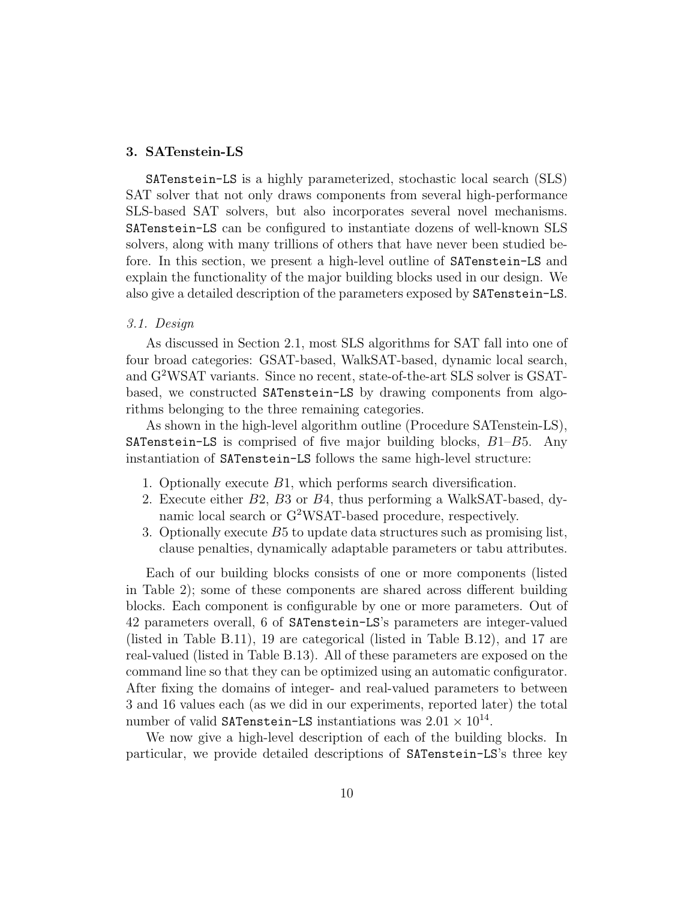# <span id="page-9-0"></span>3. SATenstein-LS

SATenstein-LS is a highly parameterized, stochastic local search (SLS) SAT solver that not only draws components from several high-performance SLS-based SAT solvers, but also incorporates several novel mechanisms. SATenstein-LS can be configured to instantiate dozens of well-known SLS solvers, along with many trillions of others that have never been studied before. In this section, we present a high-level outline of SATenstein-LS and explain the functionality of the major building blocks used in our design. We also give a detailed description of the parameters exposed by SATenstein-LS.

# 3.1. Design

As discussed in Section [2.1,](#page-3-1) most SLS algorithms for SAT fall into one of four broad categories: GSAT-based, WalkSAT-based, dynamic local search, and G<sup>2</sup>WSAT variants. Since no recent, state-of-the-art SLS solver is GSATbased, we constructed SATenstein-LS by drawing components from algorithms belonging to the three remaining categories.

As shown in the high-level algorithm outline (Procedure SATenstein-LS), **SATenstein-LS** is comprised of five major building blocks,  $B1-B5$ . Any instantiation of SATenstein-LS follows the same high-level structure:

- 1. Optionally execute B1, which performs search diversification.
- 2. Execute either B2, B3 or B4, thus performing a WalkSAT-based, dynamic local search or G<sup>2</sup>WSAT-based procedure, respectively.
- 3. Optionally execute B5 to update data structures such as promising list, clause penalties, dynamically adaptable parameters or tabu attributes.

Each of our building blocks consists of one or more components (listed in Table [2\)](#page-15-0); some of these components are shared across different building blocks. Each component is configurable by one or more parameters. Out of 42 parameters overall, 6 of SATenstein-LS's parameters are integer-valued (listed in Table [B.11\)](#page-36-0), 19 are categorical (listed in Table [B.12\)](#page-37-0), and 17 are real-valued (listed in Table [B.13\)](#page-38-0). All of these parameters are exposed on the command line so that they can be optimized using an automatic configurator. After fixing the domains of integer- and real-valued parameters to between 3 and 16 values each (as we did in our experiments, reported later) the total number of valid SATenstein-LS instantiations was  $2.01 \times 10^{14}$ .

We now give a high-level description of each of the building blocks. In particular, we provide detailed descriptions of SATenstein-LS's three key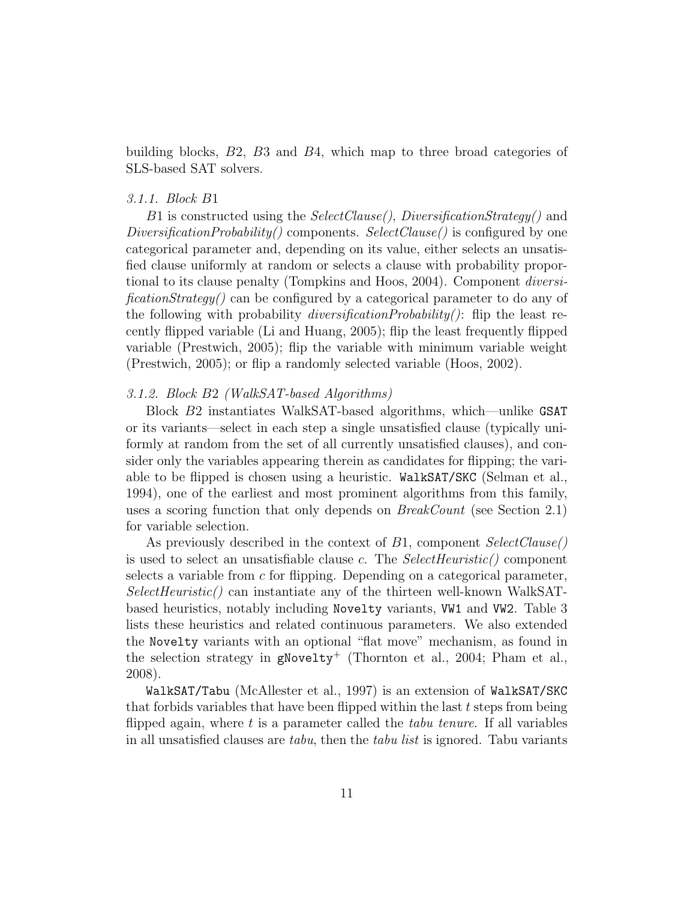building blocks, B2, B3 and B4, which map to three broad categories of SLS-based SAT solvers.

# 3.1.1. Block B1

B1 is constructed using the SelectClause(), DiversificationStrategy() and DiversificationProbability() components. SelectClause() is configured by one categorical parameter and, depending on its value, either selects an unsatisfied clause uniformly at random or selects a clause with probability proportional to its clause penalty [\(Tompkins and Hoos, 2004\)](#page-35-3). Component diversificationStrategy() can be configured by a categorical parameter to do any of the following with probability *diversificationProbability()*: flip the least recently flipped variable [\(Li and Huang, 2005\)](#page-33-4); flip the least frequently flipped variable [\(Prestwich, 2005\)](#page-34-5); flip the variable with minimum variable weight [\(Prestwich, 2005\)](#page-34-5); or flip a randomly selected variable [\(Hoos, 2002\)](#page-32-0).

# 3.1.2. Block B2 (WalkSAT-based Algorithms)

Block B2 instantiates WalkSAT-based algorithms, which—unlike GSAT or its variants—select in each step a single unsatisfied clause (typically uniformly at random from the set of all currently unsatisfied clauses), and consider only the variables appearing therein as candidates for flipping; the variable to be flipped is chosen using a heuristic. WalkSAT/SKC [\(Selman et al.,](#page-34-7) [1994\)](#page-34-7), one of the earliest and most prominent algorithms from this family, uses a scoring function that only depends on BreakCount (see Section [2.1\)](#page-3-1) for variable selection.

As previously described in the context of B1, component SelectClause() is used to select an unsatisfiable clause c. The  $SelectHeuristic()$  component selects a variable from  $c$  for flipping. Depending on a categorical parameter, SelectHeuristic() can instantiate any of the thirteen well-known WalkSATbased heuristics, notably including Novelty variants, VW1 and VW2. Table [3](#page-15-1) lists these heuristics and related continuous parameters. We also extended the Novelty variants with an optional "flat move" mechanism, as found in the selection strategy in  $g$ Novelty<sup>+</sup> [\(Thornton et al., 2004;](#page-34-8) [Pham et al.,](#page-34-0) [2008\)](#page-34-0).

WalkSAT/Tabu [\(McAllester et al., 1997\)](#page-33-11) is an extension of WalkSAT/SKC that forbids variables that have been flipped within the last  $t$  steps from being flipped again, where  $t$  is a parameter called the *tabu tenure*. If all variables in all unsatisfied clauses are *tabu*, then the *tabu list* is ignored. Tabu variants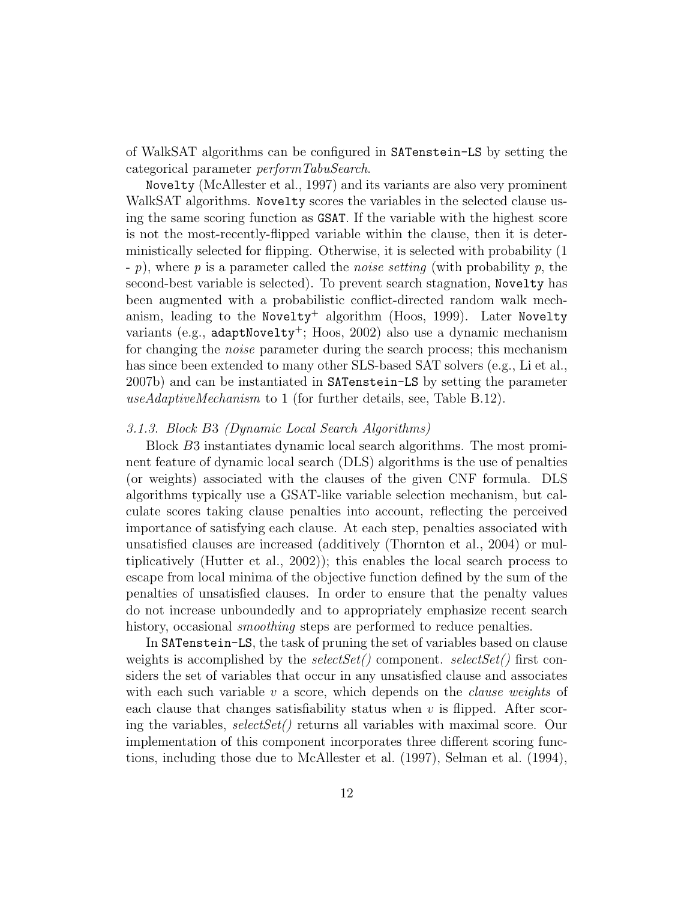of WalkSAT algorithms can be configured in SATenstein-LS by setting the categorical parameter performTabuSearch.

Novelty [\(McAllester et al., 1997\)](#page-33-11) and its variants are also very prominent WalkSAT algorithms. Novelty scores the variables in the selected clause using the same scoring function as GSAT. If the variable with the highest score is not the most-recently-flipped variable within the clause, then it is deterministically selected for flipping. Otherwise, it is selected with probability (1 - p), where p is a parameter called the noise setting (with probability p, the second-best variable is selected). To prevent search stagnation, Novelty has been augmented with a probabilistic conflict-directed random walk mech-anism, leading to the Novelty<sup>+</sup> algorithm [\(Hoos, 1999\)](#page-32-9). Later Novelty variants (e.g., adaptNovelty<sup>+</sup>; [Hoos, 2002\)](#page-32-0) also use a dynamic mechanism for changing the noise parameter during the search process; this mechanism has since been extended to many other SLS-based SAT solvers (e.g., [Li et al.,](#page-33-0) [2007b\)](#page-33-0) and can be instantiated in SATenstein-LS by setting the parameter useAdaptiveMechanism to 1 (for further details, see, Table [B.12\)](#page-37-0).

# 3.1.3. Block B3 (Dynamic Local Search Algorithms)

Block B3 instantiates dynamic local search algorithms. The most prominent feature of dynamic local search (DLS) algorithms is the use of penalties (or weights) associated with the clauses of the given CNF formula. DLS algorithms typically use a GSAT-like variable selection mechanism, but calculate scores taking clause penalties into account, reflecting the perceived importance of satisfying each clause. At each step, penalties associated with unsatisfied clauses are increased (additively [\(Thornton et al., 2004\)](#page-34-8) or multiplicatively [\(Hutter et al., 2002\)](#page-32-3)); this enables the local search process to escape from local minima of the objective function defined by the sum of the penalties of unsatisfied clauses. In order to ensure that the penalty values do not increase unboundedly and to appropriately emphasize recent search history, occasional *smoothing* steps are performed to reduce penalties.

In SATenstein-LS, the task of pruning the set of variables based on clause weights is accomplished by the selectSet() component. selectSet() first considers the set of variables that occur in any unsatisfied clause and associates with each such variable  $v$  a score, which depends on the *clause weights* of each clause that changes satisfiability status when  $v$  is flipped. After scoring the variables,  $selectSet()$  returns all variables with maximal score. Our implementation of this component incorporates three different scoring functions, including those due to [McAllester et al.](#page-33-11) [\(1997\)](#page-33-11), [Selman et al.](#page-34-7) [\(1994\)](#page-34-7),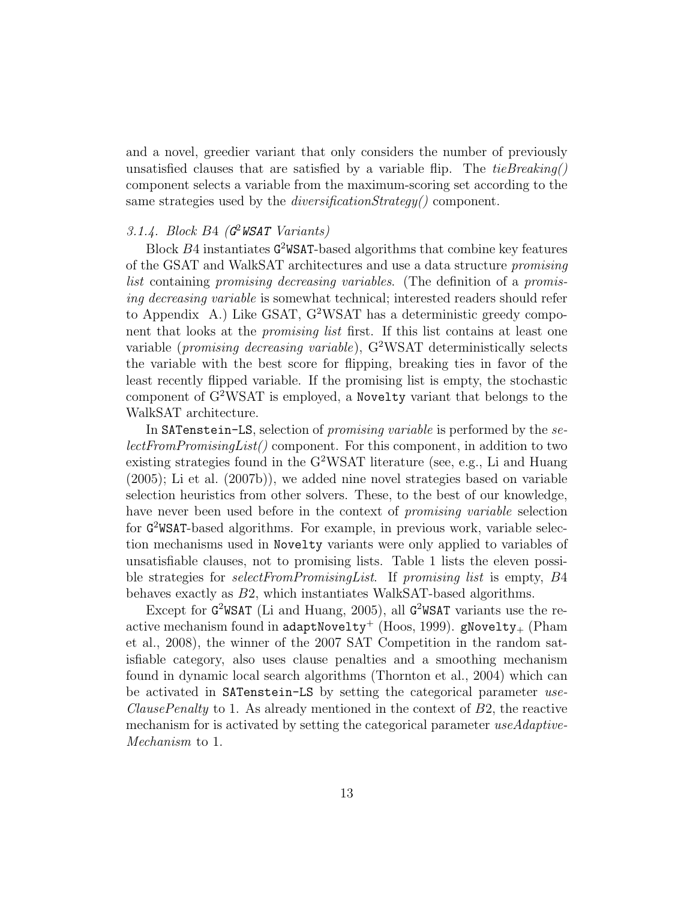and a novel, greedier variant that only considers the number of previously unsatisfied clauses that are satisfied by a variable flip. The  $tieBreaking()$ component selects a variable from the maximum-scoring set according to the same strategies used by the *diversificationStrategy()* component.

# 3.1.4. Block B4  $(G^2WSAT\ Variants)$

Block B4 instantiates G <sup>2</sup>WSAT-based algorithms that combine key features of the GSAT and WalkSAT architectures and use a data structure promising list containing promising decreasing variables. (The definition of a promising decreasing variable is somewhat technical; interested readers should refer to [Appendix A.](#page-36-1)) Like GSAT,  $G^2WSAT$  has a deterministic greedy component that looks at the *promising list* first. If this list contains at least one variable (*promising decreasing variable*),  $G^2WSAT$  deterministically selects the variable with the best score for flipping, breaking ties in favor of the least recently flipped variable. If the promising list is empty, the stochastic component of G<sup>2</sup>WSAT is employed, a Novelty variant that belongs to the WalkSAT architecture.

In SATenstein-LS, selection of promising variable is performed by the selectFromPromisingList() component. For this component, in addition to two existing strategies found in the G<sup>2</sup>WSAT literature (see, e.g., [Li and Huang](#page-33-4) [\(2005\)](#page-33-4); [Li et al.](#page-33-0) [\(2007b\)](#page-33-0)), we added nine novel strategies based on variable selection heuristics from other solvers. These, to the best of our knowledge, have never been used before in the context of *promising variable* selection for G <sup>2</sup>WSAT-based algorithms. For example, in previous work, variable selection mechanisms used in Novelty variants were only applied to variables of unsatisfiable clauses, not to promising lists. Table [1](#page-13-0) lists the eleven possible strategies for *selectFromPromisingList*. If promising list is empty, B4 behaves exactly as B2, which instantiates WalkSAT-based algorithms.

Except for  $G^2WSAT$  [\(Li and Huang, 2005\)](#page-33-4), all  $G^2WSAT$  variants use the re-active mechanism found in adaptNovelty<sup>+</sup> [\(Hoos, 1999\)](#page-32-9). gNovelty<sub>+</sub> [\(Pham](#page-34-0) [et al., 2008\)](#page-34-0), the winner of the 2007 SAT Competition in the random satisfiable category, also uses clause penalties and a smoothing mechanism found in dynamic local search algorithms [\(Thornton et al., 2004\)](#page-34-8) which can be activated in SATenstein-LS by setting the categorical parameter use-*ClausePenalty* to 1. As already mentioned in the context of  $B2$ , the reactive mechanism for is activated by setting the categorical parameter use Adaptive-Mechanism to 1.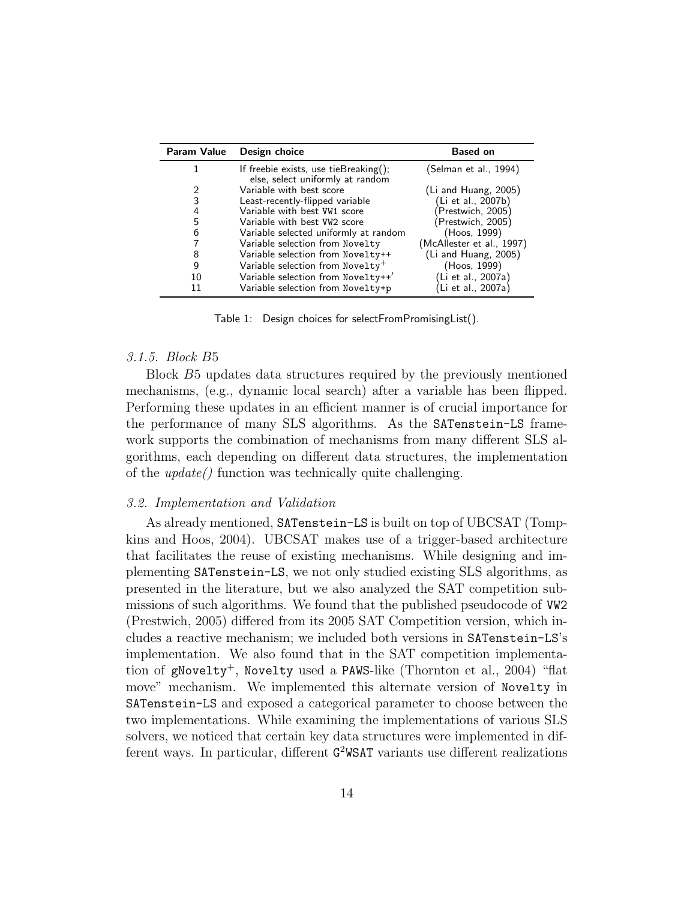| Param Value | Design choice                                                                 | <b>Based on</b>           |
|-------------|-------------------------------------------------------------------------------|---------------------------|
|             | If freebie exists, use tieBreaking $()$ ;<br>else, select uniformly at random | (Selman et al., 1994)     |
| 2           | Variable with best score                                                      | $(Li$ and Huang, 2005)    |
| 3           | Least-recently-flipped variable                                               | (Li et al., 2007b)        |
| 4           | Variable with best VW1 score                                                  | Prestwich, 2005)          |
| 5           | Variable with best VW2 score                                                  | (Prestwich, 2005)         |
| 6           | Variable selected uniformly at random                                         | (Hoos, 1999)              |
| 7           | Variable selection from Novelty                                               | (McAllester et al., 1997) |
| 8           | Variable selection from Novelty++                                             | $(Li$ and Huang, 2005)    |
| 9           | Variable selection from $Now$ elty <sup>+</sup>                               | (Hoos, 1999)              |
| 10          | Variable selection from Novelty++'                                            | (Li et al., 2007a)        |
| 11          | Variable selection from Novelty+p                                             | (Li et al., 2007a)        |

<span id="page-13-0"></span>Table 1: Design choices for selectFromPromisingList().

#### 3.1.5. Block B5

Block B5 updates data structures required by the previously mentioned mechanisms, (e.g., dynamic local search) after a variable has been flipped. Performing these updates in an efficient manner is of crucial importance for the performance of many SLS algorithms. As the SATenstein-LS framework supports the combination of mechanisms from many different SLS algorithms, each depending on different data structures, the implementation of the update() function was technically quite challenging.

#### 3.2. Implementation and Validation

As already mentioned, SATenstein-LS is built on top of UBCSAT [\(Tomp](#page-35-3)[kins and Hoos, 2004\)](#page-35-3). UBCSAT makes use of a trigger-based architecture that facilitates the reuse of existing mechanisms. While designing and implementing SATenstein-LS, we not only studied existing SLS algorithms, as presented in the literature, but we also analyzed the SAT competition submissions of such algorithms. We found that the published pseudocode of VW2 [\(Prestwich, 2005\)](#page-34-5) differed from its 2005 SAT Competition version, which includes a reactive mechanism; we included both versions in SATenstein-LS's implementation. We also found that in the SAT competition implementa-tion of gNovelty<sup>+</sup>, Novelty used a PAWS-like [\(Thornton et al., 2004\)](#page-34-8) "flat move" mechanism. We implemented this alternate version of Novelty in SATenstein-LS and exposed a categorical parameter to choose between the two implementations. While examining the implementations of various SLS solvers, we noticed that certain key data structures were implemented in different ways. In particular, different  $G^2$ WSAT variants use different realizations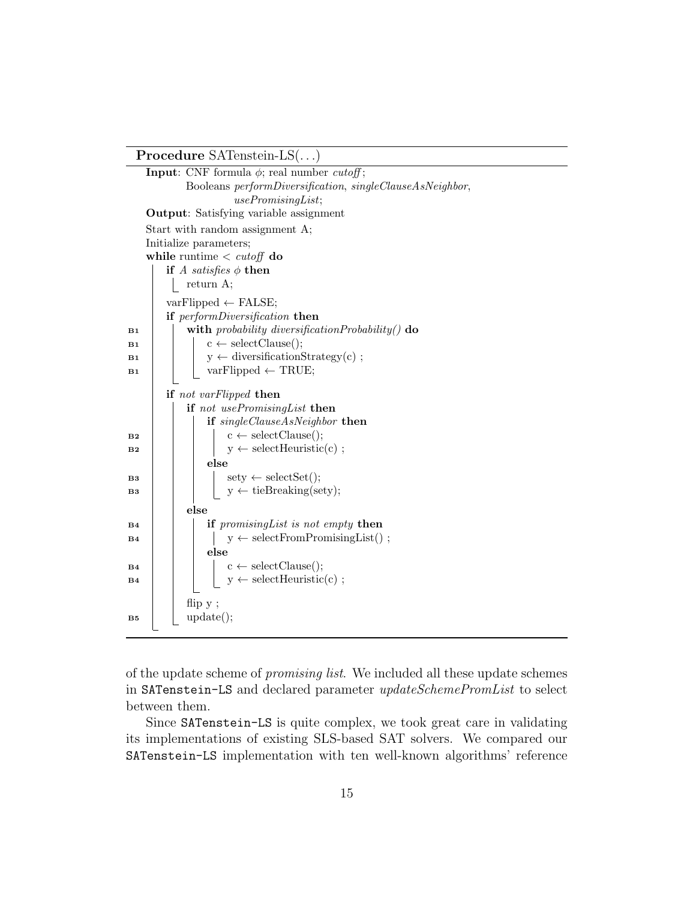Procedure SATenstein-LS(. . .)

**Input:** CNF formula  $\phi$ ; real number *cutoff*; Booleans performDiversification, singleClauseAsNeighbor, usePromisingList; Output: Satisfying variable assignment Start with random assignment A; Initialize parameters; while runtime  $\langle \; cutoff \;do$ if A satisfies  $\phi$  then return A;  $varFlipped \leftarrow FALSE;$ if performDiversification then  $\mathbf{B1}$  with probability diversification Probability() do  $\mathbf{B1}$   $\vert \cdot \vert$   $\mathbf{c} \leftarrow \text{selectCluster}$  $\mathbf{B1}$  | y ← diversificationStrategy(c);  $\mathbf{B1}$  | | varFlipped  $\leftarrow$  TRUE; if not varFlipped then if not usePromisingList then if singleClauseAsNeighbor then  $\mathbf{B2}$  | | |  $\mathbf{c} \leftarrow \text{selectClause}$ );  $\mathbf{B2}$  | | |  $\mathbf{y} \leftarrow \text{selectHeuristic}(c)$ ; else  $\mathbf{B3}$  sety  $\leftarrow$  selectSet(); B3 | | |  $y \leftarrow$  tieBreaking(sety); else  $\mathbf{B4}$  if promising List is not empty then  $\mathbf{B4}$  | | |  $\mathbf{y} \leftarrow \text{selectFrom PromisingList}()$ ; else  $\mathbf{B4}$  | |  $\mathbf{c} \leftarrow \text{selectClause}$ );  $\mathbf{B4}$  | | |  $\mathbf{y} \leftarrow \text{selectHeuristic}(c)$ ; flip y ;  $\mathbf{B5}$  update();

of the update scheme of promising list. We included all these update schemes in SATenstein-LS and declared parameter updateSchemePromList to select between them.

Since SATenstein-LS is quite complex, we took great care in validating its implementations of existing SLS-based SAT solvers. We compared our SATenstein-LS implementation with ten well-known algorithms' reference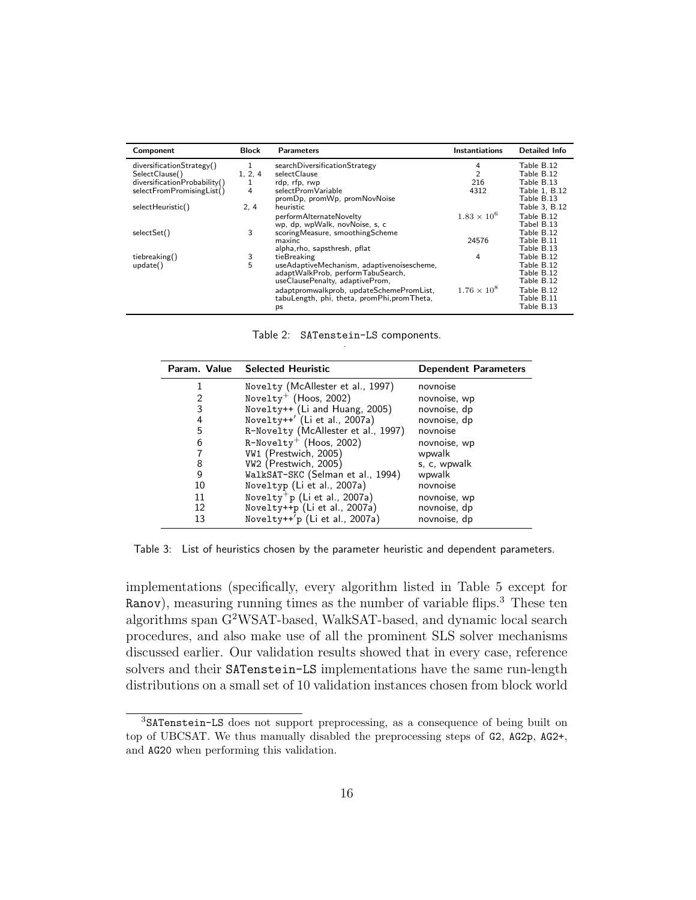| Component                    | Block   | <b>Parameters</b>                           | <b>Instantiations</b> | Detailed Info |
|------------------------------|---------|---------------------------------------------|-----------------------|---------------|
| diversificationStrategy()    | 1       | searchDiversificationStrategy               | 4                     | Table B.12    |
| SelectClause()               | 1, 2, 4 | selectClause                                | $\overline{2}$        | Table B.12    |
| diversificationProbability() | 1       | rdp, rfp, rwp                               | 216                   | Table B.13    |
| selectFromPromisingList()    | 4       | selectPromVariable                          | 4312                  | Table 1, B.12 |
|                              |         | promDp, promWp, promNovNoise                |                       | Table B.13    |
| selectHeuristic()            | 2, 4    | heuristic                                   |                       | Table 3, B.12 |
|                              |         | performAlternateNovelty                     | $1.83 \times 10^{6}$  | Table B.12    |
|                              |         | wp, dp, wpWalk, novNoise, s, c              |                       | Tabel B.13    |
| selectSet()                  | 3       | scoringMeasure, smoothingScheme             |                       | Table B.12    |
|                              |         | maxinc                                      | 24576                 | Table B.11    |
|                              |         | alpha, rho, sapsthresh, pflat               |                       | Table B.13    |
| tiebreaking()                | 3       | tieBreaking                                 | 4                     | Table B.12    |
| update()                     | 5       | useAdaptiveMechanism, adaptivenoisescheme,  |                       | Table B.12    |
|                              |         | adaptWalkProb, performTabuSearch,           |                       | Table B.12    |
|                              |         | useClausePenalty, adaptiveProm,             |                       | Table B.12    |
|                              |         | adaptpromwalkprob, updateSchemePromList,    | $1.76 \times 10^{8}$  | Table B.12    |
|                              |         | tabuLength, phi, theta, promPhi, promTheta, |                       | Table B.11    |
|                              |         | ps                                          |                       | Table B.13    |

<span id="page-15-0"></span>Table 2: SATenstein-LS components. .

|    | Param. Value Selected Heuristic           | <b>Dependent Parameters</b> |
|----|-------------------------------------------|-----------------------------|
|    | Novelty (McAllester et al., 1997)         | novnoise                    |
|    | Novelty <sup>+</sup> (Hoos, 2002)         | novnoise, wp                |
| 3  | Novelty++ (Li and Huang, 2005)            | novnoise, dp                |
| 4  | Novelty++' (Li et al., 2007a)             | novnoise, dp                |
| 5  | R-Novelty (McAllester et al., 1997)       | novnoise                    |
| 6  | $R-Novelty^+$ (Hoos, 2002)                | novnoise, wp                |
|    | VW1 (Prestwich, 2005)                     | wpwalk                      |
| 8  | VW2 (Prestwich, 2005)                     | s, c, wpwalk                |
| 9  | WalkSAT-SKC (Selman et al., 1994)         | wpwalk                      |
| 10 | Noveltyp (Li et al., 2007a)               | novnoise                    |
| 11 | Novelty <sup>+</sup> p (Li et al., 2007a) | novnoise, wp                |
| 12 | Novelty++p (Li et al., 2007a)             | novnoise, dp                |
| 13 | Novelty++'p (Li et al., 2007a)            | novnoise, dp                |

<span id="page-15-1"></span>Table 3: List of heuristics chosen by the parameter heuristic and dependent parameters.

implementations (specifically, every algorithm listed in Table [5](#page-20-0) except for Ranov), measuring running times as the number of variable flips.<sup>[3](#page-15-2)</sup> These ten algorithms span G<sup>2</sup>WSAT-based, WalkSAT-based, and dynamic local search procedures, and also make use of all the prominent SLS solver mechanisms discussed earlier. Our validation results showed that in every case, reference solvers and their SATenstein-LS implementations have the same run-length distributions on a small set of 10 validation instances chosen from block world

<span id="page-15-2"></span><sup>3</sup>SATenstein-LS does not support preprocessing, as a consequence of being built on top of UBCSAT. We thus manually disabled the preprocessing steps of G2, AG2p, AG2+, and AG20 when performing this validation.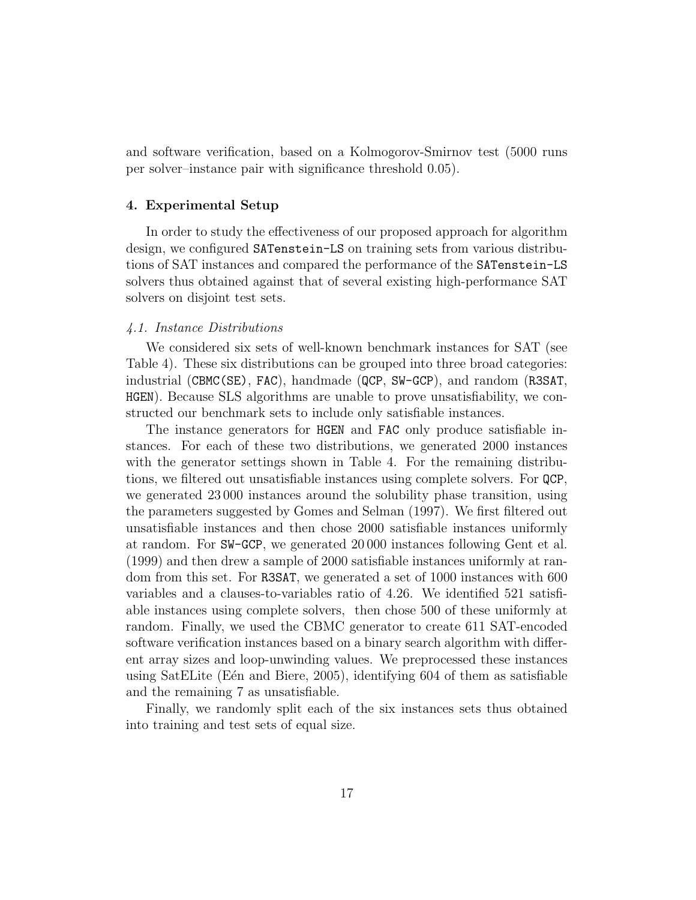and software verification, based on a Kolmogorov-Smirnov test (5000 runs per solver–instance pair with significance threshold 0.05).

# <span id="page-16-0"></span>4. Experimental Setup

In order to study the effectiveness of our proposed approach for algorithm design, we configured SATenstein-LS on training sets from various distributions of SAT instances and compared the performance of the SATenstein-LS solvers thus obtained against that of several existing high-performance SAT solvers on disjoint test sets.

# 4.1. Instance Distributions

We considered six sets of well-known benchmark instances for SAT (see Table [4\)](#page-17-0). These six distributions can be grouped into three broad categories: industrial (CBMC(SE), FAC), handmade (QCP, SW-GCP), and random (R3SAT, HGEN). Because SLS algorithms are unable to prove unsatisfiability, we constructed our benchmark sets to include only satisfiable instances.

The instance generators for HGEN and FAC only produce satisfiable instances. For each of these two distributions, we generated 2000 instances with the generator settings shown in Table [4.](#page-17-0) For the remaining distributions, we filtered out unsatisfiable instances using complete solvers. For QCP, we generated 23 000 instances around the solubility phase transition, using the parameters suggested by [Gomes and Selman](#page-31-11) [\(1997\)](#page-31-11). We first filtered out unsatisfiable instances and then chose 2000 satisfiable instances uniformly at random. For SW-GCP, we generated 20 000 instances following [Gent et al.](#page-31-12) [\(1999\)](#page-31-12) and then drew a sample of 2000 satisfiable instances uniformly at random from this set. For R3SAT, we generated a set of 1000 instances with 600 variables and a clauses-to-variables ratio of 4.26. We identified 521 satisfiable instances using complete solvers, then chose 500 of these uniformly at random. Finally, we used the CBMC generator to create 611 SAT-encoded software verification instances based on a binary search algorithm with different array sizes and loop-unwinding values. We preprocessed these instances using SatELite (Een and Biere, 2005), identifying  $604$  of them as satisfiable and the remaining 7 as unsatisfiable.

Finally, we randomly split each of the six instances sets thus obtained into training and test sets of equal size.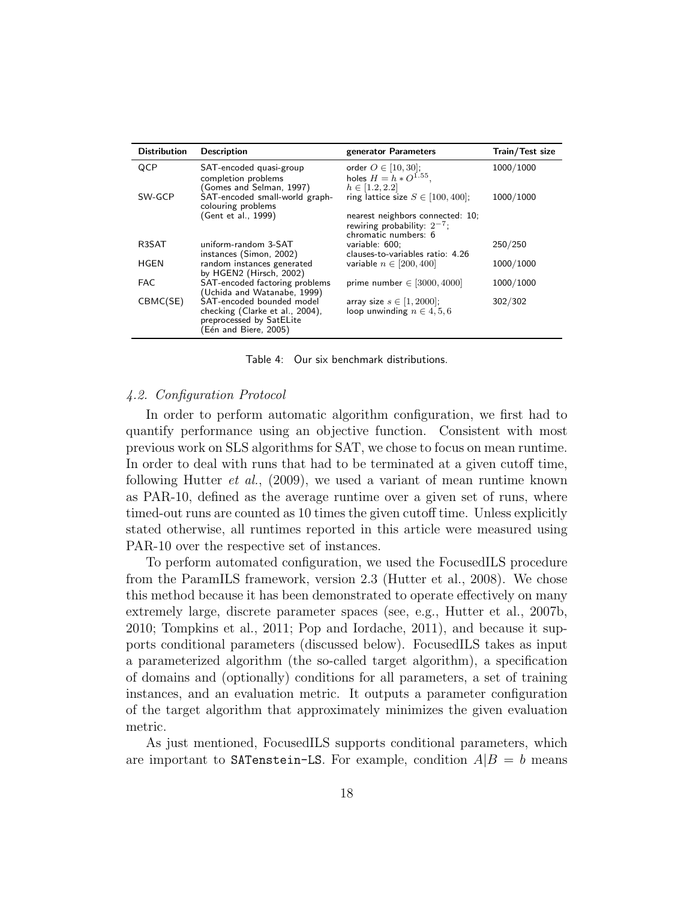| <b>Distribution</b> | <b>Description</b>                                    | generator Parameters                   | Train/Test size |
|---------------------|-------------------------------------------------------|----------------------------------------|-----------------|
| QCP                 | SAT-encoded quasi-group                               | order $O \in [10, 30]$ ;               | 1000/1000       |
|                     | completion problems                                   | holes $H = h * O^{1.55}$ .             |                 |
|                     | (Gomes and Selman, 1997)                              | $h \in [1.2, 2.2]$                     |                 |
| SW-GCP              | SAT-encoded small-world graph-<br>colouring problems  | ring lattice size $S \in [100, 400]$ ; | 1000/1000       |
|                     | (Gent et al., 1999)                                   | nearest neighbors connected: 10;       |                 |
|                     |                                                       | rewiring probability: $2^{-7}$ ;       |                 |
|                     |                                                       | chromatic numbers: 6                   |                 |
| R3SAT               | uniform-random 3-SAT                                  | variable: 600;                         | 250/250         |
|                     | instances (Simon, 2002)                               | clauses-to-variables ratio: 4.26       |                 |
| HGEN                | random instances generated<br>by HGEN2 (Hirsch, 2002) | variable $n \in [200, 400]$            | 1000/1000       |
| <b>FAC</b>          | SAT-encoded factoring problems                        | prime number $\in$ [3000, 4000]        | 1000/1000       |
|                     | (Uchida and Watanabe, 1999)                           |                                        |                 |
| CBMC(SE)            | SAT-encoded bounded model                             | array size $s \in [1, 2000]$ ;         | 302/302         |
|                     | checking (Clarke et al., 2004),                       | loop unwinding $n \in 4, 5, 6$         |                 |
|                     | preprocessed by SatELite                              |                                        |                 |
|                     | (Eén and Biere, 2005)                                 |                                        |                 |

<span id="page-17-0"></span>Table 4: Our six benchmark distributions.

#### 4.2. Configuration Protocol

In order to perform automatic algorithm configuration, we first had to quantify performance using an objective function. Consistent with most previous work on SLS algorithms for SAT, we chose to focus on mean runtime. In order to deal with runs that had to be terminated at a given cutoff time, following Hutter *et al.*,  $(2009)$ , we used a variant of mean runtime known as PAR-10, defined as the average runtime over a given set of runs, where timed-out runs are counted as 10 times the given cutoff time. Unless explicitly stated otherwise, all runtimes reported in this article were measured using PAR-10 over the respective set of instances.

To perform automated configuration, we used the FocusedILS procedure from the ParamILS framework, version 2.3 [\(Hutter et al., 2008\)](#page-32-11). We chose this method because it has been demonstrated to operate effectively on many extremely large, discrete parameter spaces (see, e.g., [Hutter et al., 2007b,](#page-32-1) [2010;](#page-32-12) [Tompkins et al., 2011;](#page-34-13) [Pop and Iordache, 2011\)](#page-34-14), and because it supports conditional parameters (discussed below). FocusedILS takes as input a parameterized algorithm (the so-called target algorithm), a specification of domains and (optionally) conditions for all parameters, a set of training instances, and an evaluation metric. It outputs a parameter configuration of the target algorithm that approximately minimizes the given evaluation metric.

As just mentioned, FocusedILS supports conditional parameters, which are important to SATenstein-LS. For example, condition  $A|B = b$  means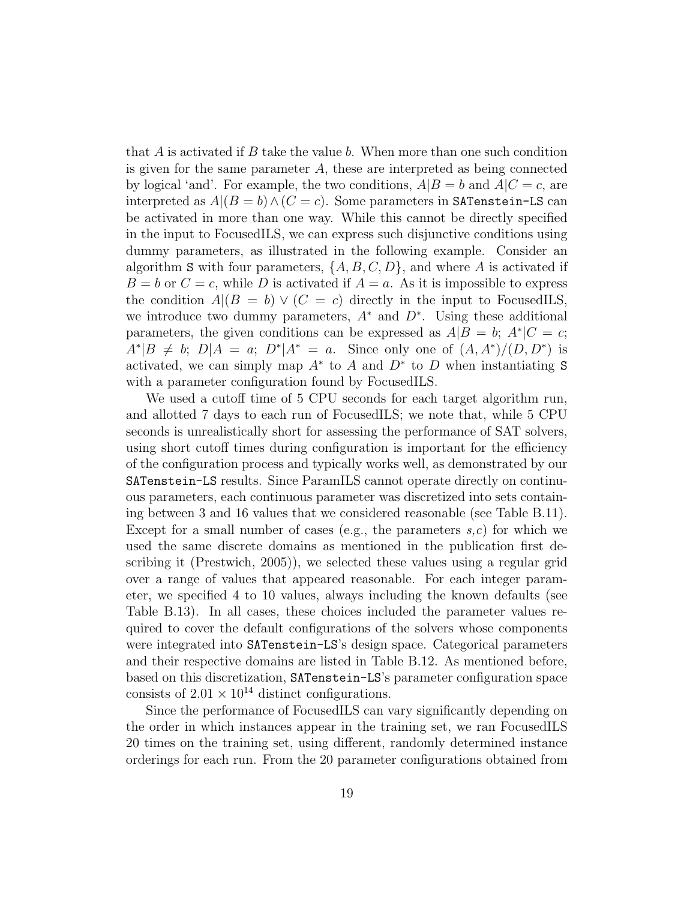that  $A$  is activated if  $B$  take the value  $b$ . When more than one such condition is given for the same parameter  $A$ , these are interpreted as being connected by logical 'and'. For example, the two conditions,  $A|B = b$  and  $A|C = c$ , are interpreted as  $A|(B = b) \wedge (C = c)$ . Some parameters in SATenstein-LS can be activated in more than one way. While this cannot be directly specified in the input to FocusedILS, we can express such disjunctive conditions using dummy parameters, as illustrated in the following example. Consider an algorithm S with four parameters,  $\{A, B, C, D\}$ , and where A is activated if  $B = b$  or  $C = c$ , while D is activated if  $A = a$ . As it is impossible to express the condition  $A|(B = b) \vee (C = c)$  directly in the input to FocusedILS, we introduce two dummy parameters,  $A^*$  and  $D^*$ . Using these additional parameters, the given conditions can be expressed as  $A|B = b$ ;  $A^*|C = c$ ;  $A^*|B \neq b; D|A = a; D^*|A^* = a.$  Since only one of  $(A, A^*)/(D, D^*)$  is activated, we can simply map  $A^*$  to  $A$  and  $D^*$  to  $D$  when instantiating S with a parameter configuration found by FocusedILS.

We used a cutoff time of 5 CPU seconds for each target algorithm run, and allotted 7 days to each run of FocusedILS; we note that, while 5 CPU seconds is unrealistically short for assessing the performance of SAT solvers, using short cutoff times during configuration is important for the efficiency of the configuration process and typically works well, as demonstrated by our SATenstein-LS results. Since ParamILS cannot operate directly on continuous parameters, each continuous parameter was discretized into sets containing between 3 and 16 values that we considered reasonable (see Table [B.11\)](#page-36-0). Except for a small number of cases (e.g., the parameters  $s,c$ ) for which we used the same discrete domains as mentioned in the publication first describing it [\(Prestwich, 2005\)](#page-34-5)), we selected these values using a regular grid over a range of values that appeared reasonable. For each integer parameter, we specified 4 to 10 values, always including the known defaults (see Table [B.13\)](#page-38-0). In all cases, these choices included the parameter values required to cover the default configurations of the solvers whose components were integrated into SATenstein-LS's design space. Categorical parameters and their respective domains are listed in Table [B.12.](#page-37-0) As mentioned before, based on this discretization, SATenstein-LS's parameter configuration space consists of  $2.01 \times 10^{14}$  distinct configurations.

Since the performance of FocusedILS can vary significantly depending on the order in which instances appear in the training set, we ran FocusedILS 20 times on the training set, using different, randomly determined instance orderings for each run. From the 20 parameter configurations obtained from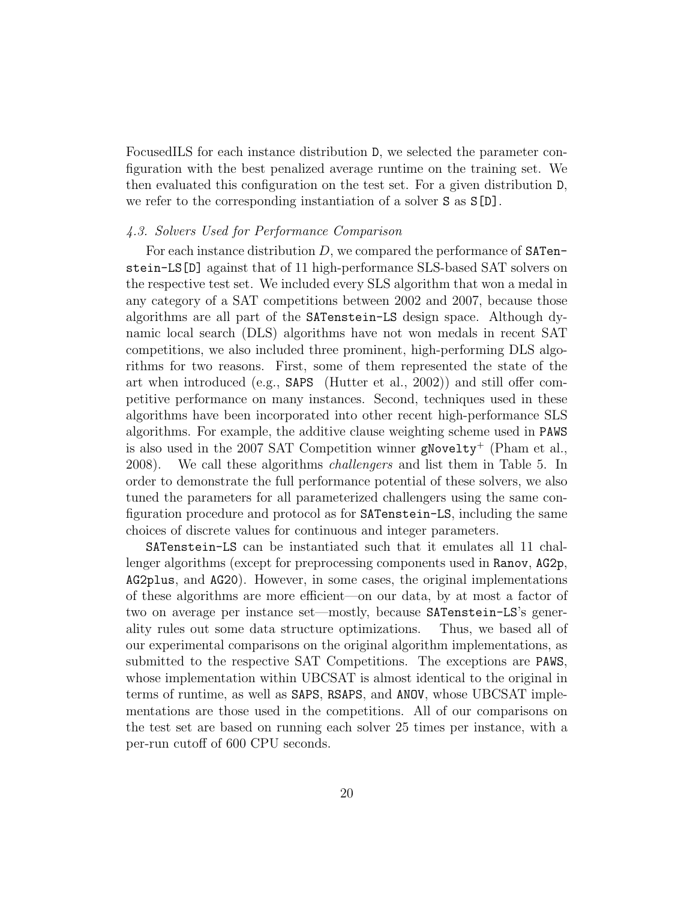FocusedILS for each instance distribution D, we selected the parameter configuration with the best penalized average runtime on the training set. We then evaluated this configuration on the test set. For a given distribution D, we refer to the corresponding instantiation of a solver S as S[D].

#### 4.3. Solvers Used for Performance Comparison

For each instance distribution  $D$ , we compared the performance of SATenstein-LS[D] against that of 11 high-performance SLS-based SAT solvers on the respective test set. We included every SLS algorithm that won a medal in any category of a SAT competitions between 2002 and 2007, because those algorithms are all part of the SATenstein-LS design space. Although dynamic local search (DLS) algorithms have not won medals in recent SAT competitions, we also included three prominent, high-performing DLS algorithms for two reasons. First, some of them represented the state of the art when introduced (e.g., SAPS [\(Hutter et al., 2002\)](#page-32-3)) and still offer competitive performance on many instances. Second, techniques used in these algorithms have been incorporated into other recent high-performance SLS algorithms. For example, the additive clause weighting scheme used in PAWS is also used in the 2007 SAT Competition winner gNovelty<sup>+</sup> [\(Pham et al.,](#page-34-0) [2008\)](#page-34-0). We call these algorithms challengers and list them in Table [5.](#page-20-0) In order to demonstrate the full performance potential of these solvers, we also tuned the parameters for all parameterized challengers using the same configuration procedure and protocol as for SATenstein-LS, including the same choices of discrete values for continuous and integer parameters.

SATenstein-LS can be instantiated such that it emulates all 11 challenger algorithms (except for preprocessing components used in Ranov, AG2p, AG2plus, and AG20). However, in some cases, the original implementations of these algorithms are more efficient—on our data, by at most a factor of two on average per instance set—mostly, because SATenstein-LS's generality rules out some data structure optimizations. Thus, we based all of our experimental comparisons on the original algorithm implementations, as submitted to the respective SAT Competitions. The exceptions are PAWS, whose implementation within UBCSAT is almost identical to the original in terms of runtime, as well as SAPS, RSAPS, and ANOV, whose UBCSAT implementations are those used in the competitions. All of our comparisons on the test set are based on running each solver 25 times per instance, with a per-run cutoff of 600 CPU seconds.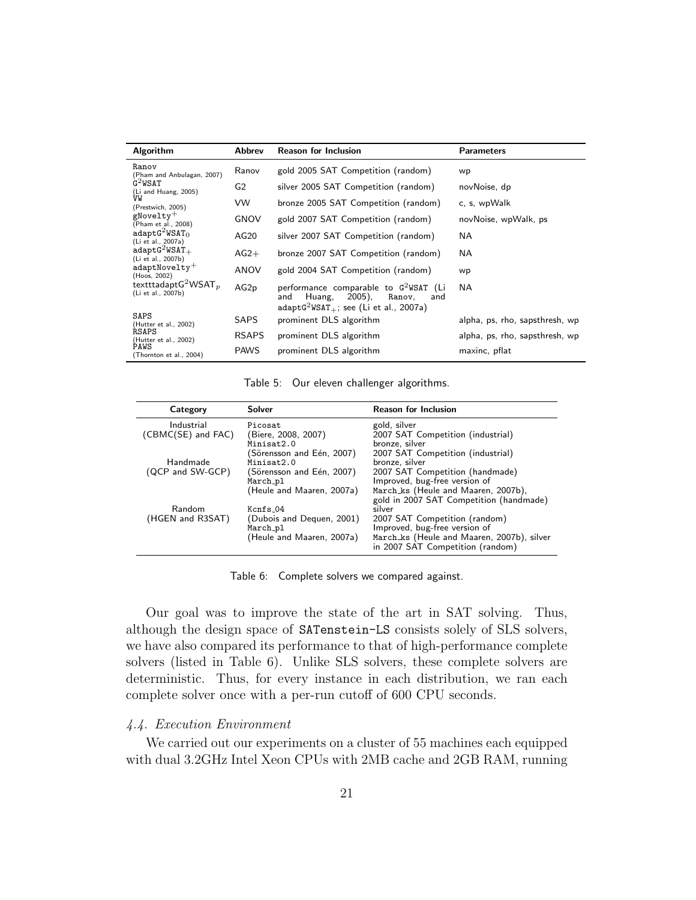| Algorithm                                     | <b>Abbrev</b>  | <b>Reason for Inclusion</b>                                                                                                    | <b>Parameters</b>              |
|-----------------------------------------------|----------------|--------------------------------------------------------------------------------------------------------------------------------|--------------------------------|
| Ranov<br>(Pham and Anbulagan, 2007)           | Ranov          | gold 2005 SAT Competition (random)                                                                                             | wp                             |
| $G^2WSAT$<br>(Li and Huang, 2005)             | G <sub>2</sub> | silver 2005 SAT Competition (random)                                                                                           | novNoise, dp                   |
| VW<br>(Prestwich, 2005)                       | VW             | bronze 2005 SAT Competition (random)                                                                                           | c, s, wpWalk                   |
| gNovelty $^+$<br>(Pham et al., 2008)          | <b>GNOV</b>    | gold 2007 SAT Competition (random)                                                                                             | novNoise, wpWalk, ps           |
| $adaptG^2WSAT_0$<br>(Li et al., 2007a)        | AG20           | silver 2007 SAT Competition (random)                                                                                           | NA.                            |
| $adaptG^2WSAT_+$<br>(Li et al., 2007b)        | $AG2+$         | bronze 2007 SAT Competition (random)                                                                                           | NA.                            |
| $adaptNovelty+$<br>(Hoos, 2002)               | ANOV           | gold 2004 SAT Competition (random)                                                                                             | wp                             |
| textttadapt $G^2WSAT_p$<br>(Li et al., 2007b) | AG2p           | performance comparable to $G^2WSAT$ (Li<br>2005),<br>Huang,<br>Ranov,<br>and<br>and<br>$adaptG2WSAT+$ ; see (Li et al., 2007a) | NA.                            |
| SAPS<br>(Hutter et al., 2002)                 | <b>SAPS</b>    | prominent DLS algorithm                                                                                                        | alpha, ps, rho, sapsthresh, wp |
| <b>RSAPS</b><br>(Hutter et al., 2002)         | <b>RSAPS</b>   | prominent DLS algorithm                                                                                                        | alpha, ps, rho, sapsthresh, wp |
| PAWS<br>(Thornton et al., 2004)               | <b>PAWS</b>    | prominent DLS algorithm                                                                                                        | maxinc, pflat                  |

<span id="page-20-0"></span>Table 5: Our eleven challenger algorithms.

| Category           | Solver                    | <b>Reason for Inclusion</b>                                    |
|--------------------|---------------------------|----------------------------------------------------------------|
| Industrial         | Picosat                   | gold, silver                                                   |
| (CBMC(SE) and FAC) | (Biere, 2008, 2007)       | 2007 SAT Competition (industrial)                              |
|                    | Minisat2.0                | bronze, silver                                                 |
|                    | (Sörensson and Eén, 2007) | 2007 SAT Competition (industrial)                              |
| Handmade           | Minisat2.0                | bronze, silver                                                 |
| (QCP and SW-GCP)   | (Sörensson and Eén, 2007) | 2007 SAT Competition (handmade)                                |
|                    | March_pl                  | Improved, bug-free version of                                  |
|                    | (Heule and Maaren, 2007a) | March_ks (Heule and Maaren, 2007b),                            |
|                    |                           | gold in 2007 SAT Competition (handmade)                        |
| Random             | $Kcnfs_04$                | silver                                                         |
| (HGEN and R3SAT)   | (Dubois and Dequen, 2001) | 2007 SAT Competition (random)<br>Improved, bug-free version of |
|                    | March_pl                  |                                                                |
|                    | (Heule and Maaren, 2007a) | March_ks (Heule and Maaren, 2007b), silver                     |
|                    |                           | in 2007 SAT Competition (random)                               |

<span id="page-20-1"></span>Table 6: Complete solvers we compared against.

Our goal was to improve the state of the art in SAT solving. Thus, although the design space of SATenstein-LS consists solely of SLS solvers, we have also compared its performance to that of high-performance complete solvers (listed in Table [6\)](#page-20-1). Unlike SLS solvers, these complete solvers are deterministic. Thus, for every instance in each distribution, we ran each complete solver once with a per-run cutoff of 600 CPU seconds.

# 4.4. Execution Environment

We carried out our experiments on a cluster of 55 machines each equipped with dual 3.2GHz Intel Xeon CPUs with 2MB cache and 2GB RAM, running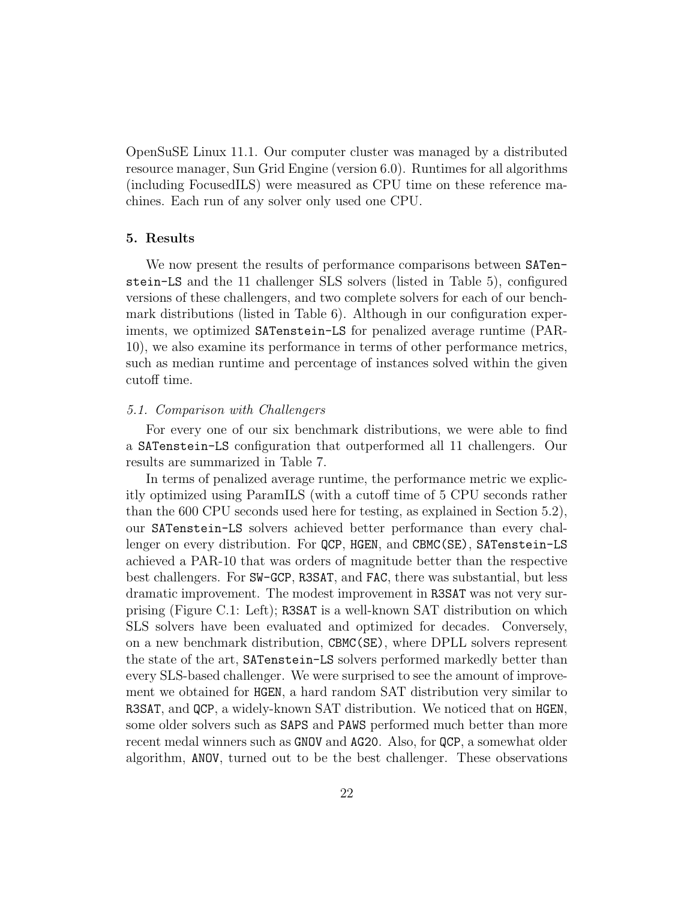OpenSuSE Linux 11.1. Our computer cluster was managed by a distributed resource manager, Sun Grid Engine (version 6.0). Runtimes for all algorithms (including FocusedILS) were measured as CPU time on these reference machines. Each run of any solver only used one CPU.

#### <span id="page-21-0"></span>5. Results

We now present the results of performance comparisons between SATenstein-LS and the 11 challenger SLS solvers (listed in Table [5\)](#page-20-0), configured versions of these challengers, and two complete solvers for each of our benchmark distributions (listed in Table [6\)](#page-20-1). Although in our configuration experiments, we optimized SATenstein-LS for penalized average runtime (PAR-10), we also examine its performance in terms of other performance metrics, such as median runtime and percentage of instances solved within the given cutoff time.

#### 5.1. Comparison with Challengers

For every one of our six benchmark distributions, we were able to find a SATenstein-LS configuration that outperformed all 11 challengers. Our results are summarized in Table [7.](#page-22-0)

In terms of penalized average runtime, the performance metric we explicitly optimized using ParamILS (with a cutoff time of 5 CPU seconds rather than the 600 CPU seconds used here for testing, as explained in Section 5.2), our SATenstein-LS solvers achieved better performance than every challenger on every distribution. For QCP, HGEN, and CBMC(SE), SATenstein-LS achieved a PAR-10 that was orders of magnitude better than the respective best challengers. For SW-GCP, R3SAT, and FAC, there was substantial, but less dramatic improvement. The modest improvement in R3SAT was not very surprising (Figure [C.1:](#page-39-0) Left); R3SAT is a well-known SAT distribution on which SLS solvers have been evaluated and optimized for decades. Conversely, on a new benchmark distribution, CBMC(SE), where DPLL solvers represent the state of the art, SATenstein-LS solvers performed markedly better than every SLS-based challenger. We were surprised to see the amount of improvement we obtained for HGEN, a hard random SAT distribution very similar to R3SAT, and QCP, a widely-known SAT distribution. We noticed that on HGEN, some older solvers such as SAPS and PAWS performed much better than more recent medal winners such as GNOV and AG20. Also, for QCP, a somewhat older algorithm, ANOV, turned out to be the best challenger. These observations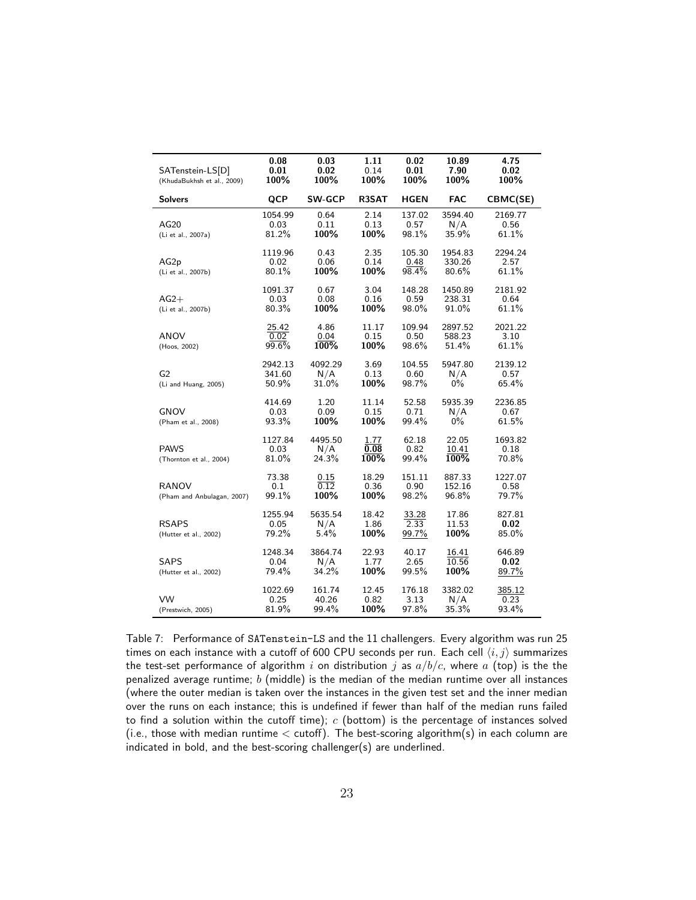| SATenstein-LS[D]<br>(KhudaBukhsh et al., 2009) | 0.08<br>0.01<br>100%       | 0.03<br>0.02<br>100%     | 1.11<br>0.14<br>100%  | 0.02<br>0.01<br>100%    | 10.89<br>7.90<br>100%      | 4.75<br>0.02<br>100%     |
|------------------------------------------------|----------------------------|--------------------------|-----------------------|-------------------------|----------------------------|--------------------------|
| <b>Solvers</b>                                 | QCP                        | <b>SW-GCP</b>            | R3SAT                 | <b>HGEN</b>             | <b>FAC</b>                 | CBMC(SE)                 |
| AG20<br>(Li et al., 2007a)                     | 1054.99<br>0.03<br>81.2%   | 0.64<br>0.11<br>100%     | 2.14<br>0.13<br>100%  | 137.02<br>0.57<br>98.1% | 3594.40<br>N/A<br>35.9%    | 2169.77<br>0.56<br>61.1% |
| AG <sub>2p</sub><br>(Li et al., 2007b)         | 1119.96<br>0.02<br>80.1%   | 0.43<br>0.06<br>100%     | 2.35<br>0.14<br>100%  | 105.30<br>0.48<br>98.4% | 1954.83<br>330.26<br>80.6% | 2294.24<br>2.57<br>61.1% |
| $AG2+$<br>(Li et al., 2007b)                   | 1091.37<br>0.03<br>80.3%   | 0.67<br>0.08<br>100%     | 3.04<br>0.16<br>100%  | 148.28<br>0.59<br>98.0% | 1450.89<br>238.31<br>91.0% | 2181.92<br>0.64<br>61.1% |
| ANOV<br>(Hoos, 2002)                           | 25.42<br>0.02<br>99.6%     | 4.86<br>0.04<br>100%     | 11.17<br>0.15<br>100% | 109.94<br>0.50<br>98.6% | 2897.52<br>588.23<br>51.4% | 2021.22<br>3.10<br>61.1% |
| G <sub>2</sub><br>(Li and Huang, 2005)         | 2942.13<br>341.60<br>50.9% | 4092.29<br>N/A<br>31.0%  | 3.69<br>0.13<br>100%  | 104.55<br>0.60<br>98.7% | 5947.80<br>N/A<br>$0\%$    | 2139.12<br>0.57<br>65.4% |
| GNOV<br>(Pham et al., 2008)                    | 414.69<br>0.03<br>93.3%    | 1.20<br>0.09<br>100%     | 11.14<br>0.15<br>100% | 52.58<br>0.71<br>99.4%  | 5935.39<br>N/A<br>$0\%$    | 2236.85<br>0.67<br>61.5% |
| <b>PAWS</b><br>(Thornton et al., 2004)         | 1127.84<br>0.03<br>81.0%   | 4495.50<br>N/A<br>24.3%  | 1.77<br>0.08<br>100%  | 62.18<br>0.82<br>99.4%  | 22.05<br>10.41<br>100%     | 1693.82<br>0.18<br>70.8% |
| <b>RANOV</b><br>(Pham and Anbulagan, 2007)     | 73.38<br>0.1<br>99.1%      | 0.15<br>0.12<br>100%     | 18.29<br>0.36<br>100% | 151.11<br>0.90<br>98.2% | 887.33<br>152.16<br>96.8%  | 1227.07<br>0.58<br>79.7% |
| <b>RSAPS</b><br>(Hutter et al., 2002)          | 1255.94<br>0.05<br>79.2%   | 5635.54<br>N/A<br>5.4%   | 18.42<br>1.86<br>100% | 33.28<br>2.33<br>99.7%  | 17.86<br>11.53<br>100%     | 827.81<br>0.02<br>85.0%  |
| <b>SAPS</b><br>(Hutter et al., 2002)           | 1248.34<br>0.04<br>79.4%   | 3864.74<br>N/A<br>34.2%  | 22.93<br>1.77<br>100% | 40.17<br>2.65<br>99.5%  | 16.41<br>10.56<br>100%     | 646.89<br>0.02<br>89.7%  |
| VW<br>(Prestwich, 2005)                        | 1022.69<br>0.25<br>81.9%   | 161.74<br>40.26<br>99.4% | 12.45<br>0.82<br>100% | 176.18<br>3.13<br>97.8% | 3382.02<br>N/A<br>35.3%    | 385.12<br>0.23<br>93.4%  |

<span id="page-22-0"></span>Table 7: Performance of SATenstein-LS and the 11 challengers. Every algorithm was run 25 times on each instance with a cutoff of 600 CPU seconds per run. Each cell  $\langle i, j \rangle$  summarizes the test-set performance of algorithm i on distribution j as  $a/b/c$ , where a (top) is the the penalized average runtime;  $b$  (middle) is the median of the median runtime over all instances (where the outer median is taken over the instances in the given test set and the inner median over the runs on each instance; this is undefined if fewer than half of the median runs failed to find a solution within the cutoff time);  $c$  (bottom) is the percentage of instances solved (i.e., those with median runtime  $<$  cutoff). The best-scoring algorithm(s) in each column are indicated in bold, and the best-scoring challenger(s) are underlined.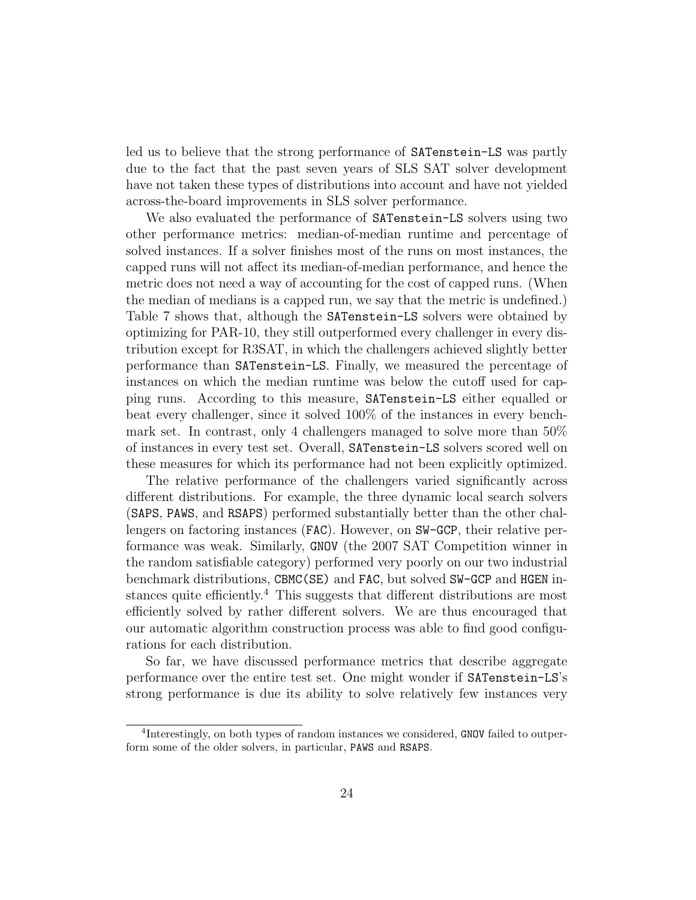led us to believe that the strong performance of SATenstein-LS was partly due to the fact that the past seven years of SLS SAT solver development have not taken these types of distributions into account and have not yielded across-the-board improvements in SLS solver performance.

We also evaluated the performance of SATenstein-LS solvers using two other performance metrics: median-of-median runtime and percentage of solved instances. If a solver finishes most of the runs on most instances, the capped runs will not affect its median-of-median performance, and hence the metric does not need a way of accounting for the cost of capped runs. (When the median of medians is a capped run, we say that the metric is undefined.) Table [7](#page-22-0) shows that, although the SATenstein-LS solvers were obtained by optimizing for PAR-10, they still outperformed every challenger in every distribution except for R3SAT, in which the challengers achieved slightly better performance than SATenstein-LS. Finally, we measured the percentage of instances on which the median runtime was below the cutoff used for capping runs. According to this measure, SATenstein-LS either equalled or beat every challenger, since it solved 100% of the instances in every benchmark set. In contrast, only 4 challengers managed to solve more than 50% of instances in every test set. Overall, SATenstein-LS solvers scored well on these measures for which its performance had not been explicitly optimized.

The relative performance of the challengers varied significantly across different distributions. For example, the three dynamic local search solvers (SAPS, PAWS, and RSAPS) performed substantially better than the other challengers on factoring instances (FAC). However, on SW-GCP, their relative performance was weak. Similarly, GNOV (the 2007 SAT Competition winner in the random satisfiable category) performed very poorly on our two industrial benchmark distributions, CBMC(SE) and FAC, but solved SW-GCP and HGEN in-stances quite efficiently.<sup>[4](#page-23-0)</sup> This suggests that different distributions are most efficiently solved by rather different solvers. We are thus encouraged that our automatic algorithm construction process was able to find good configurations for each distribution.

So far, we have discussed performance metrics that describe aggregate performance over the entire test set. One might wonder if SATenstein-LS's strong performance is due its ability to solve relatively few instances very

<span id="page-23-0"></span><sup>&</sup>lt;sup>4</sup>Interestingly, on both types of random instances we considered, GNOV failed to outperform some of the older solvers, in particular, PAWS and RSAPS.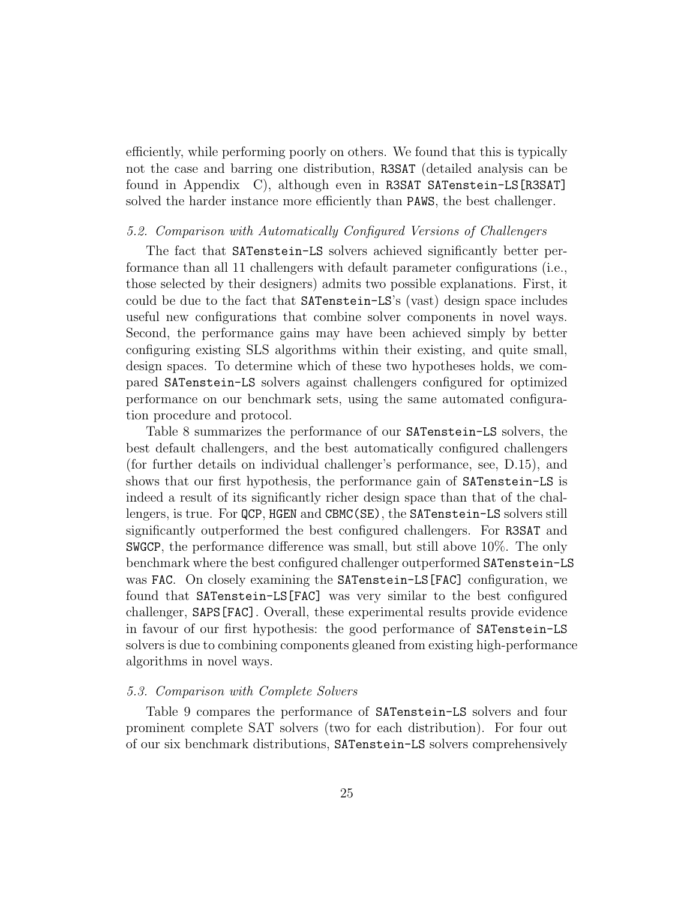efficiently, while performing poorly on others. We found that this is typically not the case and barring one distribution, R3SAT (detailed analysis can be found in [Appendix C\)](#page-37-1), although even in R3SAT SATenstein-LS[R3SAT] solved the harder instance more efficiently than PAWS, the best challenger.

#### <span id="page-24-0"></span>5.2. Comparison with Automatically Configured Versions of Challengers

The fact that SATenstein-LS solvers achieved significantly better performance than all 11 challengers with default parameter configurations (i.e., those selected by their designers) admits two possible explanations. First, it could be due to the fact that SATenstein-LS's (vast) design space includes useful new configurations that combine solver components in novel ways. Second, the performance gains may have been achieved simply by better configuring existing SLS algorithms within their existing, and quite small, design spaces. To determine which of these two hypotheses holds, we compared SATenstein-LS solvers against challengers configured for optimized performance on our benchmark sets, using the same automated configuration procedure and protocol.

Table [8](#page-25-0) summarizes the performance of our SATenstein-LS solvers, the best default challengers, and the best automatically configured challengers (for further details on individual challenger's performance, see, [D.15\)](#page-40-0), and shows that our first hypothesis, the performance gain of SATenstein-LS is indeed a result of its significantly richer design space than that of the challengers, is true. For QCP, HGEN and CBMC(SE), the SATenstein-LS solvers still significantly outperformed the best configured challengers. For R3SAT and SWGCP, the performance difference was small, but still above 10%. The only benchmark where the best configured challenger outperformed SATenstein-LS was FAC. On closely examining the SATenstein-LS[FAC] configuration, we found that SATenstein-LS[FAC] was very similar to the best configured challenger, SAPS[FAC]. Overall, these experimental results provide evidence in favour of our first hypothesis: the good performance of SATenstein-LS solvers is due to combining components gleaned from existing high-performance algorithms in novel ways.

#### <span id="page-24-1"></span>5.3. Comparison with Complete Solvers

Table [9](#page-26-0) compares the performance of SATenstein-LS solvers and four prominent complete SAT solvers (two for each distribution). For four out of our six benchmark distributions, SATenstein-LS solvers comprehensively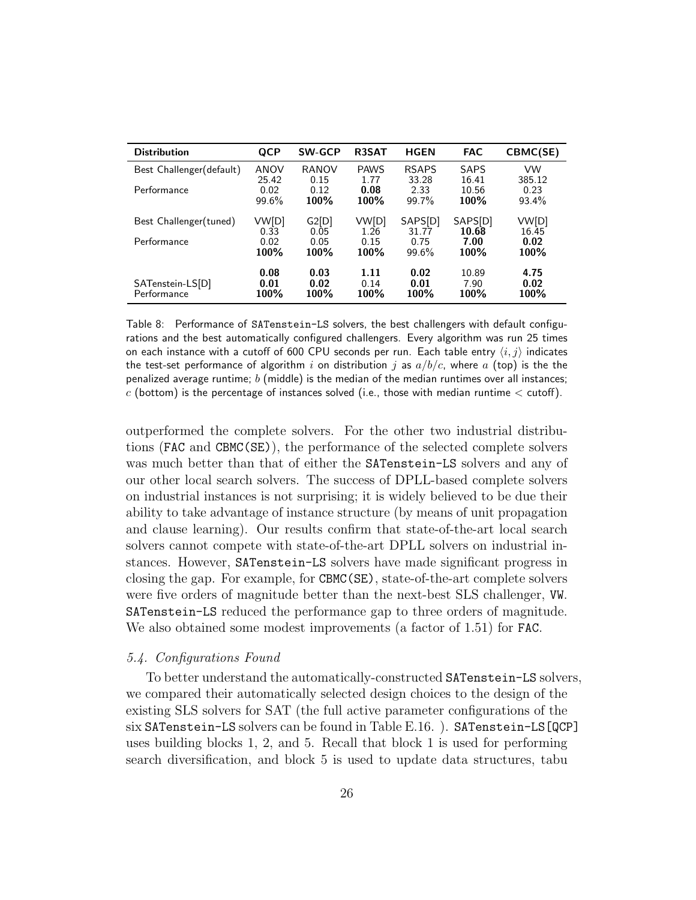| <b>Distribution</b>             | QCP                  | <b>SW-GCP</b>        | R3SAT                | <b>HGEN</b>          | <b>FAC</b>            | CBMC(SE)             |
|---------------------------------|----------------------|----------------------|----------------------|----------------------|-----------------------|----------------------|
| Best Challenger (default)       | <b>ANOV</b>          | RANOV                | <b>PAWS</b>          | <b>RSAPS</b>         | SAPS                  | VW                   |
| Performance                     | 25.42                | 0.15                 | 1.77                 | 33.28                | 16.41                 | 385.12               |
|                                 | 0.02                 | 0.12                 | 0.08                 | 2.33                 | 10.56                 | 0.23                 |
|                                 | 99.6%                | 100%                 | 100%                 | 99.7%                | 100%                  | 93.4%                |
| Best Challenger(tuned)          | VW[D]                | G2[D]                | VW[D]                | SAPS[D]              | SAPS[D]               | VW[D]                |
|                                 | 0.33                 | 0.05                 | 1.26                 | 31.77                | 10.68                 | 16.45                |
| Performance                     | 0.02                 | 0.05                 | 0.15                 | 0.75                 | 7.00                  | 0.02                 |
|                                 | 100%                 | 100%                 | 100%                 | $99.6\%$             | 100%                  | 100%                 |
| SATenstein-LS[D]<br>Performance | 0.08<br>0.01<br>100% | 0.03<br>0.02<br>100% | 1.11<br>0.14<br>100% | 0.02<br>0.01<br>100% | 10.89<br>7.90<br>100% | 4.75<br>0.02<br>100% |

<span id="page-25-0"></span>Table 8: Performance of SATenstein-LS solvers, the best challengers with default configurations and the best automatically configured challengers. Every algorithm was run 25 times on each instance with a cutoff of 600 CPU seconds per run. Each table entry  $\langle i, j \rangle$  indicates the test-set performance of algorithm i on distribution j as  $a/b/c$ , where a (top) is the the penalized average runtime;  $b$  (middle) is the median of the median runtimes over all instances;  $c$  (bottom) is the percentage of instances solved (i.e., those with median runtime  $\lt$  cutoff).

outperformed the complete solvers. For the other two industrial distributions (FAC and CBMC(SE)), the performance of the selected complete solvers was much better than that of either the SATenstein-LS solvers and any of our other local search solvers. The success of DPLL-based complete solvers on industrial instances is not surprising; it is widely believed to be due their ability to take advantage of instance structure (by means of unit propagation and clause learning). Our results confirm that state-of-the-art local search solvers cannot compete with state-of-the-art DPLL solvers on industrial instances. However, SATenstein-LS solvers have made significant progress in closing the gap. For example, for CBMC(SE), state-of-the-art complete solvers were five orders of magnitude better than the next-best SLS challenger, VW. SATenstein-LS reduced the performance gap to three orders of magnitude. We also obtained some modest improvements (a factor of 1.51) for FAC.

# 5.4. Configurations Found

To better understand the automatically-constructed SATenstein-LS solvers, we compared their automatically selected design choices to the design of the existing SLS solvers for SAT (the full active parameter configurations of the six SATenstein-LS solvers can be found in Table [E.16.](#page-42-0) ). SATenstein-LS[QCP] uses building blocks 1, 2, and 5. Recall that block 1 is used for performing search diversification, and block 5 is used to update data structures, tabu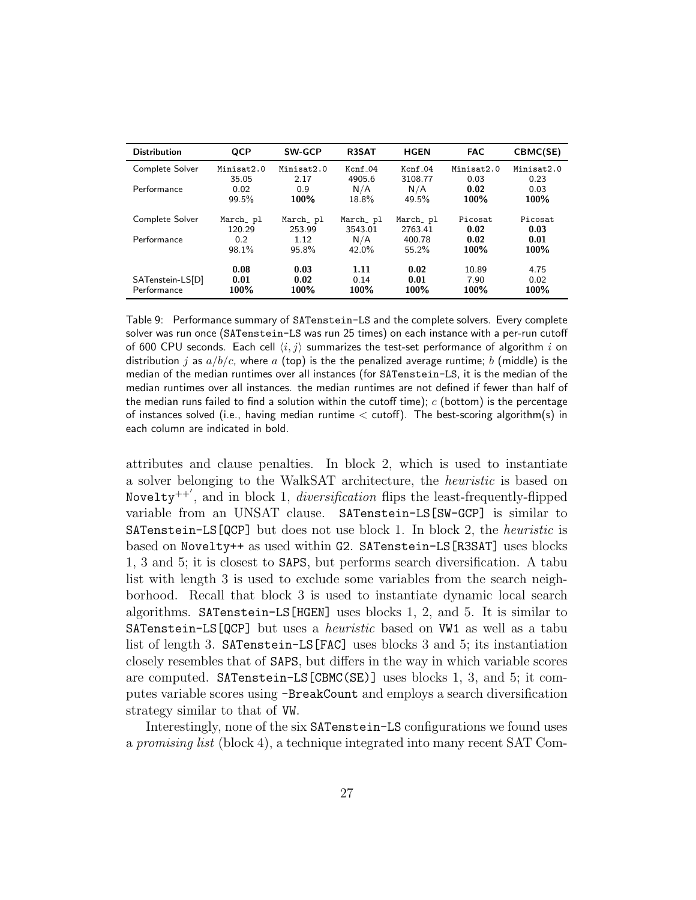| <b>Distribution</b>             | <b>QCP</b>           | <b>SW-GCP</b>        | R3SAT                | <b>HGEN</b>          | <b>FAC</b>            | CBMC(SE)             |
|---------------------------------|----------------------|----------------------|----------------------|----------------------|-----------------------|----------------------|
| Complete Solver                 | Minisat2.0           | Minisat2.0           | $Kcnf_04$            | $Kcnf_04$            | Minisat2.0            | Minisat2.0           |
|                                 | 35.05                | 2.17                 | 4905.6               | 3108.77              | 0.03                  | 0.23                 |
| Performance                     | 0.02                 | 0.9                  | N/A                  | N/A                  | 0.02                  | 0.03                 |
|                                 | 99.5%                | 100%                 | 18.8%                | 49.5%                | 100%                  | 100%                 |
| Complete Solver                 | March_pl             | March_pl             | March_ pl            | March_pl             | Picosat               | Picosat              |
|                                 | 120.29               | 253.99               | 3543.01              | 2763.41              | 0.02                  | 0.03                 |
| Performance                     | 0.2                  | 1.12                 | N/A                  | 400.78               | 0.02                  | 0.01                 |
|                                 | 98.1%                | 95.8%                | 42.0%                | 55.2%                | 100%                  | 100%                 |
| SATenstein-LS[D]<br>Performance | 0.08<br>0.01<br>100% | 0.03<br>0.02<br>100% | 1.11<br>0.14<br>100% | 0.02<br>0.01<br>100% | 10.89<br>7.90<br>100% | 4.75<br>0.02<br>100% |

<span id="page-26-0"></span>Table 9: Performance summary of SATenstein-LS and the complete solvers. Every complete solver was run once (SATenstein-LS was run 25 times) on each instance with a per-run cutoff of 600 CPU seconds. Each cell  $\langle i, j \rangle$  summarizes the test-set performance of algorithm i on distribution j as  $a/b/c$ , where a (top) is the the penalized average runtime; b (middle) is the median of the median runtimes over all instances (for SATenstein-LS, it is the median of the median runtimes over all instances. the median runtimes are not defined if fewer than half of the median runs failed to find a solution within the cutoff time);  $c$  (bottom) is the percentage of instances solved (i.e., having median runtime < cutoff). The best-scoring algorithm(s) in each column are indicated in bold.

attributes and clause penalties. In block 2, which is used to instantiate a solver belonging to the WalkSAT architecture, the heuristic is based on Novelty<sup>++'</sup>, and in block 1, *diversification* flips the least-frequently-flipped variable from an UNSAT clause. SATenstein-LS[SW-GCP] is similar to SATenstein-LS[QCP] but does not use block 1. In block 2, the heuristic is based on Novelty++ as used within G2. SATenstein-LS[R3SAT] uses blocks 1, 3 and 5; it is closest to SAPS, but performs search diversification. A tabu list with length 3 is used to exclude some variables from the search neighborhood. Recall that block 3 is used to instantiate dynamic local search algorithms. SATenstein-LS[HGEN] uses blocks 1, 2, and 5. It is similar to SATenstein-LS[QCP] but uses a *heuristic* based on VW1 as well as a tabu list of length 3. SATenstein-LS[FAC] uses blocks 3 and 5; its instantiation closely resembles that of SAPS, but differs in the way in which variable scores are computed. SATenstein-LS[CBMC(SE)] uses blocks 1, 3, and 5; it computes variable scores using -BreakCount and employs a search diversification strategy similar to that of VW.

Interestingly, none of the six SATenstein-LS configurations we found uses a promising list (block 4), a technique integrated into many recent SAT Com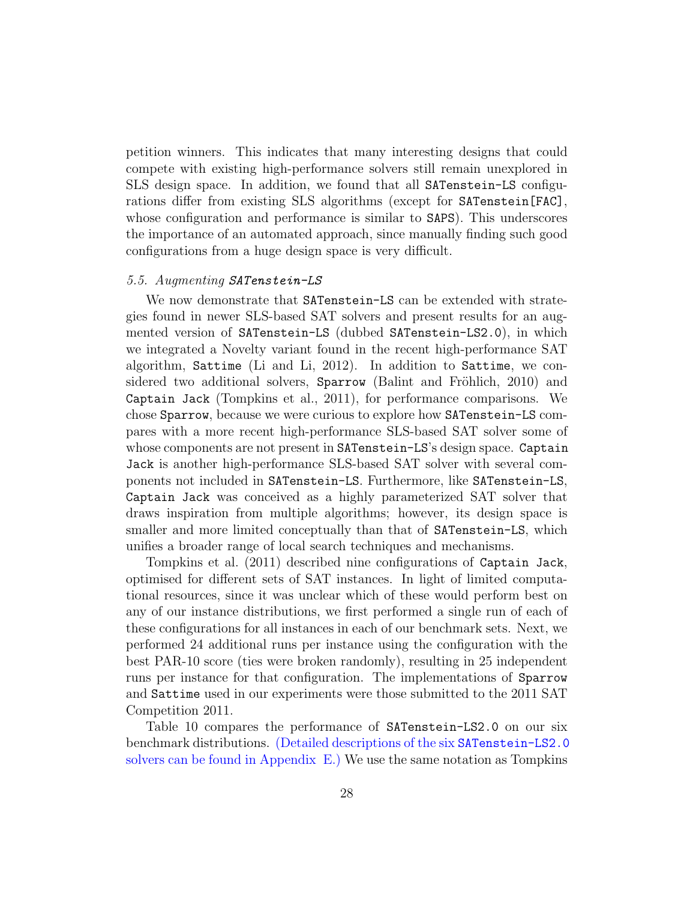petition winners. This indicates that many interesting designs that could compete with existing high-performance solvers still remain unexplored in SLS design space. In addition, we found that all SATenstein-LS configurations differ from existing SLS algorithms (except for SATenstein[FAC], whose configuration and performance is similar to SAPS). This underscores the importance of an automated approach, since manually finding such good configurations from a huge design space is very difficult.

# 5.5. Augmenting SATenstein-LS

We now demonstrate that SATenstein-LS can be extended with strategies found in newer SLS-based SAT solvers and present results for an augmented version of SATenstein-LS (dubbed SATenstein-LS2.0), in which we integrated a Novelty variant found in the recent high-performance SAT algorithm, Sattime [\(Li and Li, 2012\)](#page-33-13). In addition to Sattime, we considered two additional solvers,  $Sparrow$  (Balint and Fröhlich, 2010) and Captain Jack [\(Tompkins et al., 2011\)](#page-34-13), for performance comparisons. We chose Sparrow, because we were curious to explore how SATenstein-LS compares with a more recent high-performance SLS-based SAT solver some of whose components are not present in SATenstein-LS's design space. Captain Jack is another high-performance SLS-based SAT solver with several components not included in SATenstein-LS. Furthermore, like SATenstein-LS, Captain Jack was conceived as a highly parameterized SAT solver that draws inspiration from multiple algorithms; however, its design space is smaller and more limited conceptually than that of SATenstein-LS, which unifies a broader range of local search techniques and mechanisms.

[Tompkins et al.](#page-34-13) [\(2011\)](#page-34-13) described nine configurations of Captain Jack, optimised for different sets of SAT instances. In light of limited computational resources, since it was unclear which of these would perform best on any of our instance distributions, we first performed a single run of each of these configurations for all instances in each of our benchmark sets. Next, we performed 24 additional runs per instance using the configuration with the best PAR-10 score (ties were broken randomly), resulting in 25 independent runs per instance for that configuration. The implementations of Sparrow and Sattime used in our experiments were those submitted to the 2011 SAT Competition 2011.

Table [10](#page-28-0) compares the performance of SATenstein-LS2.0 on our six benchmark distributions. (Detailed descriptions of the six SATenstein-LS2.0 solvers can be found in [Appendix E.](#page-42-1)) We use the same notation as [Tompkins](#page-34-13)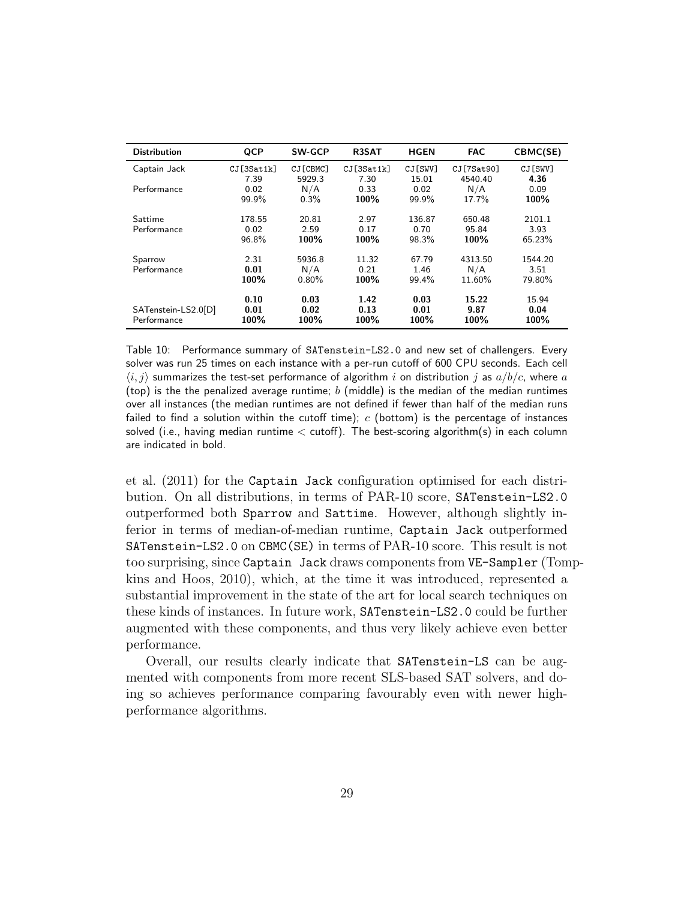| <b>Distribution</b>                | <b>QCP</b>              | <b>SW-GCP</b>          | <b>R3SAT</b>          | <b>HGEN</b>             | <b>FAC</b>               | CBMC(SE)                  |
|------------------------------------|-------------------------|------------------------|-----------------------|-------------------------|--------------------------|---------------------------|
| Captain Jack                       | CJ[3Sat1k]<br>7.39      | CJ [CBMC]<br>5929.3    | CJ[3Sat1k]<br>7.30    | CJ [SWV]<br>15.01       | CJ[7Sat90]<br>4540.40    | CJ[SWV]<br>4.36           |
| Performance                        | 0.02<br>99.9%           | N/A<br>0.3%            | 0.33<br>100%          | 0.02<br>99.9%           | N/A<br>17.7%             | 0.09<br>100%              |
| Sattime<br>Performance             | 178.55<br>0.02<br>96.8% | 20.81<br>2.59<br>100%  | 2.97<br>0.17<br>100%  | 136.87<br>0.70<br>98.3% | 650.48<br>95.84<br>100%  | 2101.1<br>3.93<br>65.23%  |
| Sparrow<br>Performance             | 2.31<br>0.01<br>100%    | 5936.8<br>N/A<br>0.80% | 11.32<br>0.21<br>100% | 67.79<br>1.46<br>99.4%  | 4313.50<br>N/A<br>11.60% | 1544.20<br>3.51<br>79.80% |
| SATenstein-LS2.0[D]<br>Performance | 0.10<br>0.01<br>100%    | 0.03<br>0.02<br>100%   | 1.42<br>0.13<br>100%  | 0.03<br>0.01<br>100%    | 15.22<br>9.87<br>100%    | 15.94<br>0.04<br>100%     |

<span id="page-28-0"></span>Table 10: Performance summary of SATenstein-LS2.0 and new set of challengers. Every solver was run 25 times on each instance with a per-run cutoff of 600 CPU seconds. Each cell  $\langle i, j \rangle$  summarizes the test-set performance of algorithm i on distribution j as  $a/b/c$ , where a (top) is the the penalized average runtime;  $b$  (middle) is the median of the median runtimes over all instances (the median runtimes are not defined if fewer than half of the median runs failed to find a solution within the cutoff time);  $c$  (bottom) is the percentage of instances solved (i.e., having median runtime  $\lt$  cutoff). The best-scoring algorithm(s) in each column are indicated in bold.

[et al.](#page-34-13) [\(2011\)](#page-34-13) for the Captain Jack configuration optimised for each distribution. On all distributions, in terms of PAR-10 score, SATenstein-LS2.0 outperformed both Sparrow and Sattime. However, although slightly inferior in terms of median-of-median runtime, Captain Jack outperformed SATenstein-LS2.0 on CBMC(SE) in terms of PAR-10 score. This result is not too surprising, since Captain Jack draws components from VE-Sampler [\(Tom](#page-34-15)p[kins and Hoos, 2010\)](#page-34-15), which, at the time it was introduced, represented a substantial improvement in the state of the art for local search techniques on these kinds of instances. In future work, SATenstein-LS2.0 could be further augmented with these components, and thus very likely achieve even better performance.

Overall, our results clearly indicate that SATenstein-LS can be augmented with components from more recent SLS-based SAT solvers, and doing so achieves performance comparing favourably even with newer highperformance algorithms.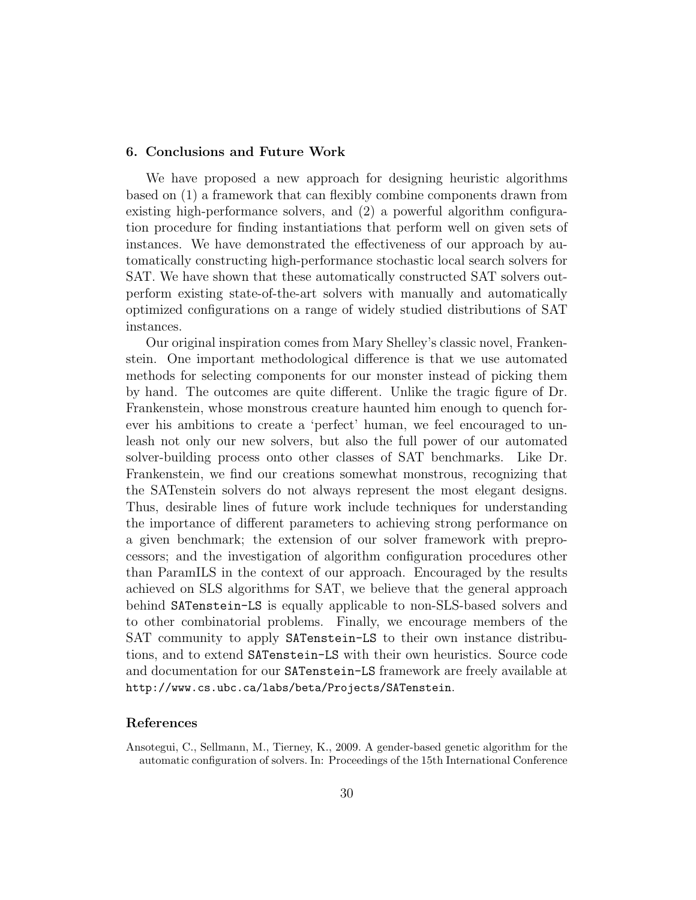#### <span id="page-29-0"></span>6. Conclusions and Future Work

We have proposed a new approach for designing heuristic algorithms based on (1) a framework that can flexibly combine components drawn from existing high-performance solvers, and (2) a powerful algorithm configuration procedure for finding instantiations that perform well on given sets of instances. We have demonstrated the effectiveness of our approach by automatically constructing high-performance stochastic local search solvers for SAT. We have shown that these automatically constructed SAT solvers outperform existing state-of-the-art solvers with manually and automatically optimized configurations on a range of widely studied distributions of SAT instances.

Our original inspiration comes from Mary Shelley's classic novel, Frankenstein. One important methodological difference is that we use automated methods for selecting components for our monster instead of picking them by hand. The outcomes are quite different. Unlike the tragic figure of Dr. Frankenstein, whose monstrous creature haunted him enough to quench forever his ambitions to create a 'perfect' human, we feel encouraged to unleash not only our new solvers, but also the full power of our automated solver-building process onto other classes of SAT benchmarks. Like Dr. Frankenstein, we find our creations somewhat monstrous, recognizing that the SATenstein solvers do not always represent the most elegant designs. Thus, desirable lines of future work include techniques for understanding the importance of different parameters to achieving strong performance on a given benchmark; the extension of our solver framework with preprocessors; and the investigation of algorithm configuration procedures other than ParamILS in the context of our approach. Encouraged by the results achieved on SLS algorithms for SAT, we believe that the general approach behind SATenstein-LS is equally applicable to non-SLS-based solvers and to other combinatorial problems. Finally, we encourage members of the SAT community to apply SATenstein-LS to their own instance distributions, and to extend SATenstein-LS with their own heuristics. Source code and documentation for our SATenstein-LS framework are freely available at <http://www.cs.ubc.ca/labs/beta/Projects/SATenstein>.

#### References

<span id="page-29-1"></span>Ansotegui, C., Sellmann, M., Tierney, K., 2009. A gender-based genetic algorithm for the automatic configuration of solvers. In: Proceedings of the 15th International Conference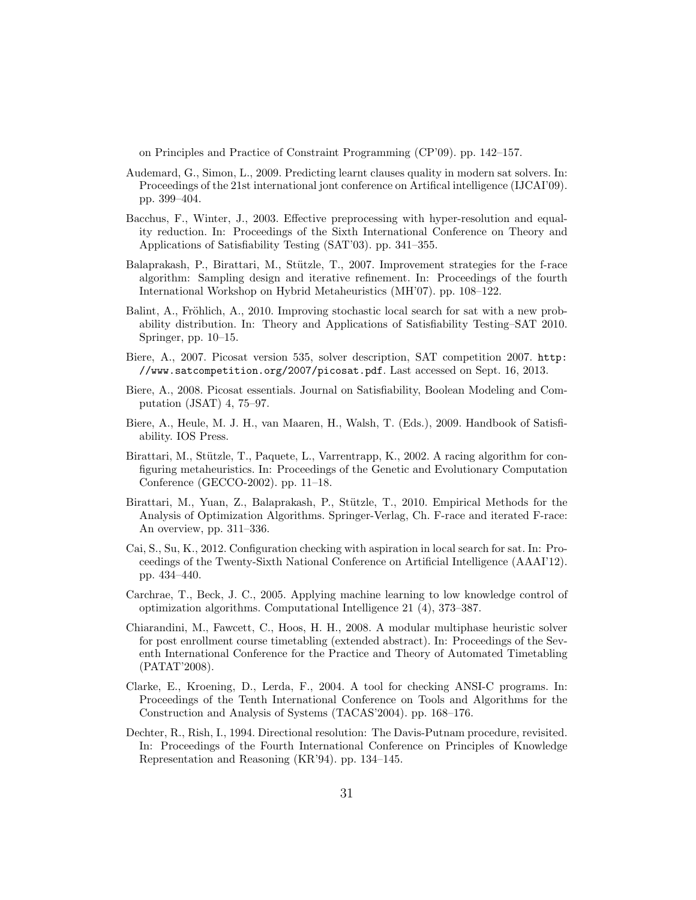on Principles and Practice of Constraint Programming (CP'09). pp. 142–157.

- <span id="page-30-5"></span>Audemard, G., Simon, L., 2009. Predicting learnt clauses quality in modern sat solvers. In: Proceedings of the 21st international jont conference on Artifical intelligence (IJCAI'09). pp. 399–404.
- <span id="page-30-8"></span>Bacchus, F., Winter, J., 2003. Effective preprocessing with hyper-resolution and equality reduction. In: Proceedings of the Sixth International Conference on Theory and Applications of Satisfiability Testing (SAT'03). pp. 341–355.
- <span id="page-30-9"></span>Balaprakash, P., Birattari, M., Stützle, T., 2007. Improvement strategies for the f-race algorithm: Sampling design and iterative refinement. In: Proceedings of the fourth International Workshop on Hybrid Metaheuristics (MH'07). pp. 108–122.
- <span id="page-30-13"></span>Balint, A., Fröhlich, A., 2010. Improving stochastic local search for sat with a new probability distribution. In: Theory and Applications of Satisfiability Testing–SAT 2010. Springer, pp. 10–15.
- <span id="page-30-12"></span>Biere, A., 2007. Picosat version 535, solver description, SAT competition 2007. [http:](http://www.satcompetition.org/2007/picosat.pdf) [//www.satcompetition.org/2007/picosat.pdf](http://www.satcompetition.org/2007/picosat.pdf). Last accessed on Sept. 16, 2013.
- <span id="page-30-4"></span>Biere, A., 2008. Picosat essentials. Journal on Satisfiability, Boolean Modeling and Computation (JSAT) 4, 75–97.
- <span id="page-30-3"></span>Biere, A., Heule, M. J. H., van Maaren, H., Walsh, T. (Eds.), 2009. Handbook of Satisfiability. IOS Press.
- <span id="page-30-0"></span>Birattari, M., Stützle, T., Paquete, L., Varrentrapp, K., 2002. A racing algorithm for configuring metaheuristics. In: Proceedings of the Genetic and Evolutionary Computation Conference (GECCO-2002). pp. 11–18.
- <span id="page-30-10"></span>Birattari, M., Yuan, Z., Balaprakash, P., Stützle, T., 2010. Empirical Methods for the Analysis of Optimization Algorithms. Springer-Verlag, Ch. F-race and iterated F-race: An overview, pp. 311–336.
- <span id="page-30-6"></span>Cai, S., Su, K., 2012. Configuration checking with aspiration in local search for sat. In: Proceedings of the Twenty-Sixth National Conference on Artificial Intelligence (AAAI'12). pp. 434–440.
- <span id="page-30-2"></span>Carchrae, T., Beck, J. C., 2005. Applying machine learning to low knowledge control of optimization algorithms. Computational Intelligence 21 (4), 373–387.
- <span id="page-30-1"></span>Chiarandini, M., Fawcett, C., Hoos, H. H., 2008. A modular multiphase heuristic solver for post enrollment course timetabling (extended abstract). In: Proceedings of the Seventh International Conference for the Practice and Theory of Automated Timetabling (PATAT'2008).
- <span id="page-30-11"></span>Clarke, E., Kroening, D., Lerda, F., 2004. A tool for checking ANSI-C programs. In: Proceedings of the Tenth International Conference on Tools and Algorithms for the Construction and Analysis of Systems (TACAS'2004). pp. 168–176.
- <span id="page-30-7"></span>Dechter, R., Rish, I., 1994. Directional resolution: The Davis-Putnam procedure, revisited. In: Proceedings of the Fourth International Conference on Principles of Knowledge Representation and Reasoning (KR'94). pp. 134–145.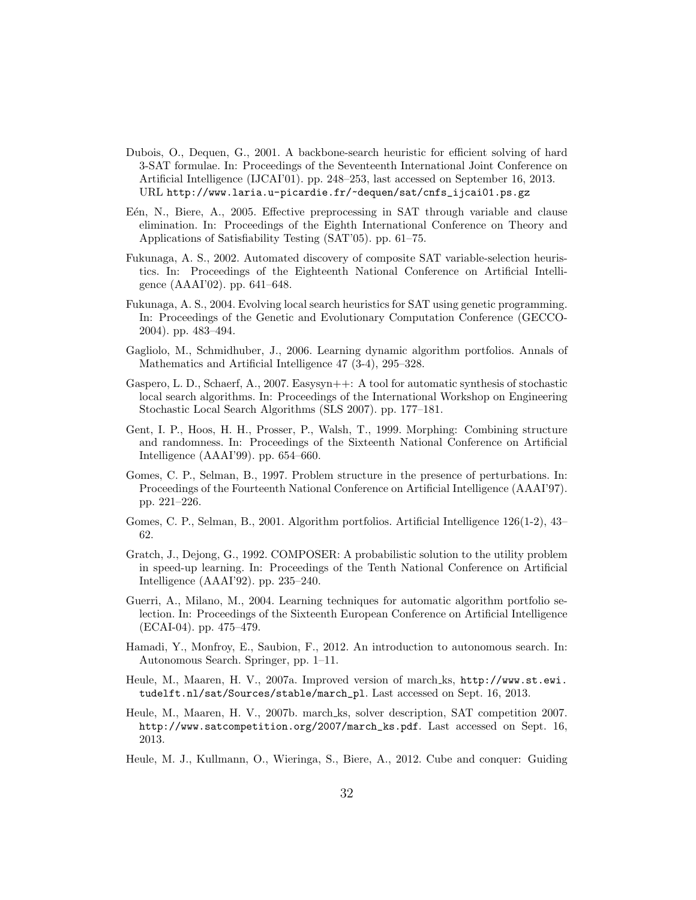- <span id="page-31-5"></span>Dubois, O., Dequen, G., 2001. A backbone-search heuristic for efficient solving of hard 3-SAT formulae. In: Proceedings of the Seventeenth International Joint Conference on Artificial Intelligence (IJCAI'01). pp. 248–253, last accessed on September 16, 2013. URL [http://www.laria.u-picardie.fr/~dequen/sat/cnfs\\_ijcai01.ps.gz](http://www.laria.u-picardie.fr/~dequen/sat/cnfs_ijcai01.ps.gz)
- <span id="page-31-13"></span>E<sup>en</sup>, N., Biere, A., 2005. Effective preprocessing in SAT through variable and clause elimination. In: Proceedings of the Eighth International Conference on Theory and Applications of Satisfiability Testing (SAT'05). pp. 61–75.
- <span id="page-31-2"></span>Fukunaga, A. S., 2002. Automated discovery of composite SAT variable-selection heuristics. In: Proceedings of the Eighteenth National Conference on Artificial Intelligence (AAAI'02). pp. 641–648.
- <span id="page-31-8"></span>Fukunaga, A. S., 2004. Evolving local search heuristics for SAT using genetic programming. In: Proceedings of the Genetic and Evolutionary Computation Conference (GECCO-2004). pp. 483–494.
- <span id="page-31-1"></span>Gagliolo, M., Schmidhuber, J., 2006. Learning dynamic algorithm portfolios. Annals of Mathematics and Artificial Intelligence 47 (3-4), 295–328.
- <span id="page-31-3"></span>Gaspero, L. D., Schaerf, A., 2007. Easysyn++: A tool for automatic synthesis of stochastic local search algorithms. In: Proceedings of the International Workshop on Engineering Stochastic Local Search Algorithms (SLS 2007). pp. 177–181.
- <span id="page-31-12"></span>Gent, I. P., Hoos, H. H., Prosser, P., Walsh, T., 1999. Morphing: Combining structure and randomness. In: Proceedings of the Sixteenth National Conference on Artificial Intelligence (AAAI'99). pp. 654–660.
- <span id="page-31-11"></span>Gomes, C. P., Selman, B., 1997. Problem structure in the presence of perturbations. In: Proceedings of the Fourteenth National Conference on Artificial Intelligence (AAAI'97). pp. 221–226.
- <span id="page-31-7"></span>Gomes, C. P., Selman, B., 2001. Algorithm portfolios. Artificial Intelligence 126(1-2), 43– 62.
- <span id="page-31-0"></span>Gratch, J., Dejong, G., 1992. COMPOSER: A probabilistic solution to the utility problem in speed-up learning. In: Proceedings of the Tenth National Conference on Artificial Intelligence (AAAI'92). pp. 235–240.
- <span id="page-31-10"></span>Guerri, A., Milano, M., 2004. Learning techniques for automatic algorithm portfolio selection. In: Proceedings of the Sixteenth European Conference on Artificial Intelligence (ECAI-04). pp. 475–479.
- <span id="page-31-9"></span>Hamadi, Y., Monfroy, E., Saubion, F., 2012. An introduction to autonomous search. In: Autonomous Search. Springer, pp. 1–11.
- <span id="page-31-4"></span>Heule, M., Maaren, H. V., 2007a. Improved version of march ks, [http://www.st.ewi.](http://www.st.ewi.tudelft.nl/sat/Sources/stable/march_pl) [tudelft.nl/sat/Sources/stable/march\\_pl](http://www.st.ewi.tudelft.nl/sat/Sources/stable/march_pl). Last accessed on Sept. 16, 2013.
- <span id="page-31-14"></span>Heule, M., Maaren, H. V., 2007b. march ks, solver description, SAT competition 2007. [http://www.satcompetition.org/2007/march\\_ks.pdf](http://www.satcompetition.org/2007/march_ks.pdf). Last accessed on Sept. 16, 2013.
- <span id="page-31-6"></span>Heule, M. J., Kullmann, O., Wieringa, S., Biere, A., 2012. Cube and conquer: Guiding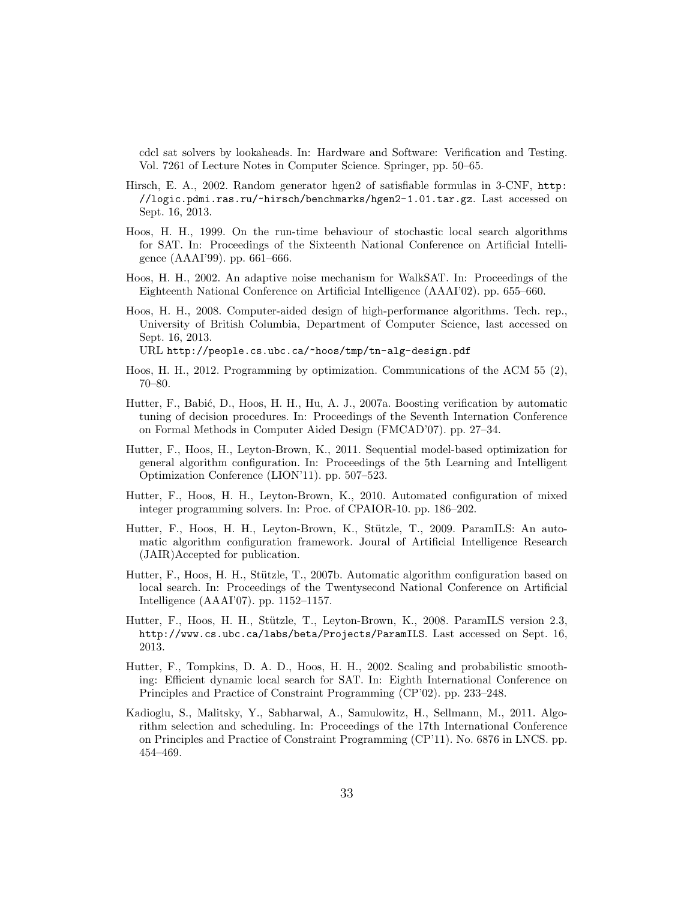cdcl sat solvers by lookaheads. In: Hardware and Software: Verification and Testing. Vol. 7261 of Lecture Notes in Computer Science. Springer, pp. 50–65.

- <span id="page-32-10"></span>Hirsch, E. A., 2002. Random generator hgen2 of satisfiable formulas in 3-CNF, [http:](http://logic.pdmi.ras.ru/~hirsch/benchmarks/hgen2-1.01.tar.gz) [//logic.pdmi.ras.ru/~hirsch/benchmarks/hgen2-1.01.tar.gz](http://logic.pdmi.ras.ru/~hirsch/benchmarks/hgen2-1.01.tar.gz). Last accessed on Sept. 16, 2013.
- <span id="page-32-9"></span>Hoos, H. H., 1999. On the run-time behaviour of stochastic local search algorithms for SAT. In: Proceedings of the Sixteenth National Conference on Artificial Intelligence (AAAI'99). pp. 661–666.
- <span id="page-32-0"></span>Hoos, H. H., 2002. An adaptive noise mechanism for WalkSAT. In: Proceedings of the Eighteenth National Conference on Artificial Intelligence (AAAI'02). pp. 655–660.
- <span id="page-32-2"></span>Hoos, H. H., 2008. Computer-aided design of high-performance algorithms. Tech. rep., University of British Columbia, Department of Computer Science, last accessed on Sept. 16, 2013.

URL <http://people.cs.ubc.ca/~hoos/tmp/tn-alg-design.pdf>

- <span id="page-32-7"></span>Hoos, H. H., 2012. Programming by optimization. Communications of the ACM 55 (2), 70–80.
- <span id="page-32-6"></span>Hutter, F., Babić, D., Hoos, H. H., Hu, A. J., 2007a. Boosting verification by automatic tuning of decision procedures. In: Proceedings of the Seventh Internation Conference on Formal Methods in Computer Aided Design (FMCAD'07). pp. 27–34.
- <span id="page-32-5"></span>Hutter, F., Hoos, H., Leyton-Brown, K., 2011. Sequential model-based optimization for general algorithm configuration. In: Proceedings of the 5th Learning and Intelligent Optimization Conference (LION'11). pp. 507–523.
- <span id="page-32-12"></span>Hutter, F., Hoos, H. H., Leyton-Brown, K., 2010. Automated configuration of mixed integer programming solvers. In: Proc. of CPAIOR-10. pp. 186–202.
- <span id="page-32-4"></span>Hutter, F., Hoos, H. H., Leyton-Brown, K., Stützle, T., 2009. ParamILS: An automatic algorithm configuration framework. Joural of Artificial Intelligence Research (JAIR)Accepted for publication.
- <span id="page-32-1"></span>Hutter, F., Hoos, H. H., Stützle, T., 2007b. Automatic algorithm configuration based on local search. In: Proceedings of the Twentysecond National Conference on Artificial Intelligence (AAAI'07). pp. 1152–1157.
- <span id="page-32-11"></span>Hutter, F., Hoos, H. H., Stützle, T., Leyton-Brown, K., 2008. ParamILS version 2.3, <http://www.cs.ubc.ca/labs/beta/Projects/ParamILS>. Last accessed on Sept. 16, 2013.
- <span id="page-32-3"></span>Hutter, F., Tompkins, D. A. D., Hoos, H. H., 2002. Scaling and probabilistic smoothing: Efficient dynamic local search for SAT. In: Eighth International Conference on Principles and Practice of Constraint Programming (CP'02). pp. 233–248.
- <span id="page-32-8"></span>Kadioglu, S., Malitsky, Y., Sabharwal, A., Samulowitz, H., Sellmann, M., 2011. Algorithm selection and scheduling. In: Proceedings of the 17th International Conference on Principles and Practice of Constraint Programming (CP'11). No. 6876 in LNCS. pp. 454–469.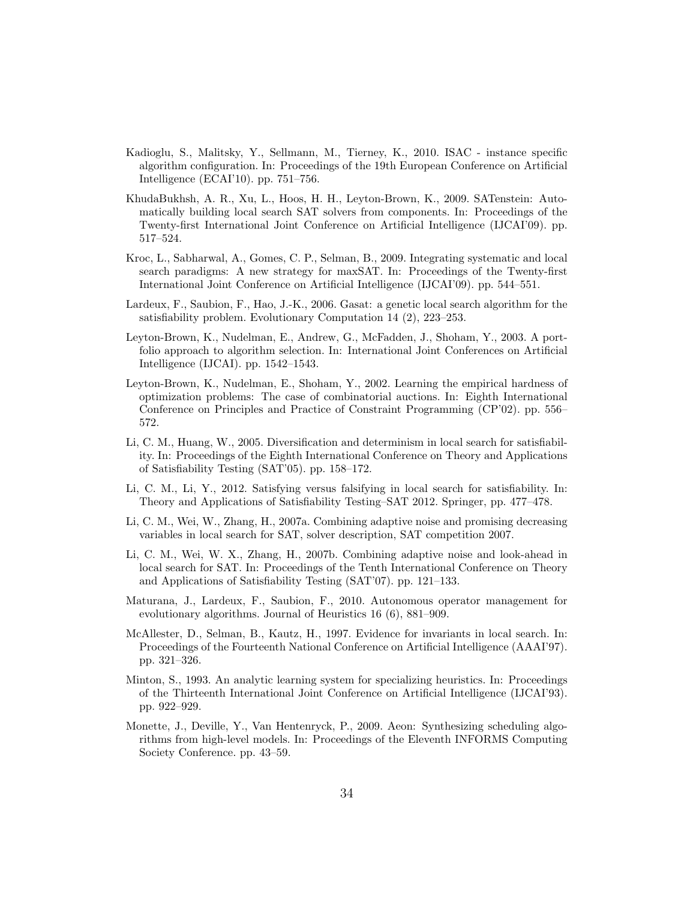- <span id="page-33-10"></span>Kadioglu, S., Malitsky, Y., Sellmann, M., Tierney, K., 2010. ISAC - instance specific algorithm configuration. In: Proceedings of the 19th European Conference on Artificial Intelligence (ECAI'10). pp. 751–756.
- <span id="page-33-3"></span>KhudaBukhsh, A. R., Xu, L., Hoos, H. H., Leyton-Brown, K., 2009. SATenstein: Automatically building local search SAT solvers from components. In: Proceedings of the Twenty-first International Joint Conference on Artificial Intelligence (IJCAI'09). pp. 517–524.
- <span id="page-33-6"></span>Kroc, L., Sabharwal, A., Gomes, C. P., Selman, B., 2009. Integrating systematic and local search paradigms: A new strategy for maxSAT. In: Proceedings of the Twenty-first International Joint Conference on Artificial Intelligence (IJCAI'09). pp. 544–551.
- <span id="page-33-5"></span>Lardeux, F., Saubion, F., Hao, J.-K., 2006. Gasat: a genetic local search algorithm for the satisfiability problem. Evolutionary Computation 14 (2), 223–253.
- <span id="page-33-7"></span>Leyton-Brown, K., Nudelman, E., Andrew, G., McFadden, J., Shoham, Y., 2003. A portfolio approach to algorithm selection. In: International Joint Conferences on Artificial Intelligence (IJCAI). pp. 1542–1543.
- <span id="page-33-9"></span>Leyton-Brown, K., Nudelman, E., Shoham, Y., 2002. Learning the empirical hardness of optimization problems: The case of combinatorial auctions. In: Eighth International Conference on Principles and Practice of Constraint Programming (CP'02). pp. 556– 572.
- <span id="page-33-4"></span>Li, C. M., Huang, W., 2005. Diversification and determinism in local search for satisfiability. In: Proceedings of the Eighth International Conference on Theory and Applications of Satisfiability Testing (SAT'05). pp. 158–172.
- <span id="page-33-13"></span>Li, C. M., Li, Y., 2012. Satisfying versus falsifying in local search for satisfiability. In: Theory and Applications of Satisfiability Testing–SAT 2012. Springer, pp. 477–478.
- <span id="page-33-12"></span>Li, C. M., Wei, W., Zhang, H., 2007a. Combining adaptive noise and promising decreasing variables in local search for SAT, solver description, SAT competition 2007.
- <span id="page-33-0"></span>Li, C. M., Wei, W. X., Zhang, H., 2007b. Combining adaptive noise and look-ahead in local search for SAT. In: Proceedings of the Tenth International Conference on Theory and Applications of Satisfiability Testing (SAT'07). pp. 121–133.
- <span id="page-33-8"></span>Maturana, J., Lardeux, F., Saubion, F., 2010. Autonomous operator management for evolutionary algorithms. Journal of Heuristics 16 (6), 881–909.
- <span id="page-33-11"></span>McAllester, D., Selman, B., Kautz, H., 1997. Evidence for invariants in local search. In: Proceedings of the Fourteenth National Conference on Artificial Intelligence (AAAI'97). pp. 321–326.
- <span id="page-33-1"></span>Minton, S., 1993. An analytic learning system for specializing heuristics. In: Proceedings of the Thirteenth International Joint Conference on Artificial Intelligence (IJCAI'93). pp. 922–929.
- <span id="page-33-2"></span>Monette, J., Deville, Y., Van Hentenryck, P., 2009. Aeon: Synthesizing scheduling algorithms from high-level models. In: Proceedings of the Eleventh INFORMS Computing Society Conference. pp. 43–59.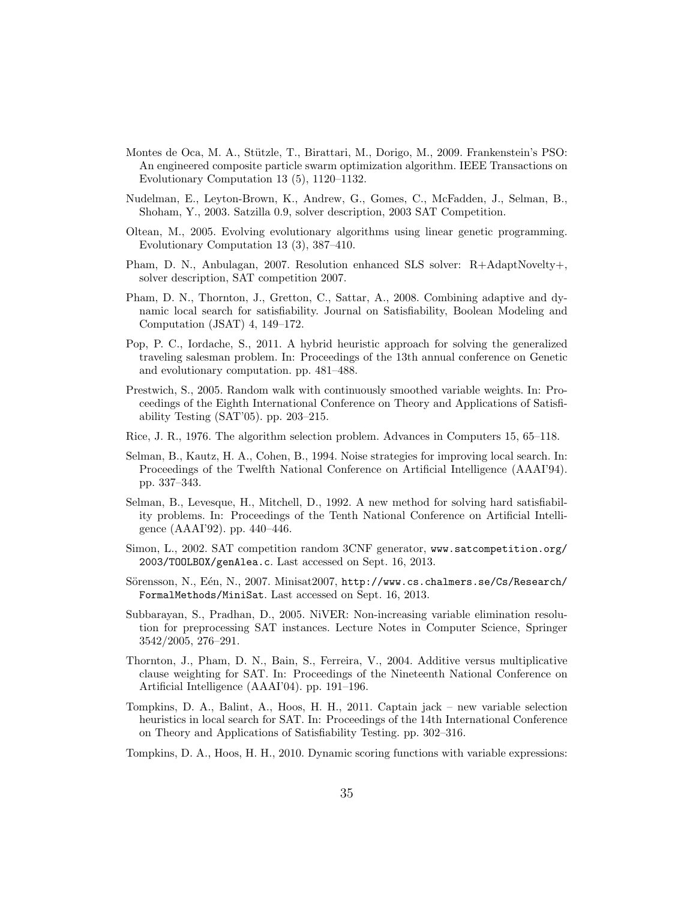- <span id="page-34-11"></span>Montes de Oca, M. A., Stützle, T., Birattari, M., Dorigo, M., 2009. Frankenstein's PSO: An engineered composite particle swarm optimization algorithm. IEEE Transactions on Evolutionary Computation 13 (5), 1120–1132.
- <span id="page-34-10"></span>Nudelman, E., Leyton-Brown, K., Andrew, G., Gomes, C., McFadden, J., Selman, B., Shoham, Y., 2003. Satzilla 0.9, solver description, 2003 SAT Competition.
- <span id="page-34-1"></span>Oltean, M., 2005. Evolving evolutionary algorithms using linear genetic programming. Evolutionary Computation 13 (3), 387–410.
- <span id="page-34-4"></span>Pham, D. N., Anbulagan, 2007. Resolution enhanced SLS solver: R+AdaptNovelty+, solver description, SAT competition 2007.
- <span id="page-34-0"></span>Pham, D. N., Thornton, J., Gretton, C., Sattar, A., 2008. Combining adaptive and dynamic local search for satisfiability. Journal on Satisfiability, Boolean Modeling and Computation (JSAT) 4, 149–172.
- <span id="page-34-14"></span>Pop, P. C., Iordache, S., 2011. A hybrid heuristic approach for solving the generalized traveling salesman problem. In: Proceedings of the 13th annual conference on Genetic and evolutionary computation. pp. 481–488.
- <span id="page-34-5"></span>Prestwich, S., 2005. Random walk with continuously smoothed variable weights. In: Proceedings of the Eighth International Conference on Theory and Applications of Satisfiability Testing (SAT'05). pp. 203–215.
- <span id="page-34-9"></span>Rice, J. R., 1976. The algorithm selection problem. Advances in Computers 15, 65–118.
- <span id="page-34-7"></span>Selman, B., Kautz, H. A., Cohen, B., 1994. Noise strategies for improving local search. In: Proceedings of the Twelfth National Conference on Artificial Intelligence (AAAI'94). pp. 337–343.
- <span id="page-34-2"></span>Selman, B., Levesque, H., Mitchell, D., 1992. A new method for solving hard satisfiability problems. In: Proceedings of the Tenth National Conference on Artificial Intelligence (AAAI'92). pp. 440–446.
- <span id="page-34-12"></span>Simon, L., 2002. SAT competition random 3CNF generator, [www.satcompetition.org/](www.satcompetition.org/2003/TOOLBOX/genAlea.c) [2003/TOOLBOX/genAlea.c](www.satcompetition.org/2003/TOOLBOX/genAlea.c). Last accessed on Sept. 16, 2013.
- <span id="page-34-3"></span>Sörensson, N., Eén, N., 2007. Minisat2007, [http://www.cs.chalmers.se/Cs/Research/](http://www.cs.chalmers.se/Cs/Research/FormalMethods/MiniSat) [FormalMethods/MiniSat](http://www.cs.chalmers.se/Cs/Research/FormalMethods/MiniSat). Last accessed on Sept. 16, 2013.
- <span id="page-34-6"></span>Subbarayan, S., Pradhan, D., 2005. NiVER: Non-increasing variable elimination resolution for preprocessing SAT instances. Lecture Notes in Computer Science, Springer 3542/2005, 276–291.
- <span id="page-34-8"></span>Thornton, J., Pham, D. N., Bain, S., Ferreira, V., 2004. Additive versus multiplicative clause weighting for SAT. In: Proceedings of the Nineteenth National Conference on Artificial Intelligence (AAAI'04). pp. 191–196.
- <span id="page-34-13"></span>Tompkins, D. A., Balint, A., Hoos, H. H., 2011. Captain jack – new variable selection heuristics in local search for SAT. In: Proceedings of the 14th International Conference on Theory and Applications of Satisfiability Testing. pp. 302–316.
- <span id="page-34-15"></span>Tompkins, D. A., Hoos, H. H., 2010. Dynamic scoring functions with variable expressions: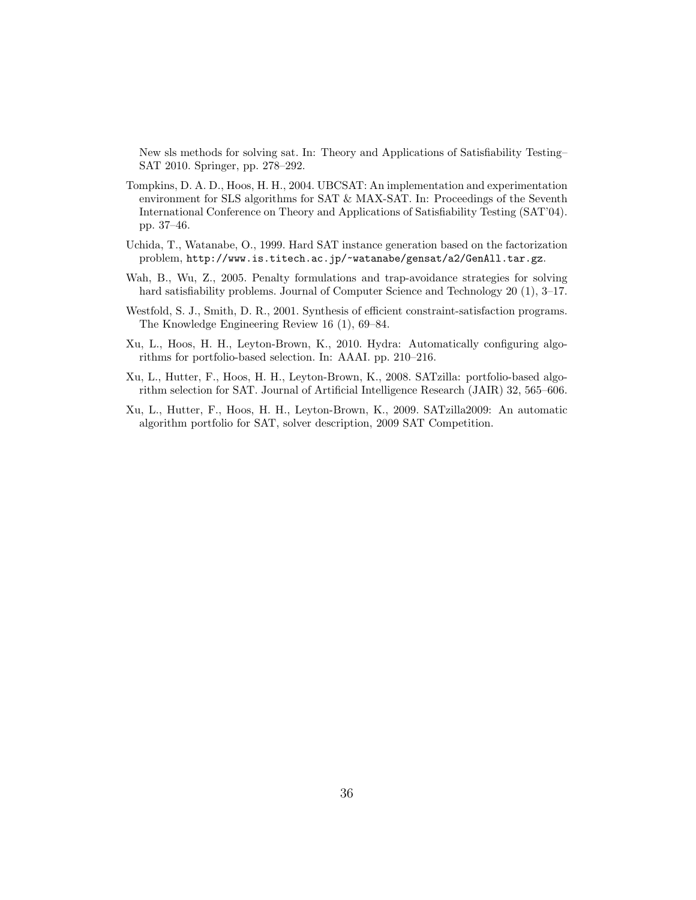New sls methods for solving sat. In: Theory and Applications of Satisfiability Testing– SAT 2010. Springer, pp. 278–292.

- <span id="page-35-3"></span>Tompkins, D. A. D., Hoos, H. H., 2004. UBCSAT: An implementation and experimentation environment for SLS algorithms for SAT & MAX-SAT. In: Proceedings of the Seventh International Conference on Theory and Applications of Satisfiability Testing (SAT'04). pp. 37–46.
- <span id="page-35-6"></span>Uchida, T., Watanabe, O., 1999. Hard SAT instance generation based on the factorization problem, <http://www.is.titech.ac.jp/~watanabe/gensat/a2/GenAll.tar.gz>.
- <span id="page-35-2"></span>Wah, B., Wu, Z., 2005. Penalty formulations and trap-avoidance strategies for solving hard satisfiability problems. Journal of Computer Science and Technology 20 (1), 3–17.
- <span id="page-35-1"></span>Westfold, S. J., Smith, D. R., 2001. Synthesis of efficient constraint-satisfaction programs. The Knowledge Engineering Review 16 (1), 69–84.
- <span id="page-35-4"></span>Xu, L., Hoos, H. H., Leyton-Brown, K., 2010. Hydra: Automatically configuring algorithms for portfolio-based selection. In: AAAI. pp. 210–216.
- <span id="page-35-0"></span>Xu, L., Hutter, F., Hoos, H. H., Leyton-Brown, K., 2008. SATzilla: portfolio-based algorithm selection for SAT. Journal of Artificial Intelligence Research (JAIR) 32, 565–606.
- <span id="page-35-5"></span>Xu, L., Hutter, F., Hoos, H. H., Leyton-Brown, K., 2009. SATzilla2009: An automatic algorithm portfolio for SAT, solver description, 2009 SAT Competition.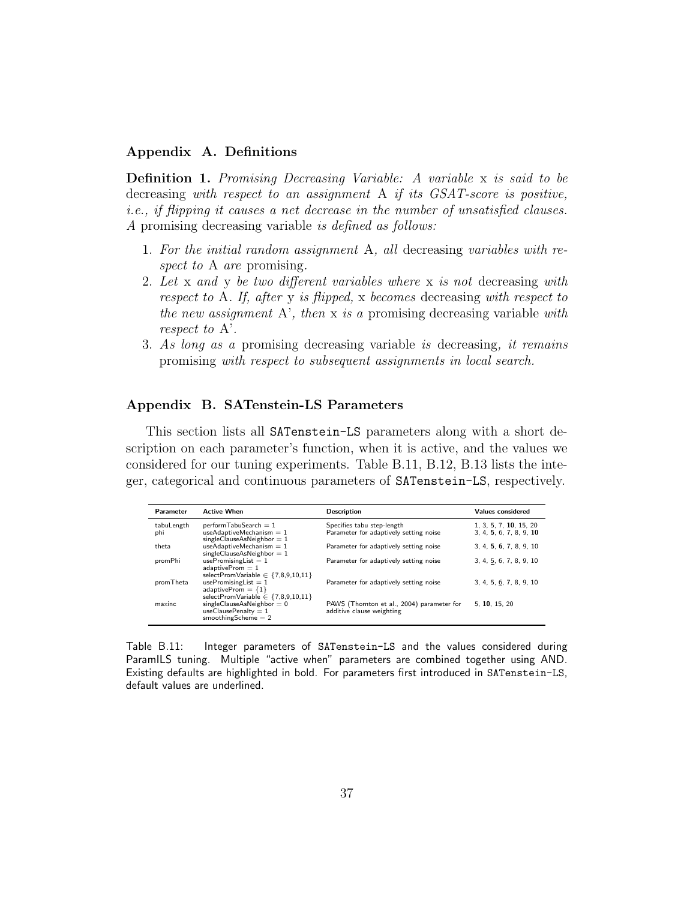# <span id="page-36-1"></span>Appendix A. Definitions

Definition 1. Promising Decreasing Variable: A variable x is said to be decreasing with respect to an assignment A if its GSAT-score is positive, i.e., if flipping it causes a net decrease in the number of unsatisfied clauses. A promising decreasing variable is defined as follows:

- 1. For the initial random assignment A, all decreasing variables with respect to A are promising.
- 2. Let x and y be two different variables where x is not decreasing with respect to A. If, after y is flipped, x becomes decreasing with respect to the new assignment  $A'$ , then x is a promising decreasing variable with respect to A'.
- 3. As long as a promising decreasing variable is decreasing, it remains promising with respect to subsequent assignments in local search.

# Appendix B. SATenstein-LS Parameters

This section lists all SATenstein-LS parameters along with a short description on each parameter's function, when it is active, and the values we considered for our tuning experiments. Table [B.11,](#page-36-0) [B.12,](#page-37-0) [B.13](#page-38-0) lists the integer, categorical and continuous parameters of SATenstein-LS, respectively.

| Parameter  | <b>Active When</b>                                                                         | <b>Description</b>                                                      | <b>Values considered</b> |
|------------|--------------------------------------------------------------------------------------------|-------------------------------------------------------------------------|--------------------------|
| tabuLength | $perform$ TabuSearch = 1                                                                   | Specifies tabu step-length                                              | 1, 3, 5, 7, 10, 15, 20   |
| phi        | useAdaptiveMechanism $= 1$<br>$singleClauseAsNeighbour = 1$                                | Parameter for adaptively setting noise                                  | 3, 4, 5, 6, 7, 8, 9, 10  |
| theta      | useAdaptiveMechanism $= 1$<br>$singleClauseAsNeighbour = 1$                                | Parameter for adaptively setting noise                                  | 3, 4, 5, 6, 7, 8, 9, 10  |
| promPhi    | $use PromisingList = 1$<br>adaptiveProm $= 1$<br>selectPromVariable $\in \{7,8,9,10,11\}$  | Parameter for adaptively setting noise                                  | 3, 4, 5, 6, 7, 8, 9, 10  |
| promTheta  | usePromisingList $= 1$<br>adaptiveProm = ${1}$<br>selectPromVariable $\in \{7,8,9,10,11\}$ | Parameter for adaptively setting noise                                  | 3, 4, 5, 6, 7, 8, 9, 10  |
| maxinc     | $singleClauseAsNeighbour = 0$<br>useClausePenalty = $1$<br>smoothing Scheme $= 2$          | PAWS (Thornton et al., 2004) parameter for<br>additive clause weighting | 5. 10. 15. 20            |

<span id="page-36-0"></span>Table B.11: Integer parameters of SATenstein-LS and the values considered during ParamILS tuning. Multiple "active when" parameters are combined together using AND. Existing defaults are highlighted in bold. For parameters first introduced in SATenstein-LS, default values are underlined.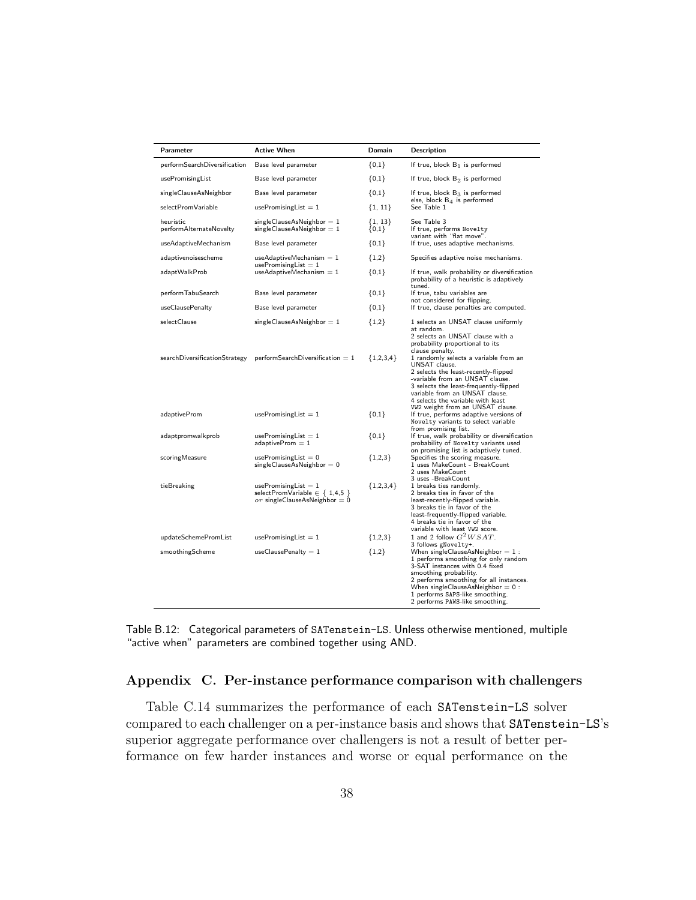| Parameter                            | <b>Active When</b>                                                                                | Domain               | <b>Description</b>                                                                                                                                                                                                                                                                                                      |
|--------------------------------------|---------------------------------------------------------------------------------------------------|----------------------|-------------------------------------------------------------------------------------------------------------------------------------------------------------------------------------------------------------------------------------------------------------------------------------------------------------------------|
| performSearchDiversification         | Base level parameter                                                                              | ${0,1}$              | If true, block $B_1$ is performed                                                                                                                                                                                                                                                                                       |
| usePromisingList                     | Base level parameter                                                                              | ${0,1}$              | If true, block $B_2$ is performed                                                                                                                                                                                                                                                                                       |
| singleClauseAsNeighbor               | Base level parameter                                                                              | ${0,1}$              | If true, block $B_3$ is performed                                                                                                                                                                                                                                                                                       |
| selectPromVariable                   | usePromisingList $= 1$                                                                            | ${1, 11}$            | else, block $B_4$ is performed<br>See Table 1                                                                                                                                                                                                                                                                           |
| heuristic<br>performAlternateNovelty | $singleClauseAsNeighbour = 1$<br>$singleClauseAsNeighbour = 1$                                    | ${1, 13}$<br>${0,1}$ | See Table 3<br>If true, performs Novelty<br>variant with "flat move".                                                                                                                                                                                                                                                   |
| useAdaptiveMechanism                 | Base level parameter                                                                              | ${0,1}$              | If true, uses adaptive mechanisms.                                                                                                                                                                                                                                                                                      |
| adaptivenoisescheme                  | $useAdaptive Mechanism = 1$<br>$use PromisingList = 1$                                            | ${1,2}$              | Specifies adaptive noise mechanisms.                                                                                                                                                                                                                                                                                    |
| adaptWalkProb                        | $useAdaptive Mechanism = 1$                                                                       | ${0,1}$              | If true, walk probability or diversification<br>probability of a heuristic is adaptively                                                                                                                                                                                                                                |
| performTabuSearch                    | Base level parameter                                                                              | ${0,1}$              | tuned.<br>If true, tabu variables are                                                                                                                                                                                                                                                                                   |
| useClausePenalty                     | Base level parameter                                                                              | ${0,1}$              | not considered for flipping.<br>If true, clause penalties are computed.                                                                                                                                                                                                                                                 |
| selectClause                         | $singleClauseAsNeighbour = 1$                                                                     | ${1,2}$              | 1 selects an UNSAT clause uniformly<br>at random.<br>2 selects an UNSAT clause with a<br>probability proportional to its                                                                                                                                                                                                |
|                                      | $searchDiversificationStrategy$ perform Search Diversification = 1                                | ${1,2,3,4}$          | clause penalty.<br>1 randomly selects a variable from an<br>UNSAT clause.<br>2 selects the least-recently-flipped<br>-variable from an UNSAT clause.<br>3 selects the least-frequently-flipped<br>variable from an UNSAT clause.<br>4 selects the variable with least                                                   |
| adaptiveProm                         | $use PromisingList = 1$                                                                           | ${0,1}$              | W2 weight from an UNSAT clause.<br>If true, performs adaptive versions of<br>Novelty variants to select variable                                                                                                                                                                                                        |
| adaptpromwalkprob                    | usePromisingList $= 1$<br>$adaptive Prom = 1$                                                     | ${0,1}$              | from promising list.<br>If true, walk probability or diversification<br>probability of Novelty variants used<br>on promising list is adaptively tuned.                                                                                                                                                                  |
| scoringMeasure                       | usePromisingList $= 0$<br>$singleClauseAsNeighbour = 0$                                           | ${1,2,3}$            | Specifies the scoring measure.<br>1 uses MakeCount - BreakCount<br>2 uses MakeCount<br>3 uses -BreakCount                                                                                                                                                                                                               |
| tieBreaking                          | usePromisingList $= 1$<br>selectPromVariable $\in \{ 1,4,5 \}$<br>or singleClauseAsNeighbor = $0$ | ${1,2,3,4}$          | 1 breaks ties randomly.<br>2 breaks ties in favor of the<br>least-recently-flipped variable.<br>3 breaks tie in favor of the<br>least-frequently-flipped variable.<br>4 breaks tie in favor of the<br>variable with least VW2 score.                                                                                    |
| updateSchemePromList                 | usePromisingList $= 1$                                                                            | ${1,2,3}$            | 1 and 2 follow $G^2WSAT$ .                                                                                                                                                                                                                                                                                              |
| smoothingScheme                      | $useClausePenalty = 1$                                                                            | ${1,2}$              | 3 follows gNovelty+.<br>When singleClauseAsNeighbor $= 1$ :<br>1 performs smoothing for only random<br>3-SAT instances with 0.4 fixed<br>smoothing probability.<br>2 performs smoothing for all instances.<br>When singleClauseAsNeighbor $= 0$ :<br>1 performs SAPS-like smoothing.<br>2 performs PAWS-like smoothing. |

<span id="page-37-0"></span>Table B.12: Categorical parameters of SATenstein-LS. Unless otherwise mentioned, multiple "active when" parameters are combined together using AND.

# <span id="page-37-1"></span>Appendix C. Per-instance performance comparison with challengers

Table [C.14](#page-39-1) summarizes the performance of each SATenstein-LS solver compared to each challenger on a per-instance basis and shows that SATenstein-LS's superior aggregate performance over challengers is not a result of better performance on few harder instances and worse or equal performance on the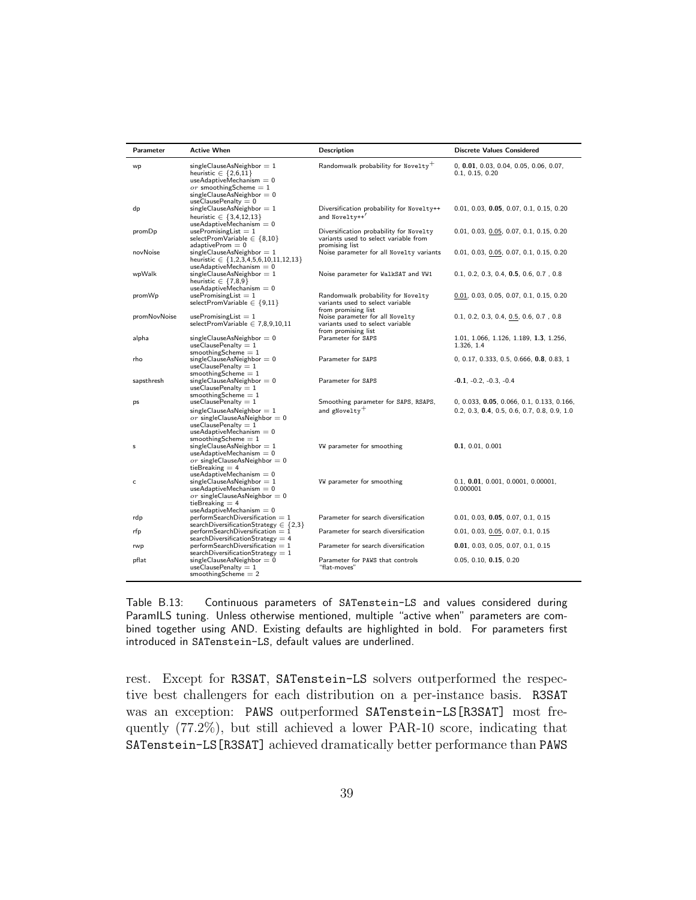| Parameter    | <b>Active When</b>                                                                                                                                                                 | <b>Description</b>                                                                                 | <b>Discrete Values Considered</b>                                                            |
|--------------|------------------------------------------------------------------------------------------------------------------------------------------------------------------------------------|----------------------------------------------------------------------------------------------------|----------------------------------------------------------------------------------------------|
| wp           | $singleClauseAsNeighbour = 1$<br>heuristic $\in \{2,6,11\}$<br>$useAdaptive Mechanism = 0$<br>$or$ smoothing Scheme = 1<br>$singleClauseAsNeighbour = 0$<br>useClausePenalty = $0$ | Randomwalk probability for Novelty <sup>+</sup>                                                    | $0, 0.01, 0.03, 0.04, 0.05, 0.06, 0.07,$<br>0.1, 0.15, 0.20                                  |
| dp           | $singleClauseAsNeighbour = 1$<br>heuristic $\in \{3,4,12,13\}$<br>$useAdaptive Mechanism = 0$                                                                                      | Diversification probability for Novelty++<br>and Noveltv++'                                        | $0.01, 0.03, 0.05, 0.07, 0.1, 0.15, 0.20$                                                    |
| promDp       | $use PromisingList = 1$<br>selectPromVariable $\in \{8, 10\}$<br>$adaptive Prom = 0$                                                                                               | Diversification probability for Novelty<br>variants used to select variable from<br>promising list | $0.01, 0.03, 0.05, 0.07, 0.1, 0.15, 0.20$                                                    |
| novNoise     | $singleClauseAsNeighbour = 1$<br>heuristic $\in \{1,2,3,4,5,6,10,11,12,13\}$<br>$useAdaptive Mechanism = 0$                                                                        | Noise parameter for all Novelty variants                                                           | 0.01, 0.03, 0.05, 0.07, 0.1, 0.15, 0.20                                                      |
| wpWalk       | $singleClauseAsNeighbour = 1$<br>heuristic $\in \{7,8,9\}$<br>$useAdaptive Mechanism = 0$                                                                                          | Noise parameter for WalkSAT and VW1                                                                | $0.1, 0.2, 0.3, 0.4, 0.5, 0.6, 0.7, 0.8$                                                     |
| promWp       | $use PromisingList = 1$<br>selectPromVariable $\in \{9,11\}$                                                                                                                       | Randomwalk probability for Novelty<br>variants used to select variable<br>from promising list      | $0.01, 0.03, 0.05, 0.07, 0.1, 0.15, 0.20$                                                    |
| promNovNoise | $use PromisingList = 1$<br>selectPromVariable $\in$ 7,8,9,10,11                                                                                                                    | Noise parameter for all Novelty<br>variants used to select variable<br>from promising list         | $0.1, 0.2, 0.3, 0.4, 0.5, 0.6, 0.7, 0.8$                                                     |
| alpha        | $singleClauseAsNeighbour = 0$<br>useClausePenalty $= 1$<br>smoothing Scheme $= 1$                                                                                                  | Parameter for SAPS                                                                                 | 1.01, 1.066, 1.126, 1.189, 1.3, 1.256,<br>1.326, 1.4                                         |
| rho          | $singleClauseAsNeighbour = 0$<br>useClausePenalty = $1$<br>smoothing Scheme $= 1$                                                                                                  | Parameter for SAPS                                                                                 | $0, 0.17, 0.333, 0.5, 0.666, 0.8, 0.83, 1$                                                   |
| sapsthresh   | $singleClauseAsNeighbour = 0$<br>$useClausePenalty = 1$<br>smoothing Scheme $= 1$                                                                                                  | Parameter for SAPS                                                                                 | $-0.1, -0.2, -0.3, -0.4$                                                                     |
| ps           | useClausePenalty = $1$<br>$singleClauseAsNeighbour = 1$<br>or singleClauseAsNeighbor = $0$<br>useClausePenalty = $1$<br>$useAdaptive Mechanism = 0$<br>smoothing Scheme $= 1$      | Smoothing parameter for SAPS, RSAPS,<br>and gNovelty <sup>+</sup>                                  | $0, 0.033, 0.05, 0.066, 0.1, 0.133, 0.166,$<br>$0.2, 0.3, 0.4, 0.5, 0.6, 0.7, 0.8, 0.9, 1.0$ |
| s            | $singleClauseAsNeighbour = 1$<br>$useAdaptive Mechanism = 0$<br>$or$ singleClauseAsNeighbor = 0<br>tieBreaking $=$ 4<br>$useAdaptive Mechanism = 0$                                | VW parameter for smoothing                                                                         | 0.1, 0.01, 0.001                                                                             |
| c            | $singleClauseAsNeighbour = 1$<br>$useAdaptive Mechanism = 0$<br>$or$ singleClauseAsNeighbor = 0<br>tieBreaking $= 4$<br>$useAdaptive Mechanism = 0$                                | VW parameter for smoothing                                                                         | 0.1, 0.01, 0.001, 0.0001, 0.00001,<br>0.000001                                               |
| rdp          | $performSearchDiversification = 1$<br>searchDiversificationStrategy $\in \{2,3\}$                                                                                                  | Parameter for search diversification                                                               | 0.01, 0.03, 0.05, 0.07, 0.1, 0.15                                                            |
| rfp          | $performSearchDiversification = 1$<br>searchDiversificationStrategy = $4$                                                                                                          | Parameter for search diversification                                                               | 0.01, 0.03, 0.05, 0.07, 0.1, 0.15                                                            |
| rwp          | $performSearchDiversification = 1$<br>searchDiversificationStrategy = $1$                                                                                                          | Parameter for search diversification                                                               | 0.01, 0.03, 0.05, 0.07, 0.1, 0.15                                                            |
| pflat        | $singleClauseAsNeighbour = 0$<br>useClausePenalty $= 1$<br>smoothing Scheme $= 2$                                                                                                  | Parameter for PAWS that controls<br>"flat-moves"                                                   | 0.05, 0.10, 0.15, 0.20                                                                       |

<span id="page-38-0"></span>Table B.13: Continuous parameters of SATenstein-LS and values considered during ParamILS tuning. Unless otherwise mentioned, multiple "active when" parameters are combined together using AND. Existing defaults are highlighted in bold. For parameters first introduced in SATenstein-LS, default values are underlined.

rest. Except for R3SAT, SATenstein-LS solvers outperformed the respective best challengers for each distribution on a per-instance basis. R3SAT was an exception: PAWS outperformed SATenstein-LS[R3SAT] most frequently (77.2%), but still achieved a lower PAR-10 score, indicating that SATenstein-LS[R3SAT] achieved dramatically better performance than PAWS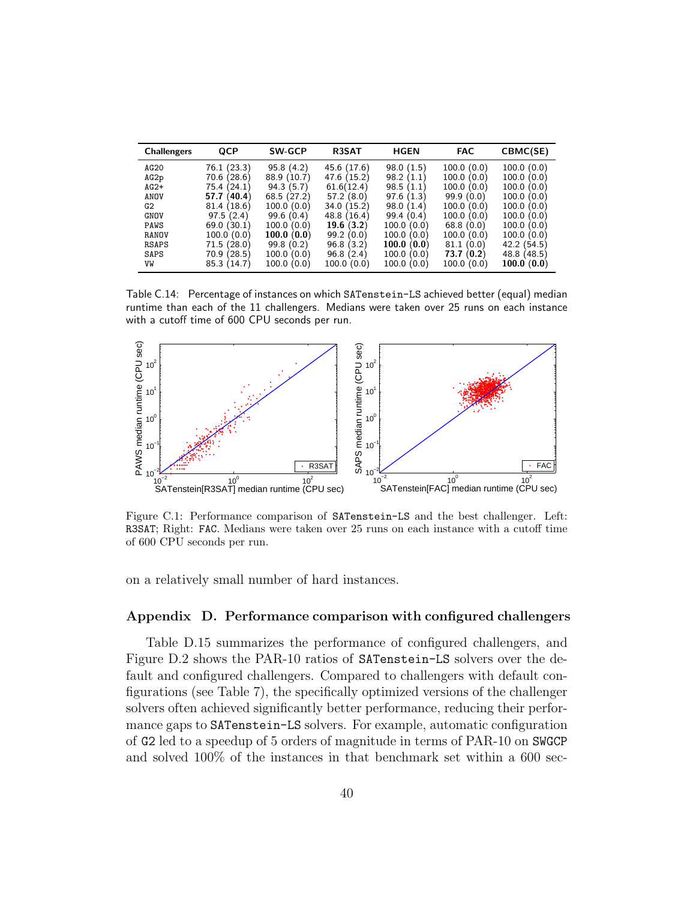| <b>Challengers</b> | QCP            | <b>SW-GCP</b> | R3SAT          | <b>HGEN</b>    | <b>FAC</b>    | CBMC(SE)       |
|--------------------|----------------|---------------|----------------|----------------|---------------|----------------|
| AG20               | 76.1 (23.3)    | 95.8(4.2)     | 45.6 (17.6)    | 98.0(1.5)      | 100.0(0.0)    | 100.0(0.0)     |
| AG2p               | 70.6<br>(28.6) | 88.9 (10.7)   | (15.2)<br>47.6 | 98.2<br>(1.1)  | 100.0(0.0)    | 100.0(0.0)     |
| $AG2+$             | (24.1)<br>75.4 | 94.3(5.7)     | 61.6(12.4)     | 98.5<br>(1.1)  | 100.0(0.0)    | 100.0(0.0)     |
| ANOV               | (40.4)<br>57.7 | 68.5(27.2)    | 57.2(8.0)      | 97.6<br>(1.3)  | 99.9(0.0)     | 100.0(0.0)     |
| G2                 | 81.4 (18.6)    | 100.0(0.0)    | 34.0(15.2)     | 98.0<br>(1.4)  | 100.0(0.0)    | 100.0(0.0)     |
| <b>GNOV</b>        | 97.5(2.4)      | 99.6(0.4)     | 48.8 (16.4)    | 99.4<br>(0.4)  | 100.0(0.0)    | 100.0<br>(0.0) |
| PAWS               | 69.0(30.1)     | 100.0(0.0)    | 19.6(3.2)      | 100.0(0.0)     | 68.8(0.0)     | 100.0(0.0)     |
| RANOV              | 100.0(0.0)     | 100.0(0.0)    | 99.2(0.0)      | 100.0(0.0)     | 100.0(0.0)    | 100.0(0.0)     |
| RSAPS              | 71.5 (28.0)    | 99.8(0.2)     | 96.8(3.2)      | 100.0<br>(0.0) | 81.1<br>(0.0) | 42.2(54.5)     |
| SAPS               | 70.9 (28.5)    | 100.0(0.0)    | 96.8(2.4)      | 100.0(0.0)     | 73.7(0.2)     | 48.8 (48.5)    |
| VW                 | 85.3 (14.7)    | 100.0(0.0)    | (0.0)<br>100.0 | 100.0<br>(0.0) | 100.0(0.0)    | 100.0(0.0)     |

<span id="page-39-1"></span>Table C.14: Percentage of instances on which SATenstein-LS achieved better (equal) median runtime than each of the 11 challengers. Medians were taken over 25 runs on each instance with a cutoff time of 600 CPU seconds per run.



<span id="page-39-0"></span>Figure C.1: Performance comparison of SATenstein-LS and the best challenger. Left: R3SAT; Right: FAC. Medians were taken over 25 runs on each instance with a cutoff time of 600 CPU seconds per run.

on a relatively small number of hard instances.

# Appendix D. Performance comparison with configured challengers

Table [D.15](#page-40-0) summarizes the performance of configured challengers, and Figure [D.2](#page-41-0) shows the PAR-10 ratios of SATenstein-LS solvers over the default and configured challengers. Compared to challengers with default configurations (see Table [7\)](#page-22-0), the specifically optimized versions of the challenger solvers often achieved significantly better performance, reducing their performance gaps to SATenstein-LS solvers. For example, automatic configuration of G2 led to a speedup of 5 orders of magnitude in terms of PAR-10 on SWGCP and solved 100% of the instances in that benchmark set within a 600 sec-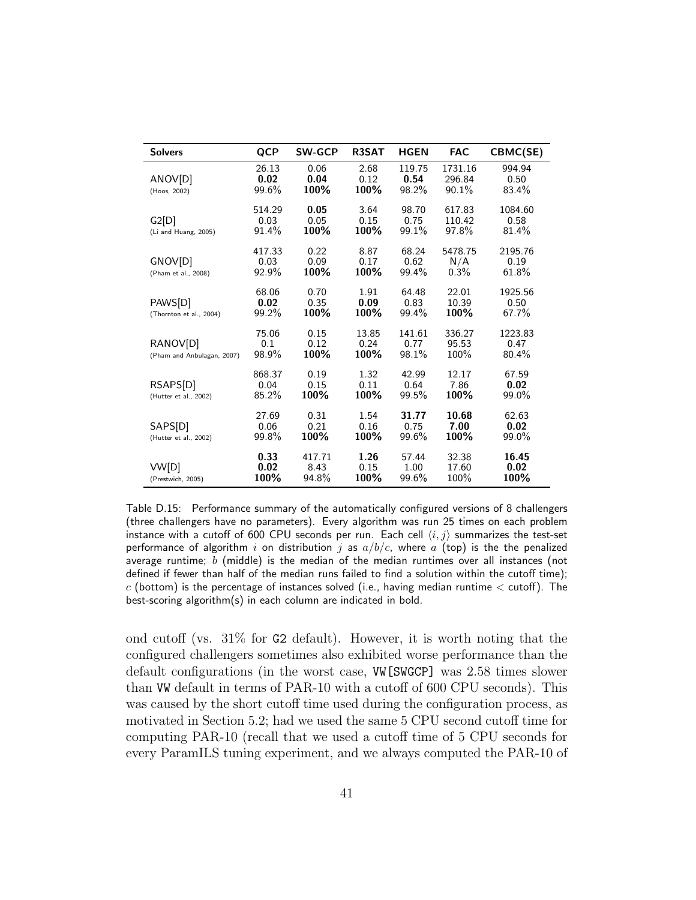| <b>Solvers</b>                         | <b>QCP</b>              | <b>SW-GCP</b>           | <b>R3SAT</b>          | <b>HGEN</b>             | <b>FAC</b>                 | CBMC(SE)                 |
|----------------------------------------|-------------------------|-------------------------|-----------------------|-------------------------|----------------------------|--------------------------|
| ANOV[D]<br>(Hoos, 2002)                | 26.13<br>0.02<br>99.6%  | 0.06<br>0.04<br>100%    | 2.68<br>0.12<br>100%  | 119.75<br>0.54<br>98.2% | 1731.16<br>296.84<br>90.1% | 994.94<br>0.50<br>83.4%  |
| G2[D]<br>(Li and Huang, 2005)          | 514.29<br>0.03<br>91.4% | 0.05<br>0.05<br>100%    | 3.64<br>0.15<br>100%  | 98.70<br>0.75<br>99.1%  | 617.83<br>110.42<br>97.8%  | 1084.60<br>0.58<br>81.4% |
| GNOV[D]<br>(Pham et al., 2008)         | 417.33<br>0.03<br>92.9% | 0.22<br>0.09<br>100%    | 8.87<br>0.17<br>100%  | 68.24<br>0.62<br>99.4%  | 5478.75<br>N/A<br>0.3%     | 2195.76<br>0.19<br>61.8% |
| PAWS[D]<br>(Thornton et al., 2004)     | 68.06<br>0.02<br>99.2%  | 0.70<br>0.35<br>100%    | 1.91<br>0.09<br>100%  | 64.48<br>0.83<br>99.4%  | 22.01<br>10.39<br>100%     | 1925.56<br>0.50<br>67.7% |
| RANOV[D]<br>(Pham and Anbulagan, 2007) | 75.06<br>0.1<br>98.9%   | 0.15<br>0.12<br>100%    | 13.85<br>0.24<br>100% | 141.61<br>0.77<br>98.1% | 336.27<br>95.53<br>100%    | 1223.83<br>0.47<br>80.4% |
| RSAPS[D]<br>(Hutter et al., 2002)      | 868.37<br>0.04<br>85.2% | 0.19<br>0.15<br>100%    | 1.32<br>0.11<br>100%  | 42.99<br>0.64<br>99.5%  | 12.17<br>7.86<br>100%      | 67.59<br>0.02<br>99.0%   |
| SAPS[D]<br>(Hutter et al., 2002)       | 27.69<br>0.06<br>99.8%  | 0.31<br>0.21<br>100%    | 1.54<br>0.16<br>100%  | 31.77<br>0.75<br>99.6%  | 10.68<br>7.00<br>100%      | 62.63<br>0.02<br>99.0%   |
| VW[D]<br>(Prestwich, 2005)             | 0.33<br>0.02<br>100%    | 417.71<br>8.43<br>94.8% | 1.26<br>0.15<br>100%  | 57.44<br>1.00<br>99.6%  | 32.38<br>17.60<br>100%     | 16.45<br>0.02<br>100%    |

<span id="page-40-0"></span>Table D.15: Performance summary of the automatically configured versions of 8 challengers (three challengers have no parameters). Every algorithm was run 25 times on each problem instance with a cutoff of 600 CPU seconds per run. Each cell  $\langle i, j \rangle$  summarizes the test-set performance of algorithm i on distribution j as  $a/b/c$ , where a (top) is the the penalized average runtime; b (middle) is the median of the median runtimes over all instances (not defined if fewer than half of the median runs failed to find a solution within the cutoff time);  $c$  (bottom) is the percentage of instances solved (i.e., having median runtime  $\lt$  cutoff). The best-scoring algorithm(s) in each column are indicated in bold.

ond cutoff (vs. 31% for G2 default). However, it is worth noting that the configured challengers sometimes also exhibited worse performance than the default configurations (in the worst case, VW[SWGCP] was 2.58 times slower than VW default in terms of PAR-10 with a cutoff of 600 CPU seconds). This was caused by the short cutoff time used during the configuration process, as motivated in Section 5.2; had we used the same 5 CPU second cutoff time for computing PAR-10 (recall that we used a cutoff time of 5 CPU seconds for every ParamILS tuning experiment, and we always computed the PAR-10 of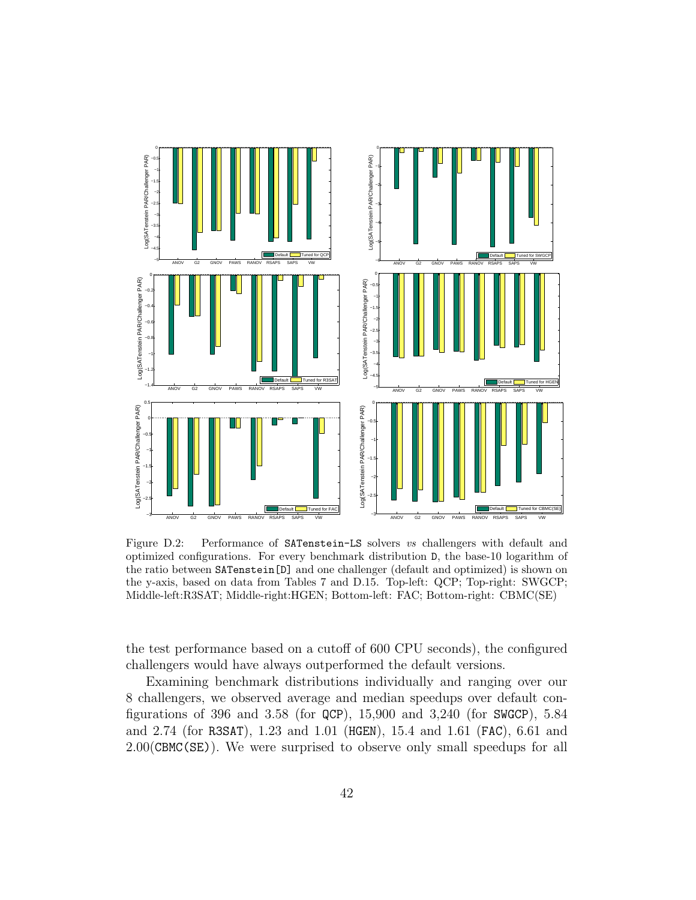

<span id="page-41-0"></span>Figure D.2: Performance of SATenstein-LS solvers vs challengers with default and optimized configurations. For every benchmark distribution D, the base-10 logarithm of the ratio between SATenstein[D] and one challenger (default and optimized) is shown on the y-axis, based on data from Tables [7](#page-22-0) and [D.15.](#page-40-0) Top-left: QCP; Top-right: SWGCP; Middle-left:R3SAT; Middle-right:HGEN; Bottom-left: FAC; Bottom-right: CBMC(SE)

the test performance based on a cutoff of 600 CPU seconds), the configured challengers would have always outperformed the default versions.

Examining benchmark distributions individually and ranging over our 8 challengers, we observed average and median speedups over default configurations of 396 and 3.58 (for QCP), 15,900 and 3,240 (for SWGCP), 5.84 and 2.74 (for R3SAT), 1.23 and 1.01 (HGEN), 15.4 and 1.61 (FAC), 6.61 and 2.00(CBMC(SE)). We were surprised to observe only small speedups for all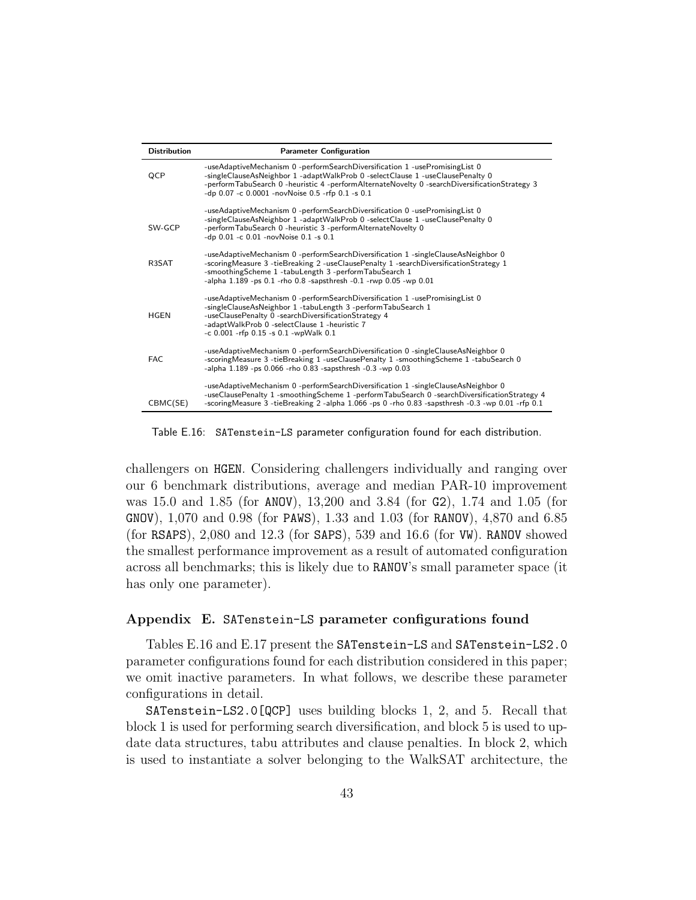| <b>Distribution</b> | <b>Parameter Configuration</b>                                                                                                                                                                                                                                                                                     |
|---------------------|--------------------------------------------------------------------------------------------------------------------------------------------------------------------------------------------------------------------------------------------------------------------------------------------------------------------|
| QCP                 | -useAdaptiveMechanism 0 -performSearchDiversification 1 -usePromisingList 0<br>-singleClauseAsNeighbor 1 -adaptWalkProb 0 -selectClause 1 -useClausePenalty 0<br>-performTabuSearch 0 -heuristic 4 -performAlternateNovelty 0 -searchDiversificationStrategy 3<br>-dp 0.07 -c 0.0001 -novNoise 0.5 -rfp 0.1 -s 0.1 |
| SW-GCP              | -useAdaptiveMechanism 0 -performSearchDiversification 0 -usePromisingList 0<br>-singleClauseAsNeighbor 1 -adaptWalkProb 0 -selectClause 1 -useClausePenalty 0<br>-performTabuSearch 0 -heuristic 3 -performAlternateNovelty 0<br>-dp 0.01 -c 0.01 -novNoise 0.1 -s 0.1                                             |
| R3SAT               | -useAdaptiveMechanism 0 -performSearchDiversification 1 -singleClauseAsNeighbor 0<br>-scoringMeasure 3 -tieBreaking 2 -useClausePenalty 1 -searchDiversificationStrategy 1<br>-smoothingScheme 1 -tabuLength 3 -performTabuSearch 1<br>-alpha $1.189$ -ps $0.1$ -rho $0.8$ -sapsthresh -0.1 -rwp 0.05 -wp 0.01     |
| <b>HGEN</b>         | -useAdaptiveMechanism 0 -performSearchDiversification 1 -usePromisingList 0<br>-singleClauseAsNeighbor 1 -tabuLength 3 -performTabuSearch 1<br>-useClausePenalty 0 -searchDiversificationStrategy 4<br>-adaptWalkProb 0 -selectClause 1 -heuristic 7<br>$-c$ 0.001 -rfp 0.15 -s 0.1 -wpWalk 0.1                    |
| FAC.                | -useAdaptiveMechanism 0-performSearchDiversification 0-singleClauseAsNeighbor 0<br>-scoringMeasure 3 -tieBreaking 1 -useClausePenalty 1 -smoothingScheme 1 -tabuSearch 0<br>-alpha 1.189 -ps 0.066 -rho 0.83 -sapsthresh -0.3 -wp 0.03                                                                             |
| CBMC(SE)            | -useAdaptiveMechanism 0 -performSearchDiversification 1 -singleClauseAsNeighbor 0<br>-useClausePenalty 1 -smoothingScheme 1 -performTabuSearch 0 -searchDiversificationStrategy 4<br>-scoringMeasure 3 -tieBreaking 2 -alpha 1.066 -ps 0 -rho 0.83 -sapsthresh -0.3 -wp 0.01 -rfp 0.1                              |

<span id="page-42-0"></span>Table E.16: SATenstein-LS parameter configuration found for each distribution.

challengers on HGEN. Considering challengers individually and ranging over our 6 benchmark distributions, average and median PAR-10 improvement was 15.0 and 1.85 (for ANOV), 13,200 and 3.84 (for G2), 1.74 and 1.05 (for GNOV), 1,070 and 0.98 (for PAWS), 1.33 and 1.03 (for RANOV), 4,870 and 6.85 (for RSAPS), 2,080 and 12.3 (for SAPS), 539 and 16.6 (for VW). RANOV showed the smallest performance improvement as a result of automated configuration across all benchmarks; this is likely due to RANOV's small parameter space (it has only one parameter).

# <span id="page-42-1"></span>Appendix E. SATenstein-LS parameter configurations found

Tables [E.16](#page-42-0) and [E.17](#page-43-0) present the SATenstein-LS and SATenstein-LS2.0 parameter configurations found for each distribution considered in this paper; we omit inactive parameters. In what follows, we describe these parameter configurations in detail.

SATenstein-LS2.0[QCP] uses building blocks 1, 2, and 5. Recall that block 1 is used for performing search diversification, and block 5 is used to update data structures, tabu attributes and clause penalties. In block 2, which is used to instantiate a solver belonging to the WalkSAT architecture, the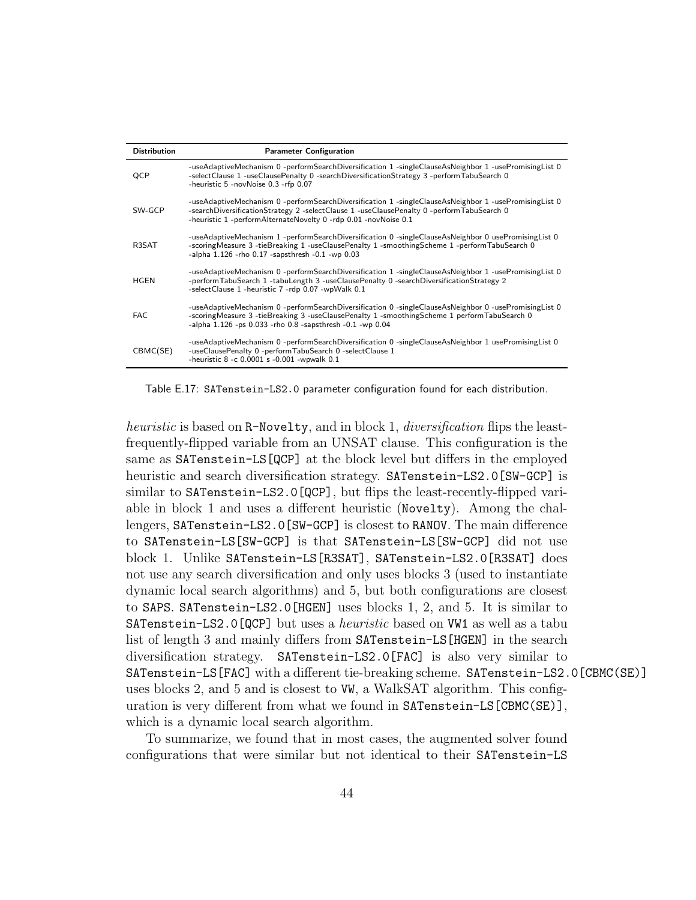| <b>Distribution</b> | <b>Parameter Configuration</b>                                                                                                                                                                                                                                        |
|---------------------|-----------------------------------------------------------------------------------------------------------------------------------------------------------------------------------------------------------------------------------------------------------------------|
| QCP                 | -useAdaptiveMechanism 0-performSearchDiversification 1-singleClauseAsNeighbor 1-usePromisingList 0<br>-selectClause 1 -useClausePenalty 0 -searchDiversificationStrategy 3 -performTabuSearch 0<br>-heuristic 5 -novNoise 0.3 -rfp 0.07                               |
| SW-GCP              | -useAdaptiveMechanism 0-performSearchDiversification 1-singleClauseAsNeighbor 1-usePromisingList 0<br>-searchDiversificationStrategy 2 -selectClause 1 -useClausePenalty 0 -performTabuSearch 0<br>-heuristic 1 -performAlternateNovelty 0 -rdp 0.01 -novNoise 0.1    |
| R3SAT               | -useAdaptiveMechanism 1 -performSearchDiversification 0 -singleClauseAsNeighbor 0 usePromisingList 0<br>-scoringMeasure 3 -tieBreaking 1 -useClausePenalty 1 -smoothingScheme 1 -performTabuSearch 0<br>-alpha $1.126$ -rho $0.17$ -sapsthresh $-0.1$ -wp $0.03$      |
| <b>HGEN</b>         | -useAdaptiveMechanism 0-performSearchDiversification 1-singleClauseAsNeighbor 1-usePromisingList 0<br>-performTabuSearch 1 -tabuLength 3 -useClausePenalty 0 -searchDiversificationStrategy 2<br>-selectClause 1 -heuristic 7 -rdp 0.07 -wpWalk 0.1                   |
| <b>FAC</b>          | -useAdaptiveMechanism 0-performSearchDiversification 0-singleClauseAsNeighbor 0-usePromisingList 0-<br>-scoringMeasure 3 -tieBreaking 3 -useClausePenalty 1 -smoothingScheme 1 performTabuSearch 0<br>-alpha $1.126$ -ps $0.033$ -rho $0.8$ -sapsthresh -0.1 -wp 0.04 |
| CBMC(SE)            | -useAdaptiveMechanism 0-performSearchDiversification 0-singleClauseAsNeighbor 1 usePromisingList 0<br>-useClausePenalty 0 -performTabuSearch 0 -selectClause 1<br>-heuristic $8 - c 0.0001$ s $-0.001$ -wpwalk $0.1$                                                  |

<span id="page-43-0"></span>Table E.17: SATenstein-LS2.0 parameter configuration found for each distribution.

heuristic is based on R-Novelty, and in block 1, *diversification* flips the leastfrequently-flipped variable from an UNSAT clause. This configuration is the same as SATenstein-LS[QCP] at the block level but differs in the employed heuristic and search diversification strategy. SATenstein-LS2.0[SW-GCP] is similar to SATenstein-LS2.0[QCP], but flips the least-recently-flipped variable in block 1 and uses a different heuristic (Novelty). Among the challengers, SATenstein-LS2.0[SW-GCP] is closest to RANOV. The main difference to SATenstein-LS[SW-GCP] is that SATenstein-LS[SW-GCP] did not use block 1. Unlike SATenstein-LS[R3SAT], SATenstein-LS2.0[R3SAT] does not use any search diversification and only uses blocks 3 (used to instantiate dynamic local search algorithms) and 5, but both configurations are closest to SAPS. SATenstein-LS2.0[HGEN] uses blocks 1, 2, and 5. It is similar to SATenstein-LS2.0[QCP] but uses a *heuristic* based on WW1 as well as a tabu list of length 3 and mainly differs from SATenstein-LS[HGEN] in the search diversification strategy. SATenstein-LS2.0[FAC] is also very similar to SATenstein-LS[FAC] with a different tie-breaking scheme. SATenstein-LS2.0[CBMC(SE)] uses blocks 2, and 5 and is closest to VW, a WalkSAT algorithm. This configuration is very different from what we found in SATenstein-LS[CBMC(SE)], which is a dynamic local search algorithm.

To summarize, we found that in most cases, the augmented solver found configurations that were similar but not identical to their SATenstein-LS